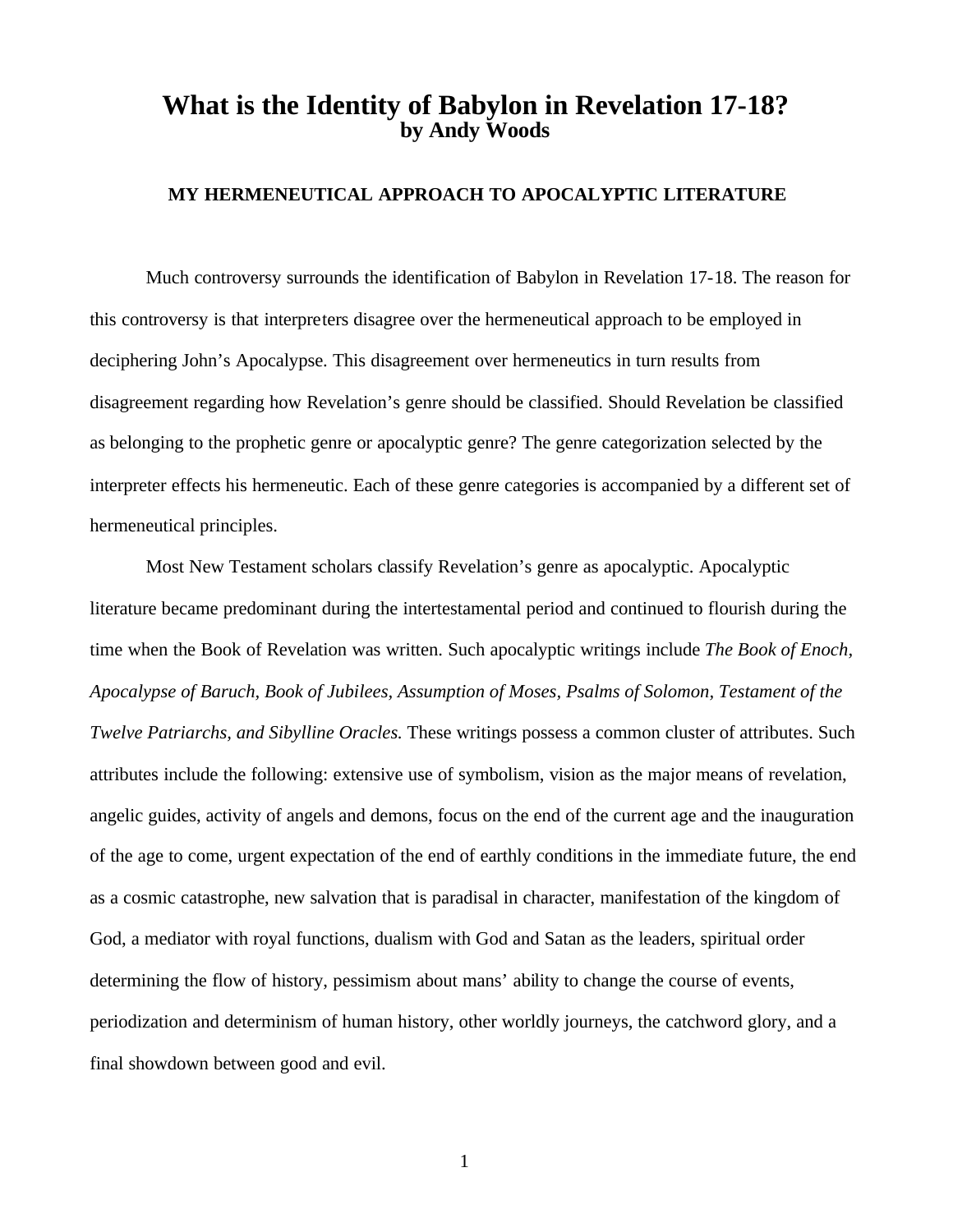# **What is the Identity of Babylon in Revelation 17-18? by Andy Woods**

# **MY HERMENEUTICAL APPROACH TO APOCALYPTIC LITERATURE**

Much controversy surrounds the identification of Babylon in Revelation 17-18. The reason for this controversy is that interpreters disagree over the hermeneutical approach to be employed in deciphering John's Apocalypse. This disagreement over hermeneutics in turn results from disagreement regarding how Revelation's genre should be classified. Should Revelation be classified as belonging to the prophetic genre or apocalyptic genre? The genre categorization selected by the interpreter effects his hermeneutic. Each of these genre categories is accompanied by a different set of hermeneutical principles.

Most New Testament scholars classify Revelation's genre as apocalyptic. Apocalyptic literature became predominant during the intertestamental period and continued to flourish during the time when the Book of Revelation was written. Such apocalyptic writings include *The Book of Enoch, Apocalypse of Baruch, Book of Jubilees, Assumption of Moses, Psalms of Solomon, Testament of the Twelve Patriarchs, and Sibylline Oracles.* These writings possess a common cluster of attributes. Such attributes include the following: extensive use of symbolism, vision as the major means of revelation, angelic guides, activity of angels and demons, focus on the end of the current age and the inauguration of the age to come, urgent expectation of the end of earthly conditions in the immediate future, the end as a cosmic catastrophe, new salvation that is paradisal in character, manifestation of the kingdom of God, a mediator with royal functions, dualism with God and Satan as the leaders, spiritual order determining the flow of history, pessimism about mans' ability to change the course of events, periodization and determinism of human history, other worldly journeys, the catchword glory, and a final showdown between good and evil.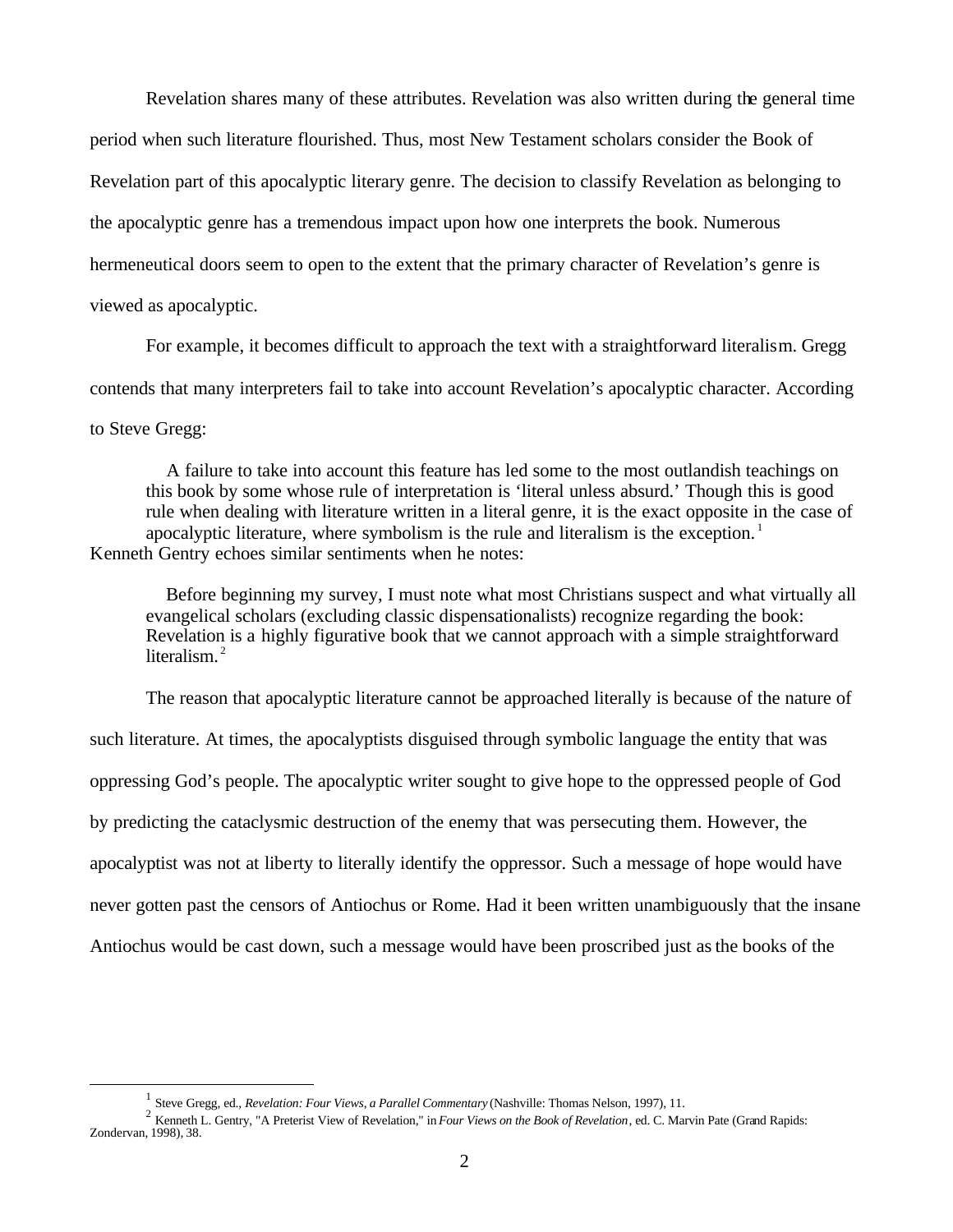Revelation shares many of these attributes. Revelation was also written during the general time period when such literature flourished. Thus, most New Testament scholars consider the Book of Revelation part of this apocalyptic literary genre. The decision to classify Revelation as belonging to the apocalyptic genre has a tremendous impact upon how one interprets the book. Numerous hermeneutical doors seem to open to the extent that the primary character of Revelation's genre is viewed as apocalyptic.

For example, it becomes difficult to approach the text with a straightforward literalism. Gregg contends that many interpreters fail to take into account Revelation's apocalyptic character. According to Steve Gregg:

 A failure to take into account this feature has led some to the most outlandish teachings on this book by some whose rule of interpretation is 'literal unless absurd.' Though this is good rule when dealing with literature written in a literal genre, it is the exact opposite in the case of apocalyptic literature, where symbolism is the rule and literalism is the exception.<sup>1</sup> Kenneth Gentry echoes similar sentiments when he notes:

 Before beginning my survey, I must note what most Christians suspect and what virtually all evangelical scholars (excluding classic dispensationalists) recognize regarding the book: Revelation is a highly figurative book that we cannot approach with a simple straightforward literalism. $<sup>2</sup>$ </sup>

The reason that apocalyptic literature cannot be approached literally is because of the nature of such literature. At times, the apocalyptists disguised through symbolic language the entity that was oppressing God's people. The apocalyptic writer sought to give hope to the oppressed people of God by predicting the cataclysmic destruction of the enemy that was persecuting them. However, the apocalyptist was not at liberty to literally identify the oppressor. Such a message of hope would have never gotten past the censors of Antiochus or Rome. Had it been written unambiguously that the insane Antiochus would be cast down, such a message would have been proscribed just as the books of the

<sup>1</sup> Steve Gregg, ed., *Revelation: Four Views, a Parallel Commentary* (Nashville: Thomas Nelson, 1997), 11.

<sup>2</sup> Kenneth L. Gentry, "A Preterist View of Revelation," in *Four Views on the Book of Revelation*, ed. C. Marvin Pate (Grand Rapids: Zondervan, 1998), 38.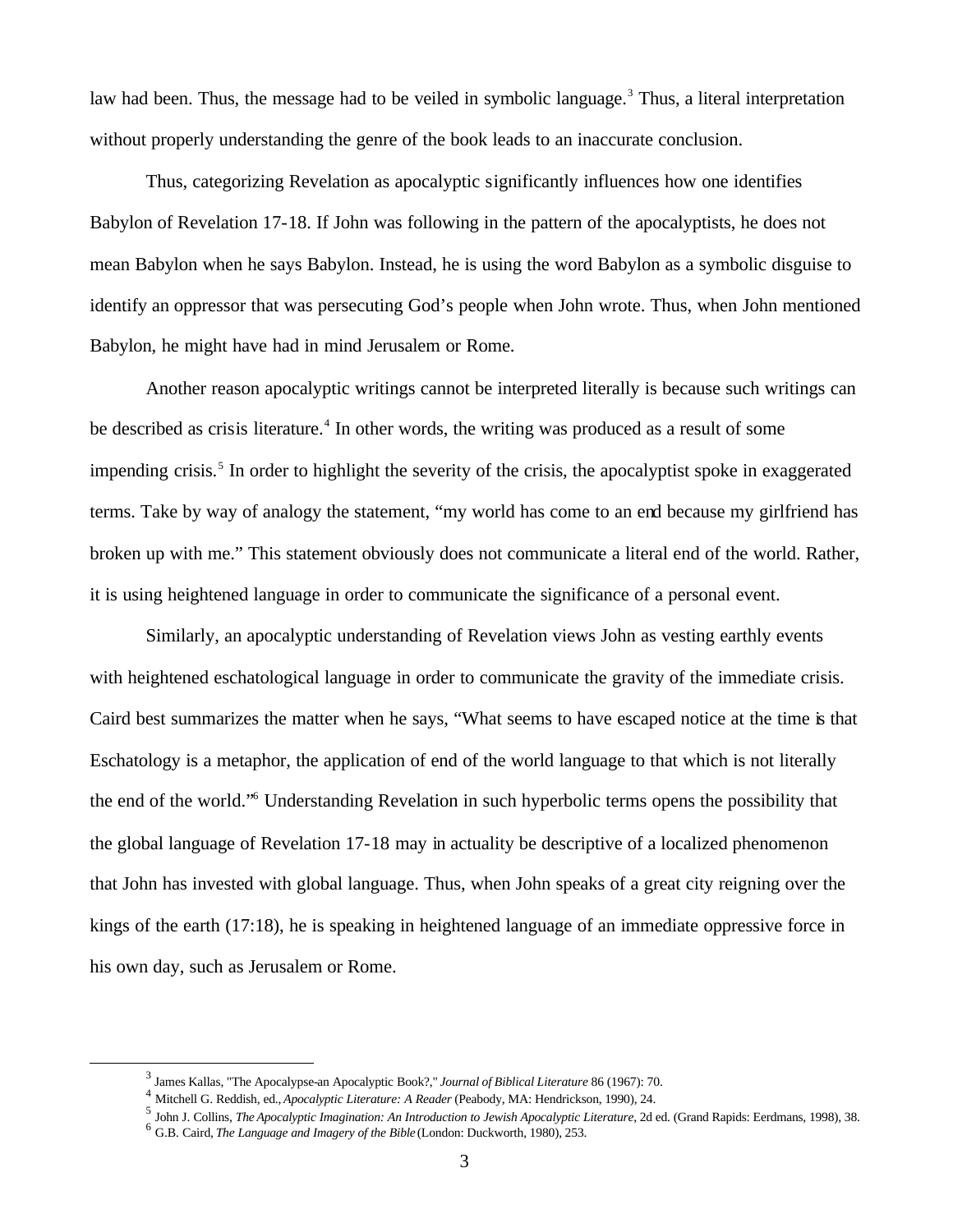law had been. Thus, the message had to be veiled in symbolic language.<sup>3</sup> Thus, a literal interpretation without properly understanding the genre of the book leads to an inaccurate conclusion.

Thus, categorizing Revelation as apocalyptic significantly influences how one identifies Babylon of Revelation 17-18. If John was following in the pattern of the apocalyptists, he does not mean Babylon when he says Babylon. Instead, he is using the word Babylon as a symbolic disguise to identify an oppressor that was persecuting God's people when John wrote. Thus, when John mentioned Babylon, he might have had in mind Jerusalem or Rome.

Another reason apocalyptic writings cannot be interpreted literally is because such writings can be described as crisis literature.<sup>4</sup> In other words, the writing was produced as a result of some impending crisis.<sup>5</sup> In order to highlight the severity of the crisis, the apocalyptist spoke in exaggerated terms. Take by way of analogy the statement, "my world has come to an end because my girlfriend has broken up with me." This statement obviously does not communicate a literal end of the world. Rather, it is using heightened language in order to communicate the significance of a personal event.

Similarly, an apocalyptic understanding of Revelation views John as vesting earthly events with heightened eschatological language in order to communicate the gravity of the immediate crisis. Caird best summarizes the matter when he says, "What seems to have escaped notice at the time is that Eschatology is a metaphor, the application of end of the world language to that which is not literally the end of the world." Understanding Revelation in such hyperbolic terms opens the possibility that the global language of Revelation 17-18 may in actuality be descriptive of a localized phenomenon that John has invested with global language. Thus, when John speaks of a great city reigning over the kings of the earth (17:18), he is speaking in heightened language of an immediate oppressive force in his own day, such as Jerusalem or Rome.

<sup>3</sup> James Kallas, "The Apocalypse-an Apocalyptic Book?," *Journal of Biblical Literature* 86 (1967): 70.

<sup>4</sup> Mitchell G. Reddish, ed., *Apocalyptic Literature: A Reader* (Peabody, MA: Hendrickson, 1990), 24.

<sup>&</sup>lt;sup>5</sup> John J. Collins, *The Apocalyptic Imagination: An Introduction to Jewish Apocalyptic Literature*, 2d ed. (Grand Rapids: Eerdmans, 1998), 38. 6 G.B. Caird, *The Language and Imagery of the Bible* (London: Duckworth, 1980), 253.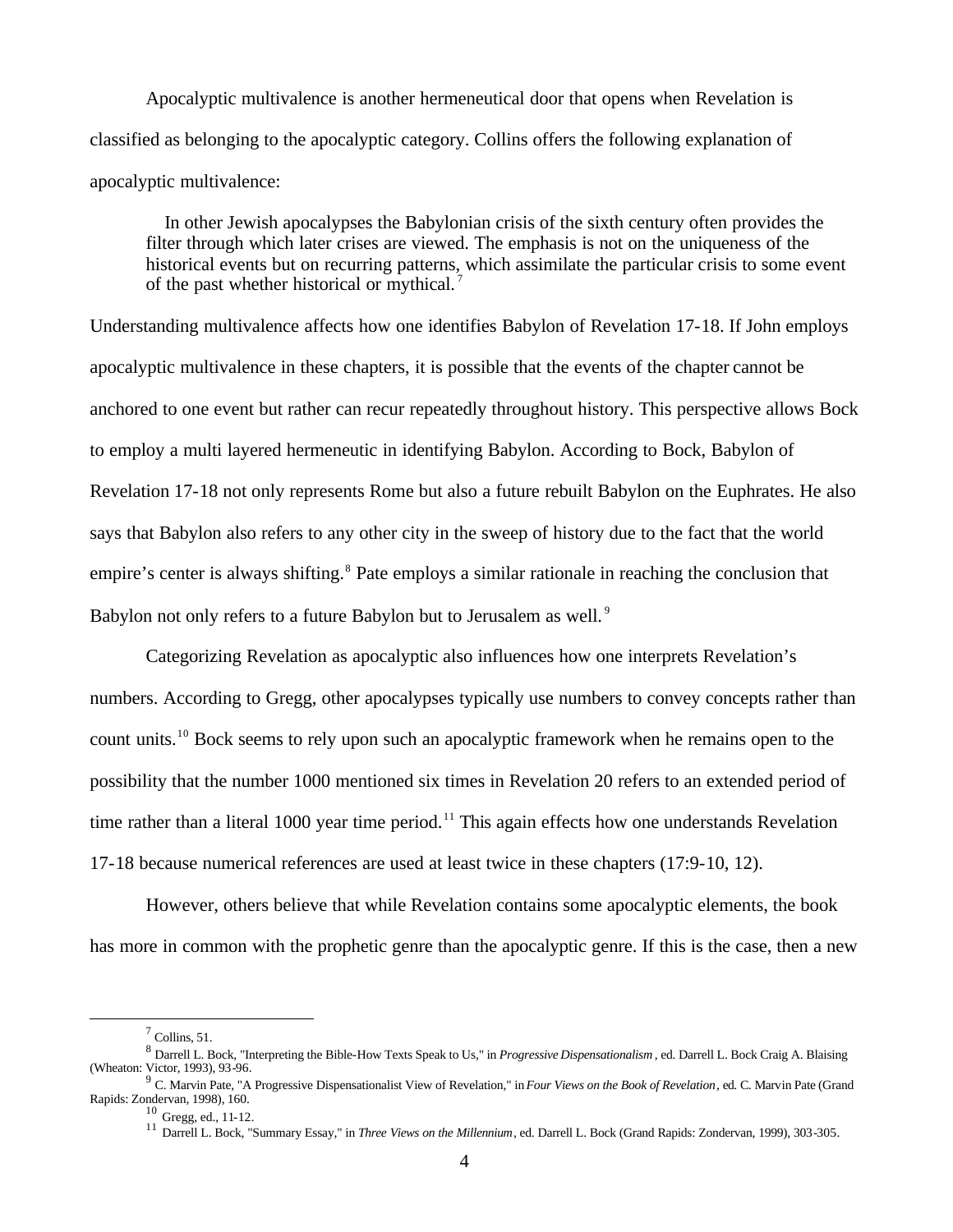Apocalyptic multivalence is another hermeneutical door that opens when Revelation is classified as belonging to the apocalyptic category. Collins offers the following explanation of apocalyptic multivalence:

 In other Jewish apocalypses the Babylonian crisis of the sixth century often provides the filter through which later crises are viewed. The emphasis is not on the uniqueness of the historical events but on recurring patterns, which assimilate the particular crisis to some event of the past whether historical or mythical. <sup>7</sup>

Understanding multivalence affects how one identifies Babylon of Revelation 17-18. If John employs apocalyptic multivalence in these chapters, it is possible that the events of the chapter cannot be anchored to one event but rather can recur repeatedly throughout history. This perspective allows Bock to employ a multi layered hermeneutic in identifying Babylon. According to Bock, Babylon of Revelation 17-18 not only represents Rome but also a future rebuilt Babylon on the Euphrates. He also says that Babylon also refers to any other city in the sweep of history due to the fact that the world empire's center is always shifting.<sup>8</sup> Pate employs a similar rationale in reaching the conclusion that Babylon not only refers to a future Babylon but to Jerusalem as well.<sup>9</sup>

Categorizing Revelation as apocalyptic also influences how one interprets Revelation's numbers. According to Gregg, other apocalypses typically use numbers to convey concepts rather than count units.<sup>10</sup> Bock seems to rely upon such an apocalyptic framework when he remains open to the possibility that the number 1000 mentioned six times in Revelation 20 refers to an extended period of time rather than a literal 1000 year time period.<sup>11</sup> This again effects how one understands Revelation 17-18 because numerical references are used at least twice in these chapters (17:9-10, 12).

However, others believe that while Revelation contains some apocalyptic elements, the book has more in common with the prophetic genre than the apocalyptic genre. If this is the case, then a new

 $<sup>7</sup>$  Collins, 51.</sup>

<sup>8</sup> Darrell L. Bock, "Interpreting the Bible-How Texts Speak to Us," in *Progressive Dispensationalism* , ed. Darrell L. Bock Craig A. Blaising (Wheaton: Victor, 1993), 93-96. 9 C. Marvin Pate, "A Progressive Dispensationalist View of Revelation," in *Four Views on the Book of Revelation*, ed. C. Marvin Pate (Grand

Rapids: Zondervan, 1998), 160.

<sup>10</sup> Gregg, ed., 11-12.

<sup>11</sup> Darrell L. Bock, "Summary Essay," in *Three Views on the Millennium*, ed. Darrell L. Bock (Grand Rapids: Zondervan, 1999), 303-305.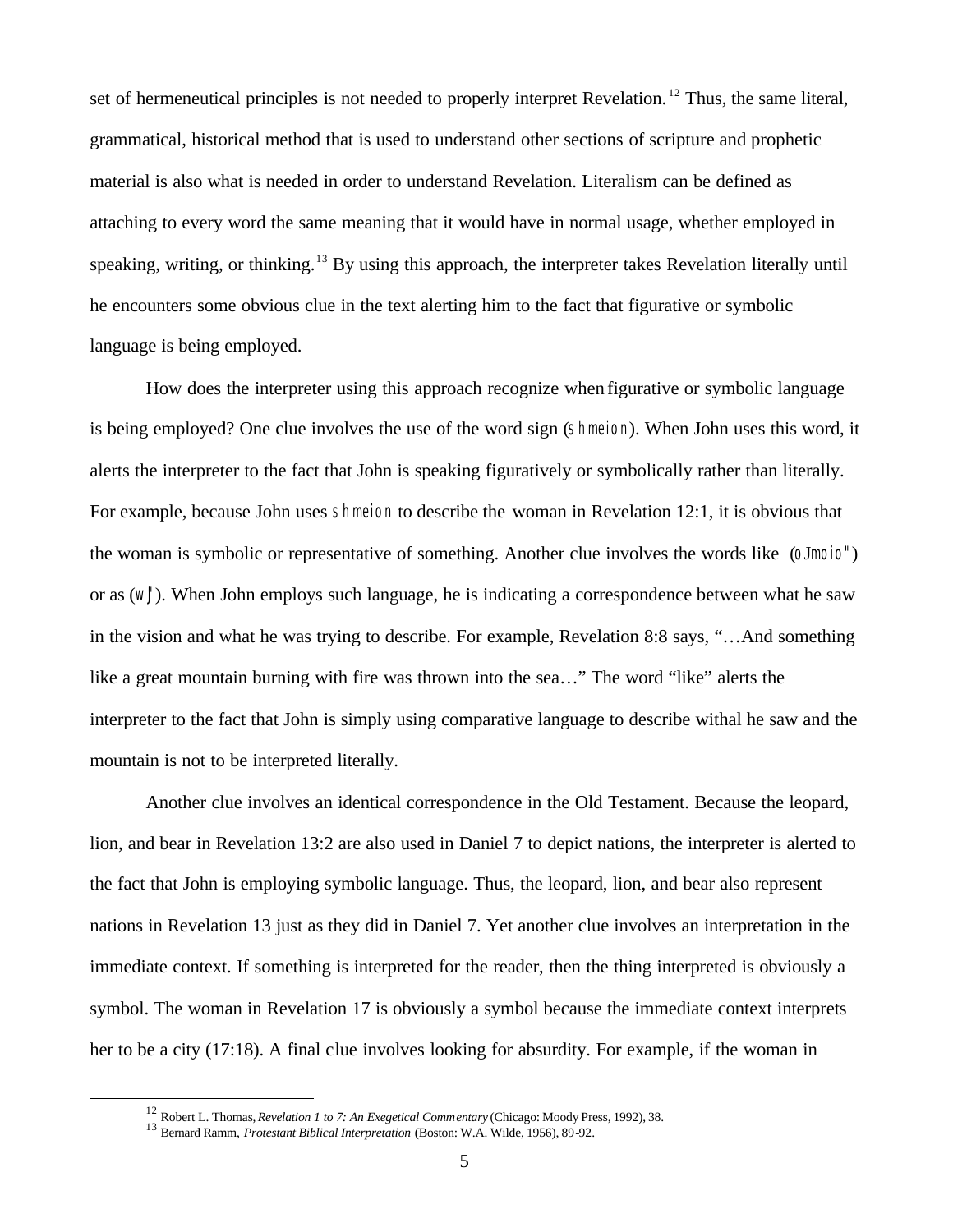set of hermeneutical principles is not needed to properly interpret Revelation.<sup>12</sup> Thus, the same literal, grammatical, historical method that is used to understand other sections of scripture and prophetic material is also what is needed in order to understand Revelation. Literalism can be defined as attaching to every word the same meaning that it would have in normal usage, whether employed in speaking, writing, or thinking.<sup>13</sup> By using this approach, the interpreter takes Revelation literally until he encounters some obvious clue in the text alerting him to the fact that figurative or symbolic language is being employed.

How does the interpreter using this approach recognize when figurative or symbolic language is being employed? One clue involves the use of the word sign (shmeion). When John uses this word, it alerts the interpreter to the fact that John is speaking figuratively or symbolically rather than literally. For example, because John uses shmeion to describe the woman in Revelation 12:1, it is obvious that the woman is symbolic or representative of something. Another clue involves the words like (oJmoio") or as (wJ"). When John employs such language, he is indicating a correspondence between what he saw in the vision and what he was trying to describe. For example, Revelation 8:8 says, "…And something like a great mountain burning with fire was thrown into the sea…" The word "like" alerts the interpreter to the fact that John is simply using comparative language to describe withal he saw and the mountain is not to be interpreted literally.

Another clue involves an identical correspondence in the Old Testament. Because the leopard, lion, and bear in Revelation 13:2 are also used in Daniel 7 to depict nations, the interpreter is alerted to the fact that John is employing symbolic language. Thus, the leopard, lion, and bear also represent nations in Revelation 13 just as they did in Daniel 7. Yet another clue involves an interpretation in the immediate context. If something is interpreted for the reader, then the thing interpreted is obviously a symbol. The woman in Revelation 17 is obviously a symbol because the immediate context interprets her to be a city (17:18). A final clue involves looking for absurdity. For example, if the woman in

<sup>12</sup> Robert L. Thomas, *Revelation 1 to 7: An Exegetical Commentary* (Chicago: Moody Press, 1992), 38.

<sup>13</sup> Bernard Ramm, *Protestant Biblical Interpretation* (Boston: W.A. Wilde, 1956), 89-92.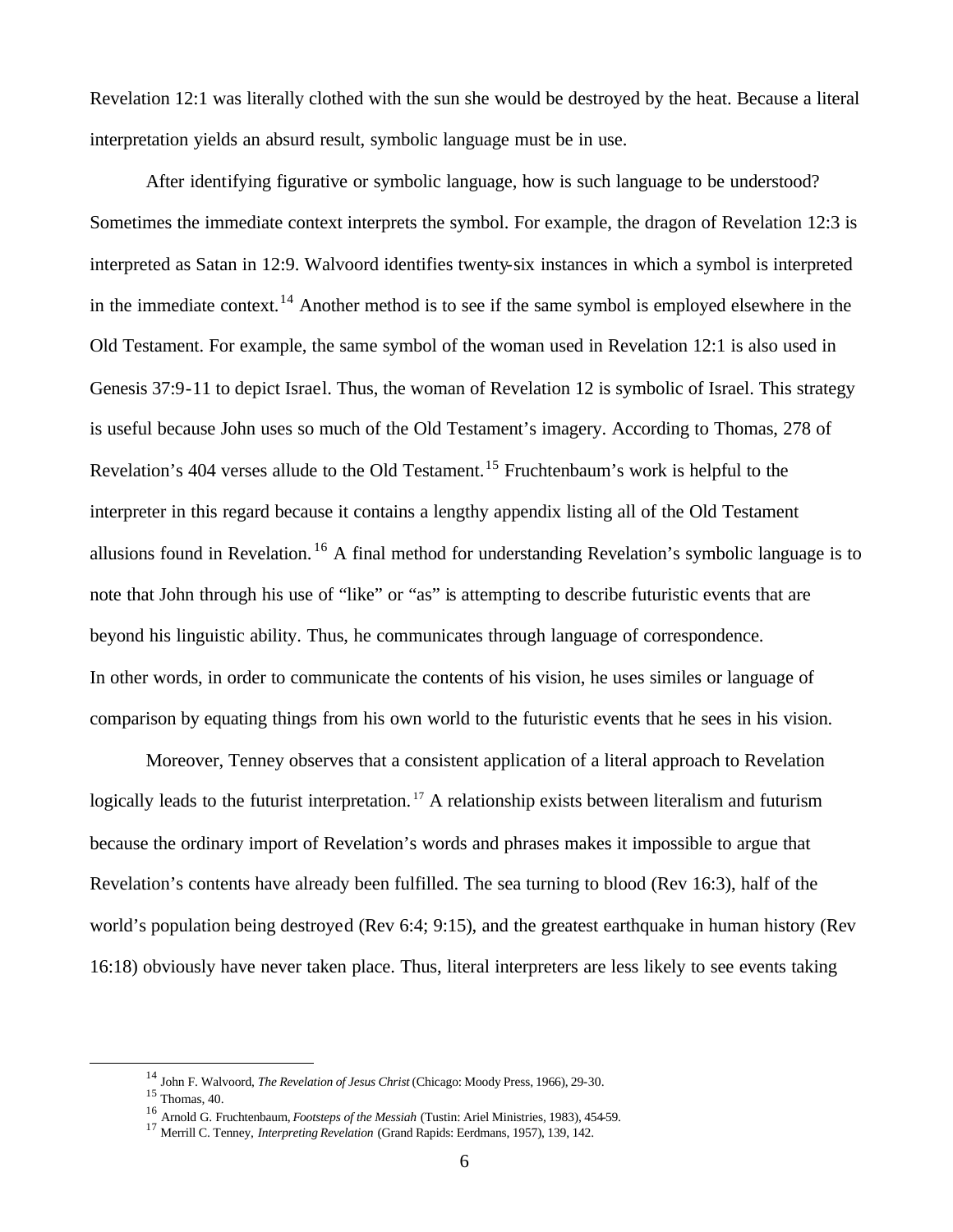Revelation 12:1 was literally clothed with the sun she would be destroyed by the heat. Because a literal interpretation yields an absurd result, symbolic language must be in use.

After identifying figurative or symbolic language, how is such language to be understood? Sometimes the immediate context interprets the symbol. For example, the dragon of Revelation 12:3 is interpreted as Satan in 12:9. Walvoord identifies twenty-six instances in which a symbol is interpreted in the immediate context.<sup>14</sup> Another method is to see if the same symbol is employed elsewhere in the Old Testament. For example, the same symbol of the woman used in Revelation 12:1 is also used in Genesis 37:9-11 to depict Israel. Thus, the woman of Revelation 12 is symbolic of Israel. This strategy is useful because John uses so much of the Old Testament's imagery. According to Thomas, 278 of Revelation's 404 verses allude to the Old Testament.<sup>15</sup> Fruchtenbaum's work is helpful to the interpreter in this regard because it contains a lengthy appendix listing all of the Old Testament allusions found in Revelation.<sup>16</sup> A final method for understanding Revelation's symbolic language is to note that John through his use of "like" or "as" is attempting to describe futuristic events that are beyond his linguistic ability. Thus, he communicates through language of correspondence. In other words, in order to communicate the contents of his vision, he uses similes or language of comparison by equating things from his own world to the futuristic events that he sees in his vision.

Moreover, Tenney observes that a consistent application of a literal approach to Revelation logically leads to the futurist interpretation.<sup>17</sup> A relationship exists between literalism and futurism because the ordinary import of Revelation's words and phrases makes it impossible to argue that Revelation's contents have already been fulfilled. The sea turning to blood (Rev 16:3), half of the world's population being destroyed (Rev 6:4; 9:15), and the greatest earthquake in human history (Rev 16:18) obviously have never taken place. Thus, literal interpreters are less likely to see events taking

<sup>14</sup> John F. Walvoord, *The Revelation of Jesus Christ* (Chicago: Moody Press, 1966), 29-30.

 $15$  Thomas, 40.

<sup>16</sup> Arnold G. Fruchtenbaum, *Footsteps of the Messiah* (Tustin: Ariel Ministries, 1983), 454-59.

<sup>17</sup> Merrill C. Tenney, *Interpreting Revelation* (Grand Rapids: Eerdmans, 1957), 139, 142.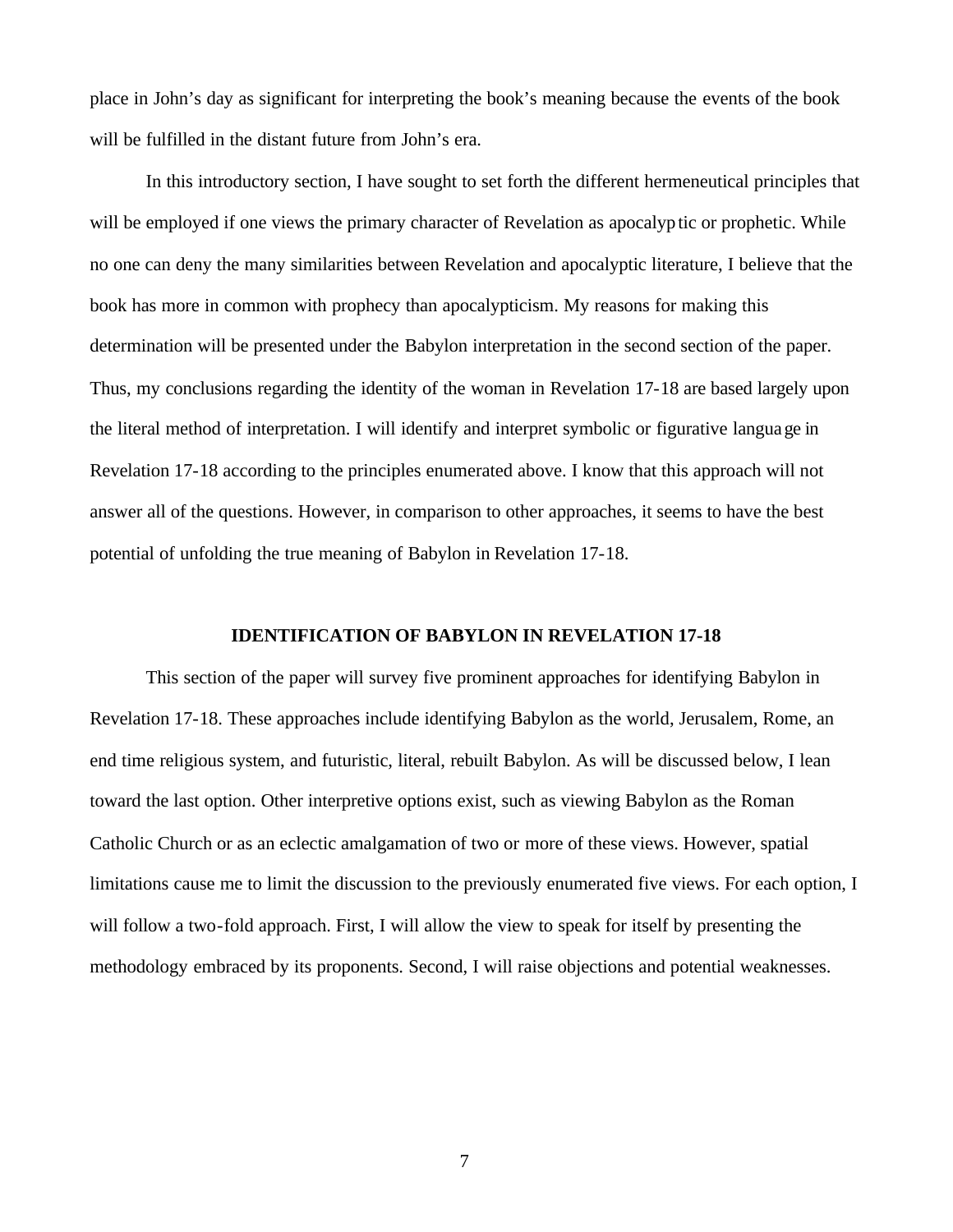place in John's day as significant for interpreting the book's meaning because the events of the book will be fulfilled in the distant future from John's era.

In this introductory section, I have sought to set forth the different hermeneutical principles that will be employed if one views the primary character of Revelation as apocalyptic or prophetic. While no one can deny the many similarities between Revelation and apocalyptic literature, I believe that the book has more in common with prophecy than apocalypticism. My reasons for making this determination will be presented under the Babylon interpretation in the second section of the paper. Thus, my conclusions regarding the identity of the woman in Revelation 17-18 are based largely upon the literal method of interpretation. I will identify and interpret symbolic or figurative language in Revelation 17-18 according to the principles enumerated above. I know that this approach will not answer all of the questions. However, in comparison to other approaches, it seems to have the best potential of unfolding the true meaning of Babylon in Revelation 17-18.

## **IDENTIFICATION OF BABYLON IN REVELATION 17-18**

This section of the paper will survey five prominent approaches for identifying Babylon in Revelation 17-18. These approaches include identifying Babylon as the world, Jerusalem, Rome, an end time religious system, and futuristic, literal, rebuilt Babylon. As will be discussed below, I lean toward the last option. Other interpretive options exist, such as viewing Babylon as the Roman Catholic Church or as an eclectic amalgamation of two or more of these views. However, spatial limitations cause me to limit the discussion to the previously enumerated five views. For each option, I will follow a two-fold approach. First, I will allow the view to speak for itself by presenting the methodology embraced by its proponents. Second, I will raise objections and potential weaknesses.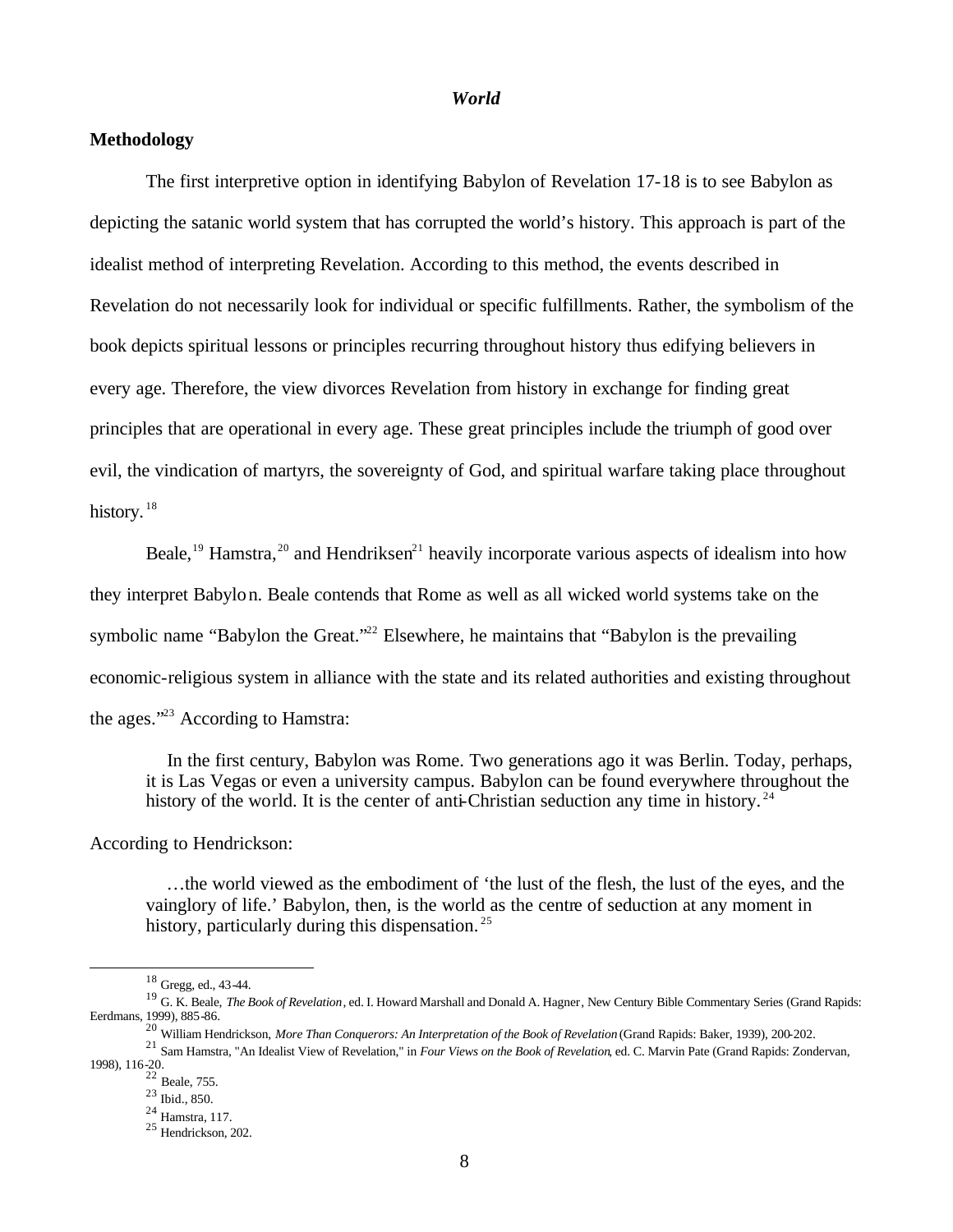#### *World*

# **Methodology**

The first interpretive option in identifying Babylon of Revelation 17-18 is to see Babylon as depicting the satanic world system that has corrupted the world's history. This approach is part of the idealist method of interpreting Revelation. According to this method, the events described in Revelation do not necessarily look for individual or specific fulfillments. Rather, the symbolism of the book depicts spiritual lessons or principles recurring throughout history thus edifying believers in every age. Therefore, the view divorces Revelation from history in exchange for finding great principles that are operational in every age. These great principles include the triumph of good over evil, the vindication of martyrs, the sovereignty of God, and spiritual warfare taking place throughout history.<sup>18</sup>

Beale,<sup>19</sup> Hamstra,<sup>20</sup> and Hendriksen<sup>21</sup> heavily incorporate various aspects of idealism into how they interpret Babylon. Beale contends that Rome as well as all wicked world systems take on the symbolic name "Babylon the Great."<sup>22</sup> Elsewhere, he maintains that "Babylon is the prevailing economic-religious system in alliance with the state and its related authorities and existing throughout the ages."<sup>23</sup> According to Hamstra:

 In the first century, Babylon was Rome. Two generations ago it was Berlin. Today, perhaps, it is Las Vegas or even a university campus. Babylon can be found everywhere throughout the history of the world. It is the center of anti-Christian seduction any time in history.<sup>24</sup>

According to Hendrickson:

 …the world viewed as the embodiment of 'the lust of the flesh, the lust of the eyes, and the vainglory of life.' Babylon, then, is the world as the centre of seduction at any moment in history, particularly during this dispensation.<sup>25</sup>

8

<sup>18</sup> Gregg, ed., 43-44.

<sup>19</sup> G. K. Beale, *The Book of Revelation*, ed. I. Howard Marshall and Donald A. Hagner, New Century Bible Commentary Series (Grand Rapids: Eerdmans, 1999), 885-86.

<sup>20</sup> William Hendrickson, *More Than Conquerors: An Interpretation of the Book of Revelation* (Grand Rapids: Baker, 1939), 200-202.

<sup>21</sup> Sam Hamstra, "An Idealist View of Revelation," in *Four Views on the Book of Revelation*, ed. C. Marvin Pate (Grand Rapids: Zondervan, 1998), 116-20. <sup>22</sup> Beale, 755.

<sup>23</sup> Ibid., 850.

<sup>24</sup> Hamstra, 117.

<sup>25</sup> Hendrickson, 202.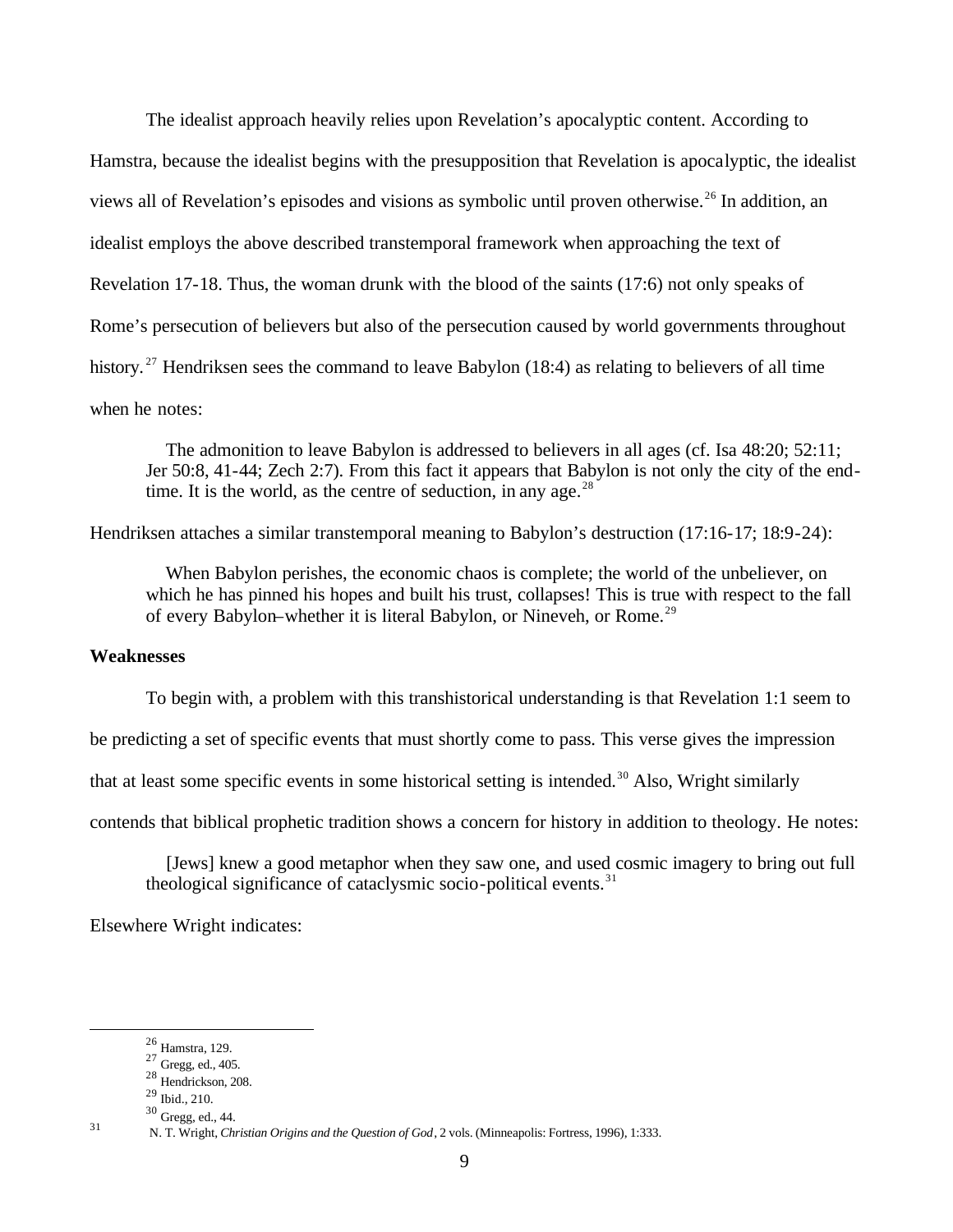The idealist approach heavily relies upon Revelation's apocalyptic content. According to Hamstra, because the idealist begins with the presupposition that Revelation is apocalyptic, the idealist views all of Revelation's episodes and visions as symbolic until proven otherwise.<sup>26</sup> In addition, an idealist employs the above described transtemporal framework when approaching the text of Revelation 17-18. Thus, the woman drunk with the blood of the saints (17:6) not only speaks of Rome's persecution of believers but also of the persecution caused by world governments throughout history.<sup>27</sup> Hendriksen sees the command to leave Babylon (18:4) as relating to believers of all time when he notes:

 The admonition to leave Babylon is addressed to believers in all ages (cf. Isa 48:20; 52:11; Jer 50:8, 41-44; Zech 2:7). From this fact it appears that Babylon is not only the city of the endtime. It is the world, as the centre of seduction, in any age.<sup>28</sup>

Hendriksen attaches a similar transtemporal meaning to Babylon's destruction (17:16-17; 18:9-24):

 When Babylon perishes, the economic chaos is complete; the world of the unbeliever, on which he has pinned his hopes and built his trust, collapses! This is true with respect to the fall of every Babylon–whether it is literal Babylon, or Nineveh, or Rome.<sup>29</sup>

# **Weaknesses**

To begin with, a problem with this transhistorical understanding is that Revelation 1:1 seem to

be predicting a set of specific events that must shortly come to pass. This verse gives the impression

that at least some specific events in some historical setting is intended.<sup>30</sup> Also, Wright similarly

contends that biblical prophetic tradition shows a concern for history in addition to theology. He notes:

 [Jews] knew a good metaphor when they saw one, and used cosmic imagery to bring out full theological significance of cataclysmic socio-political events. $31$ 

Elsewhere Wright indicates:

<sup>26</sup> Hamstra, 129.

 $27$  Gregg, ed., 405.

<sup>28</sup> Hendrickson, 208.

 $^{29}$  Ibid., 210.

<sup>30</sup> Gregg, ed., 44.

<sup>31</sup> N. T. Wright, *Christian Origins and the Question of God*, 2 vols. (Minneapolis: Fortress, 1996), 1:333.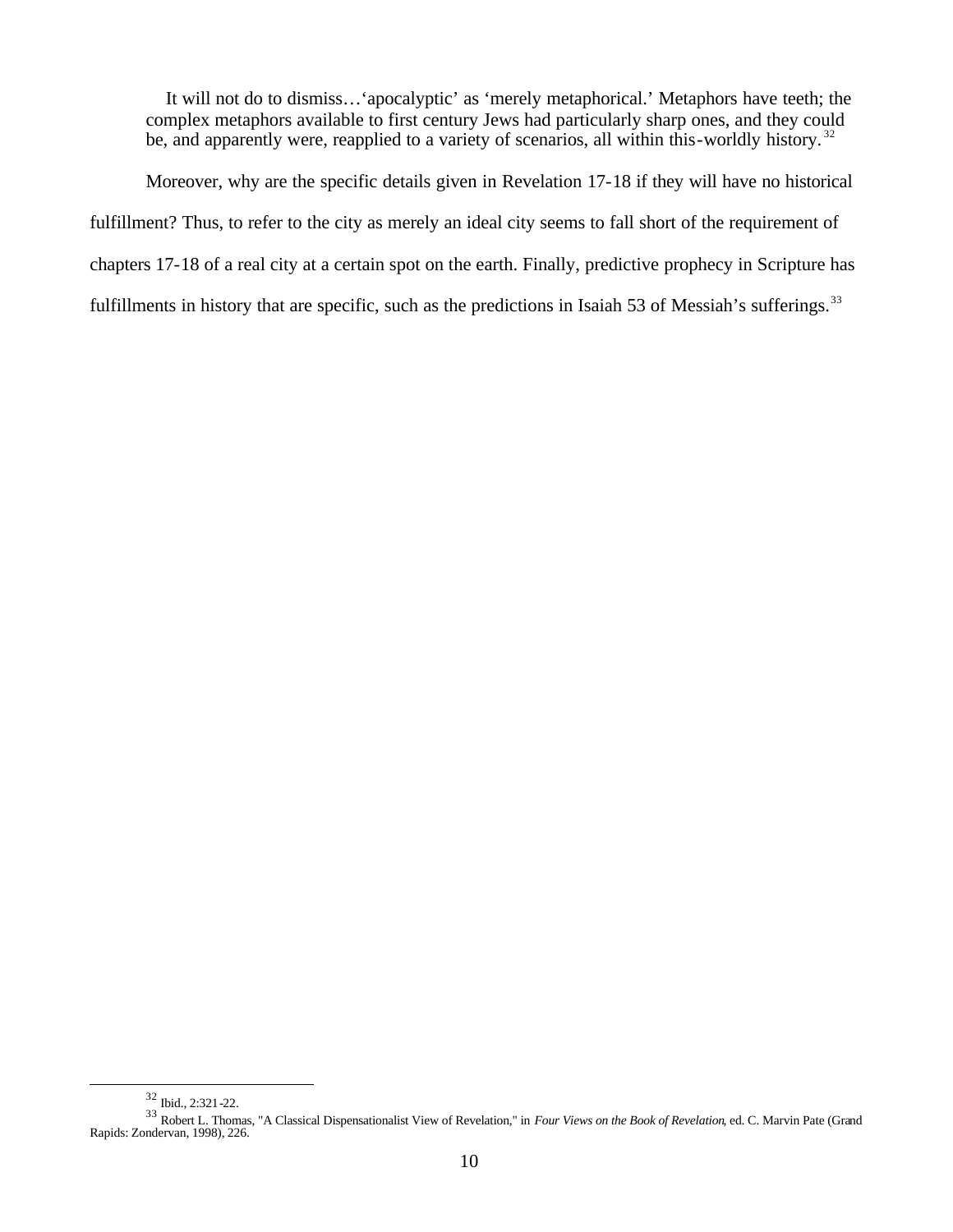It will not do to dismiss…'apocalyptic' as 'merely metaphorical.' Metaphors have teeth; the complex metaphors available to first century Jews had particularly sharp ones, and they could be, and apparently were, reapplied to a variety of scenarios, all within this-worldly history.<sup>32</sup>

Moreover, why are the specific details given in Revelation 17-18 if they will have no historical fulfillment? Thus, to refer to the city as merely an ideal city seems to fall short of the requirement of chapters 17-18 of a real city at a certain spot on the earth. Finally, predictive prophecy in Scripture has fulfillments in history that are specific, such as the predictions in Isaiah 53 of Messiah's sufferings.<sup>33</sup>

<sup>32</sup> Ibid., 2:321-22.

<sup>33</sup> Robert L. Thomas, "A Classical Dispensationalist View of Revelation," in *Four Views on the Book of Revelation*, ed. C. Marvin Pate (Grand Rapids: Zondervan, 1998), 226.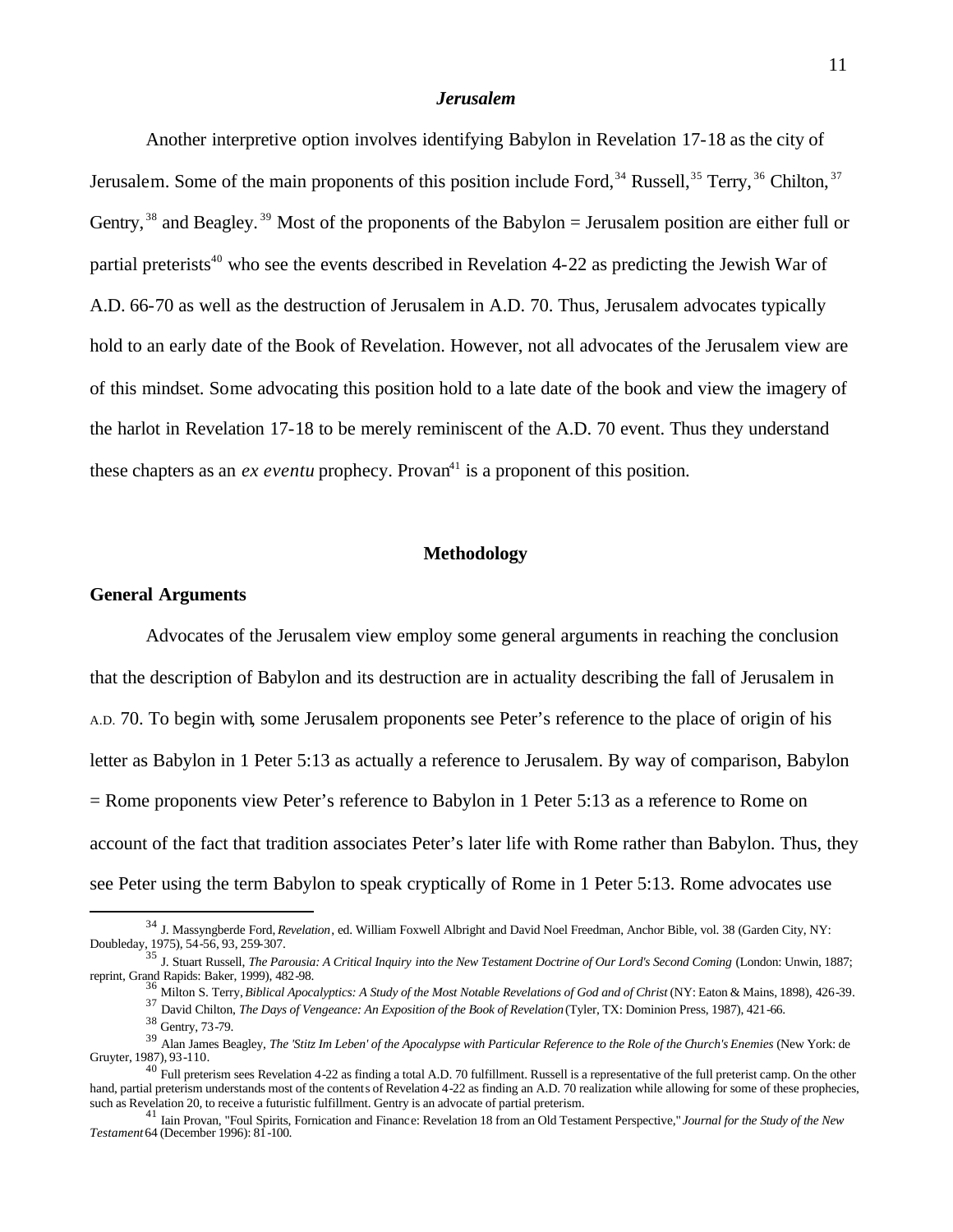### *Jerusalem*

Another interpretive option involves identifying Babylon in Revelation 17-18 as the city of Jerusalem. Some of the main proponents of this position include Ford,  $34$  Russell,  $35$  Terry,  $36$  Chilton,  $37$ Gentry,  $38$  and Beagley.  $39$  Most of the proponents of the Babylon = Jerusalem position are either full or partial preterists<sup>40</sup> who see the events described in Revelation 4-22 as predicting the Jewish War of A.D. 66-70 as well as the destruction of Jerusalem in A.D. 70. Thus, Jerusalem advocates typically hold to an early date of the Book of Revelation. However, not all advocates of the Jerusalem view are of this mindset. Some advocating this position hold to a late date of the book and view the imagery of the harlot in Revelation 17-18 to be merely reminiscent of the A.D. 70 event. Thus they understand these chapters as an *ex eventu* prophecy. Provan<sup>41</sup> is a proponent of this position.

#### **Methodology**

#### **General Arguments**

Advocates of the Jerusalem view employ some general arguments in reaching the conclusion that the description of Babylon and its destruction are in actuality describing the fall of Jerusalem in A.D. 70. To begin with, some Jerusalem proponents see Peter's reference to the place of origin of his letter as Babylon in 1 Peter 5:13 as actually a reference to Jerusalem. By way of comparison, Babylon  $=$  Rome proponents view Peter's reference to Babylon in 1 Peter 5:13 as a reference to Rome on account of the fact that tradition associates Peter's later life with Rome rather than Babylon. Thus, they see Peter using the term Babylon to speak cryptically of Rome in 1 Peter 5:13. Rome advocates use

<sup>36</sup> Milton S. Terry, *Biblical Apocalyptics: A Study of the Most Notable Revelations of God and of Christ* (NY: Eaton & Mains, 1898), 426-39.

<sup>34</sup> J. Massyngberde Ford, *Revelation*, ed. William Foxwell Albright and David Noel Freedman, Anchor Bible, vol. 38 (Garden City, NY: Doubleday, 1975), 54-56, 93, 259-307. <sup>35</sup> J. Stuart Russell, *The Parousia: A Critical Inquiry into the New Testament Doctrine of Our Lord's Second Coming* (London: Unwin, 1887;

reprint, Grand Rapids: Baker, 1999), 482-98.

<sup>37</sup> David Chilton, *The Days of Vengeance: An Exposition of the Book of Revelation* (Tyler, TX: Dominion Press, 1987), 421-66.

<sup>38</sup> Gentry, 73-79.

<sup>39</sup> Alan James Beagley, *The 'Stitz Im Leben' of the Apocalypse with Particular Reference to the Role of the Church's Enemies* (New York: de Gruyter, 1987), 93-110.

 $^{40}$  Full preterism sees Revelation 4-22 as finding a total A.D. 70 fulfillment. Russell is a representative of the full preterist camp. On the other hand, partial preterism understands most of the contents of Revelation 4-22 as finding an A.D. 70 realization while allowing for some of these prophecies, such as Revelation 20, to receive a futuristic fulfillment. Gentry is an advocate of partial preterism.

<sup>41</sup> Iain Provan, "Foul Spirits, Fornication and Finance: Revelation 18 from an Old Testament Perspective," *Journal for the Study of the New Testament* 64 (December 1996): 81-100.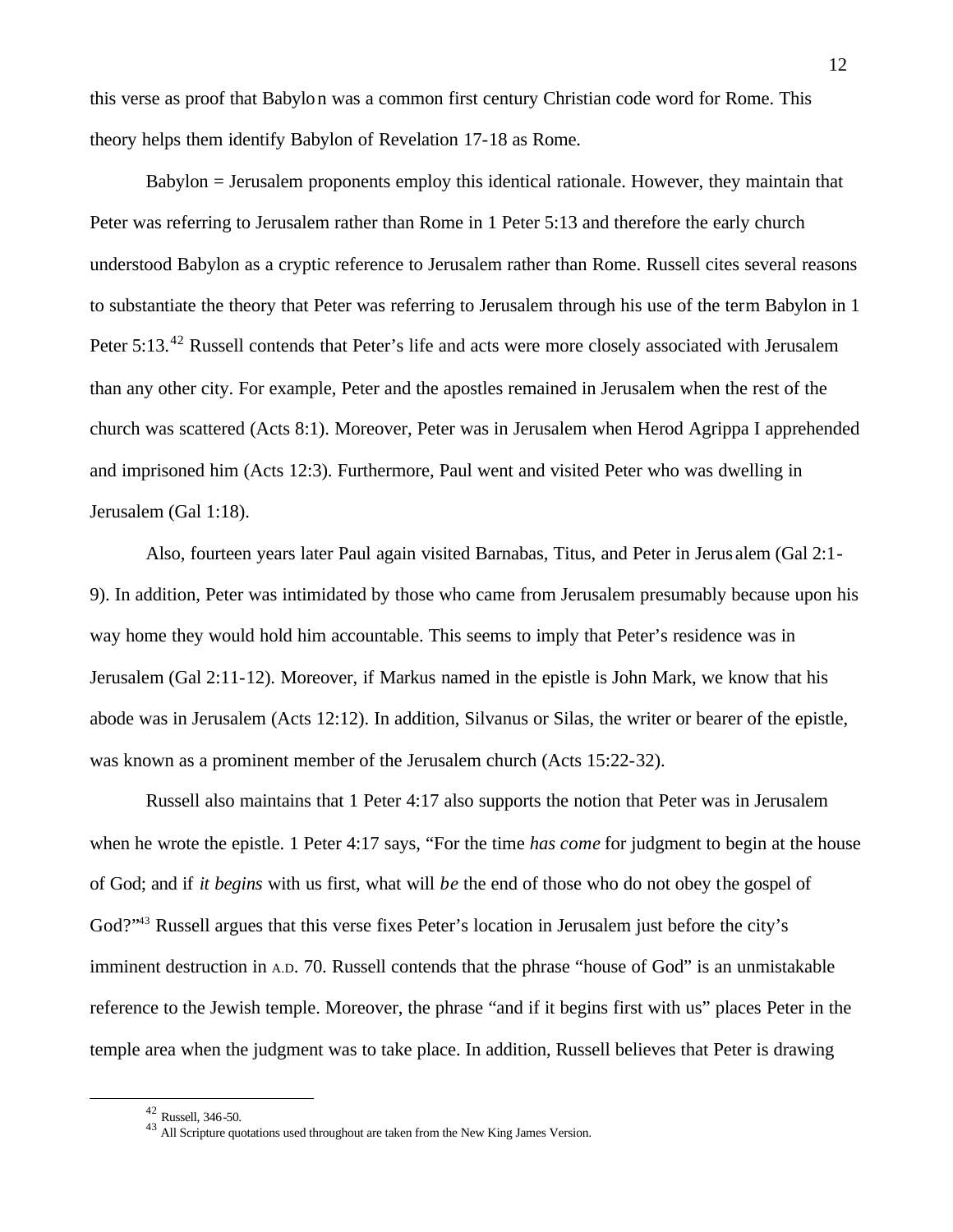this verse as proof that Babylon was a common first century Christian code word for Rome. This theory helps them identify Babylon of Revelation 17-18 as Rome.

Babylon = Jerusalem proponents employ this identical rationale. However, they maintain that Peter was referring to Jerusalem rather than Rome in 1 Peter 5:13 and therefore the early church understood Babylon as a cryptic reference to Jerusalem rather than Rome. Russell cites several reasons to substantiate the theory that Peter was referring to Jerusalem through his use of the term Babylon in 1 Peter 5:13.<sup>42</sup> Russell contends that Peter's life and acts were more closely associated with Jerusalem than any other city. For example, Peter and the apostles remained in Jerusalem when the rest of the church was scattered (Acts 8:1). Moreover, Peter was in Jerusalem when Herod Agrippa I apprehended and imprisoned him (Acts 12:3). Furthermore, Paul went and visited Peter who was dwelling in Jerusalem (Gal 1:18).

Also, fourteen years later Paul again visited Barnabas, Titus, and Peter in Jerus alem (Gal 2:1- 9). In addition, Peter was intimidated by those who came from Jerusalem presumably because upon his way home they would hold him accountable. This seems to imply that Peter's residence was in Jerusalem (Gal 2:11-12). Moreover, if Markus named in the epistle is John Mark, we know that his abode was in Jerusalem (Acts 12:12). In addition, Silvanus or Silas, the writer or bearer of the epistle, was known as a prominent member of the Jerusalem church (Acts 15:22-32).

Russell also maintains that 1 Peter 4:17 also supports the notion that Peter was in Jerusalem when he wrote the epistle. 1 Peter 4:17 says, "For the time *has come* for judgment to begin at the house of God; and if *it begins* with us first, what will *be* the end of those who do not obey the gospel of God?"<sup>43</sup> Russell argues that this verse fixes Peter's location in Jerusalem just before the city's imminent destruction in A.D. 70. Russell contends that the phrase "house of God" is an unmistakable reference to the Jewish temple. Moreover, the phrase "and if it begins first with us" places Peter in the temple area when the judgment was to take place. In addition, Russell believes that Peter is drawing

<sup>42</sup> Russell, 346-50.

 $^{43}$  All Scripture quotations used throughout are taken from the New King James Version.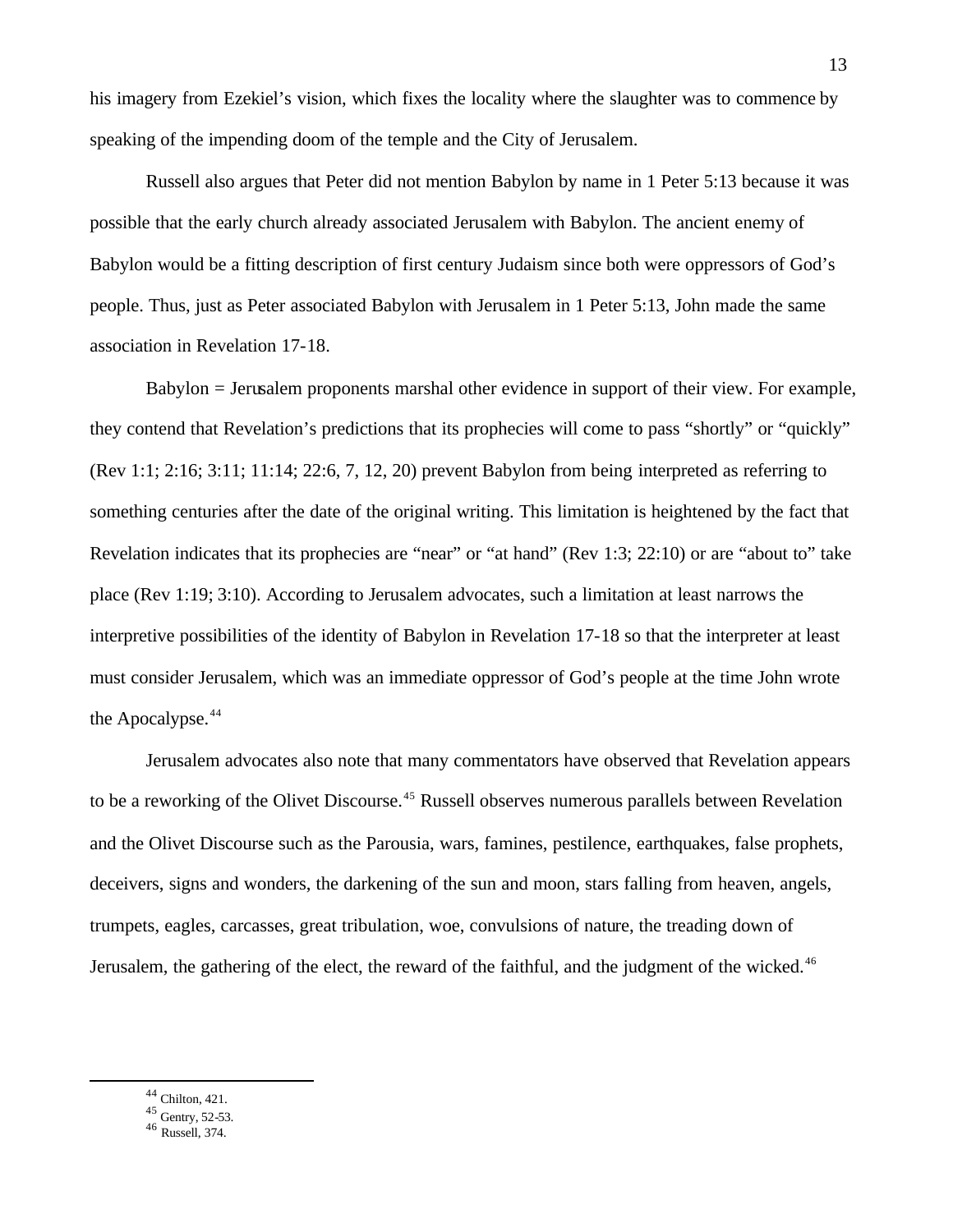his imagery from Ezekiel's vision, which fixes the locality where the slaughter was to commence by speaking of the impending doom of the temple and the City of Jerusalem.

Russell also argues that Peter did not mention Babylon by name in 1 Peter 5:13 because it was possible that the early church already associated Jerusalem with Babylon. The ancient enemy of Babylon would be a fitting description of first century Judaism since both were oppressors of God's people. Thus, just as Peter associated Babylon with Jerusalem in 1 Peter 5:13, John made the same association in Revelation 17-18.

Babylon = Jerusalem proponents marshal other evidence in support of their view. For example, they contend that Revelation's predictions that its prophecies will come to pass "shortly" or "quickly" (Rev 1:1; 2:16; 3:11; 11:14; 22:6, 7, 12, 20) prevent Babylon from being interpreted as referring to something centuries after the date of the original writing. This limitation is heightened by the fact that Revelation indicates that its prophecies are "near" or "at hand" (Rev 1:3; 22:10) or are "about to" take place (Rev 1:19; 3:10). According to Jerusalem advocates, such a limitation at least narrows the interpretive possibilities of the identity of Babylon in Revelation 17-18 so that the interpreter at least must consider Jerusalem, which was an immediate oppressor of God's people at the time John wrote the Apocalypse.<sup>44</sup>

Jerusalem advocates also note that many commentators have observed that Revelation appears to be a reworking of the Olivet Discourse.<sup>45</sup> Russell observes numerous parallels between Revelation and the Olivet Discourse such as the Parousia, wars, famines, pestilence, earthquakes, false prophets, deceivers, signs and wonders, the darkening of the sun and moon, stars falling from heaven, angels, trumpets, eagles, carcasses, great tribulation, woe, convulsions of nature, the treading down of Jerusalem, the gathering of the elect, the reward of the faithful, and the judgment of the wicked.<sup>46</sup>

<sup>44</sup> Chilton, 421.

 $45$  Gentry, 52-53.

<sup>46</sup> Russell, 374.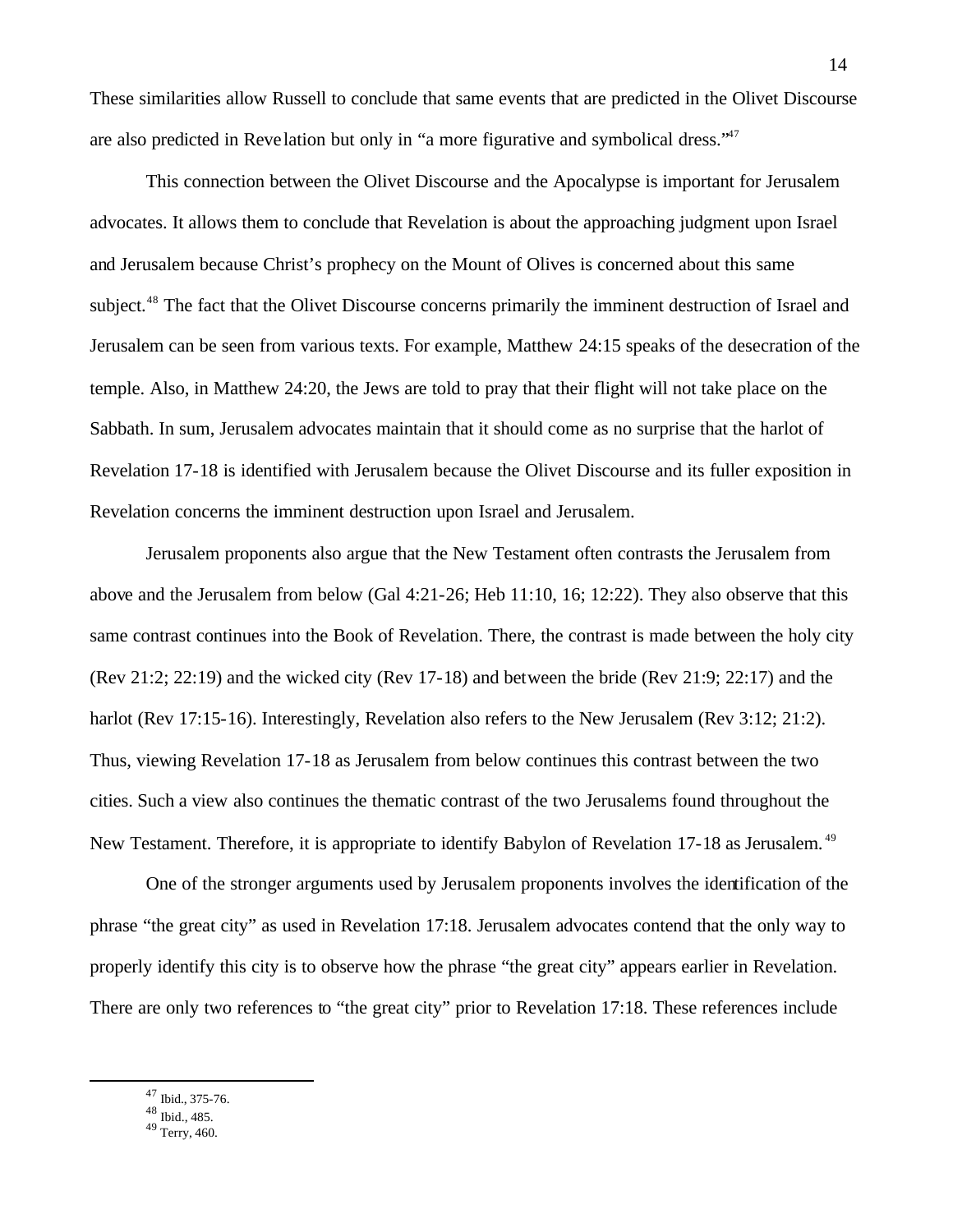These similarities allow Russell to conclude that same events that are predicted in the Olivet Discourse are also predicted in Reve lation but only in "a more figurative and symbolical dress."<sup>47</sup>

This connection between the Olivet Discourse and the Apocalypse is important for Jerusalem advocates. It allows them to conclude that Revelation is about the approaching judgment upon Israel and Jerusalem because Christ's prophecy on the Mount of Olives is concerned about this same subject.<sup>48</sup> The fact that the Olivet Discourse concerns primarily the imminent destruction of Israel and Jerusalem can be seen from various texts. For example, Matthew 24:15 speaks of the desecration of the temple. Also, in Matthew 24:20, the Jews are told to pray that their flight will not take place on the Sabbath. In sum, Jerusalem advocates maintain that it should come as no surprise that the harlot of Revelation 17-18 is identified with Jerusalem because the Olivet Discourse and its fuller exposition in Revelation concerns the imminent destruction upon Israel and Jerusalem.

Jerusalem proponents also argue that the New Testament often contrasts the Jerusalem from above and the Jerusalem from below (Gal 4:21-26; Heb 11:10, 16; 12:22). They also observe that this same contrast continues into the Book of Revelation. There, the contrast is made between the holy city (Rev 21:2; 22:19) and the wicked city (Rev 17-18) and between the bride (Rev 21:9; 22:17) and the harlot (Rev 17:15-16). Interestingly, Revelation also refers to the New Jerusalem (Rev 3:12; 21:2). Thus, viewing Revelation 17-18 as Jerusalem from below continues this contrast between the two cities. Such a view also continues the thematic contrast of the two Jerusalems found throughout the New Testament. Therefore, it is appropriate to identify Babylon of Revelation 17-18 as Jerusalem.<sup>49</sup>

One of the stronger arguments used by Jerusalem proponents involves the identification of the phrase "the great city" as used in Revelation 17:18. Jerusalem advocates contend that the only way to properly identify this city is to observe how the phrase "the great city" appears earlier in Revelation. There are only two references to "the great city" prior to Revelation 17:18. These references include

<sup>47</sup> Ibid., 375-76.

 $\overline{a}$ 

<sup>48</sup> Ibid., 485.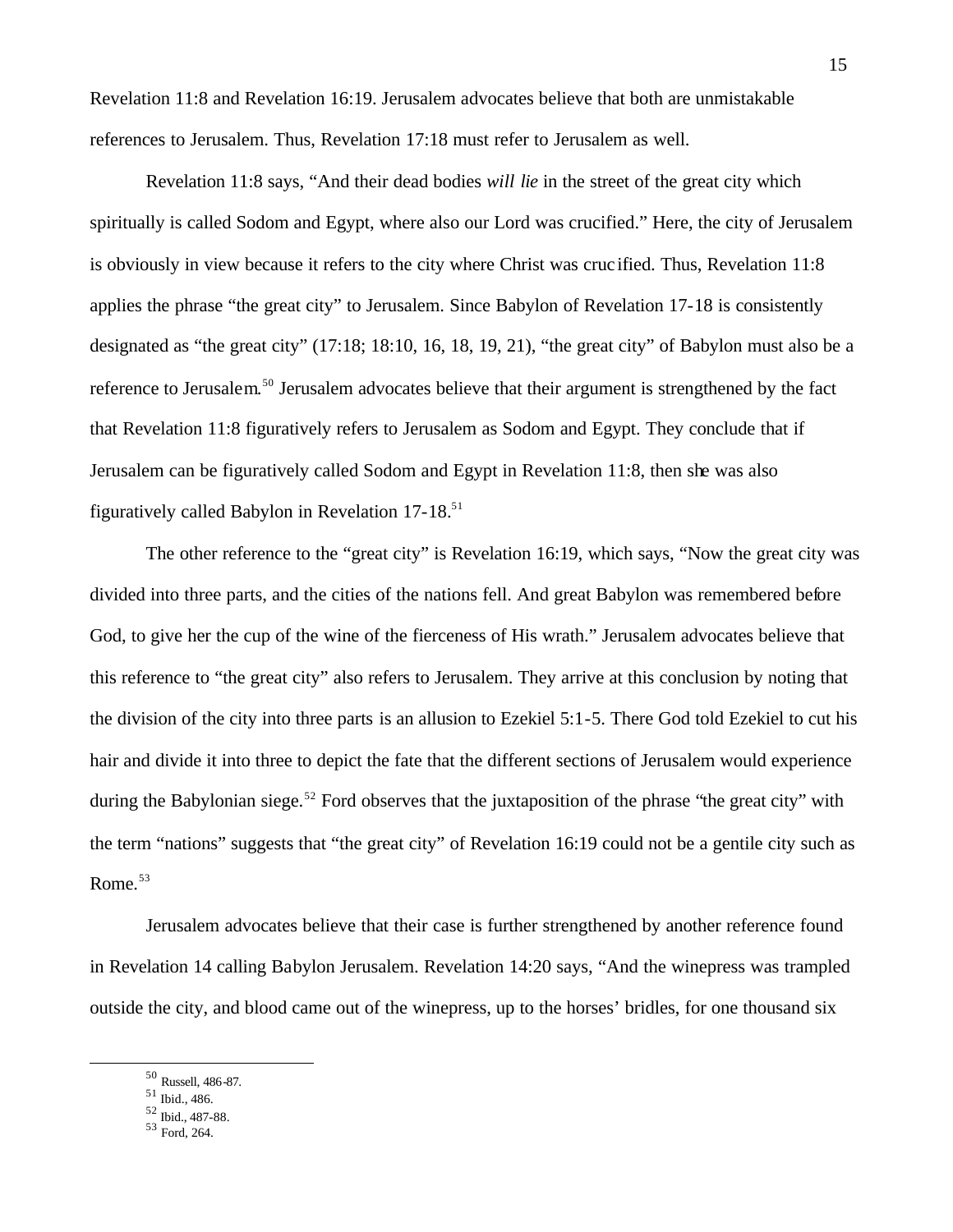Revelation 11:8 and Revelation 16:19. Jerusalem advocates believe that both are unmistakable references to Jerusalem. Thus, Revelation 17:18 must refer to Jerusalem as well.

Revelation 11:8 says, "And their dead bodies *will lie* in the street of the great city which spiritually is called Sodom and Egypt, where also our Lord was crucified." Here, the city of Jerusalem is obviously in view because it refers to the city where Christ was cruc ified. Thus, Revelation 11:8 applies the phrase "the great city" to Jerusalem. Since Babylon of Revelation 17-18 is consistently designated as "the great city" (17:18; 18:10, 16, 18, 19, 21), "the great city" of Babylon must also be a reference to Jerusalem.<sup>50</sup> Jerusalem advocates believe that their argument is strengthened by the fact that Revelation 11:8 figuratively refers to Jerusalem as Sodom and Egypt. They conclude that if Jerusalem can be figuratively called Sodom and Egypt in Revelation 11:8, then she was also figuratively called Babylon in Revelation  $17-18$ .<sup>51</sup>

The other reference to the "great city" is Revelation 16:19, which says, "Now the great city was divided into three parts, and the cities of the nations fell. And great Babylon was remembered before God, to give her the cup of the wine of the fierceness of His wrath." Jerusalem advocates believe that this reference to "the great city" also refers to Jerusalem. They arrive at this conclusion by noting that the division of the city into three parts is an allusion to Ezekiel 5:1-5. There God told Ezekiel to cut his hair and divide it into three to depict the fate that the different sections of Jerusalem would experience during the Babylonian siege.<sup>52</sup> Ford observes that the juxtaposition of the phrase "the great city" with the term "nations" suggests that "the great city" of Revelation 16:19 could not be a gentile city such as Rome. $53$ 

Jerusalem advocates believe that their case is further strengthened by another reference found in Revelation 14 calling Babylon Jerusalem. Revelation 14:20 says, "And the winepress was trampled outside the city, and blood came out of the winepress, up to the horses' bridles, for one thousand six

<sup>50</sup> Russell, 486-87.

<sup>51</sup> Ibid., 486.

<sup>52</sup> Ibid., 487-88.

<sup>53</sup> Ford, 264.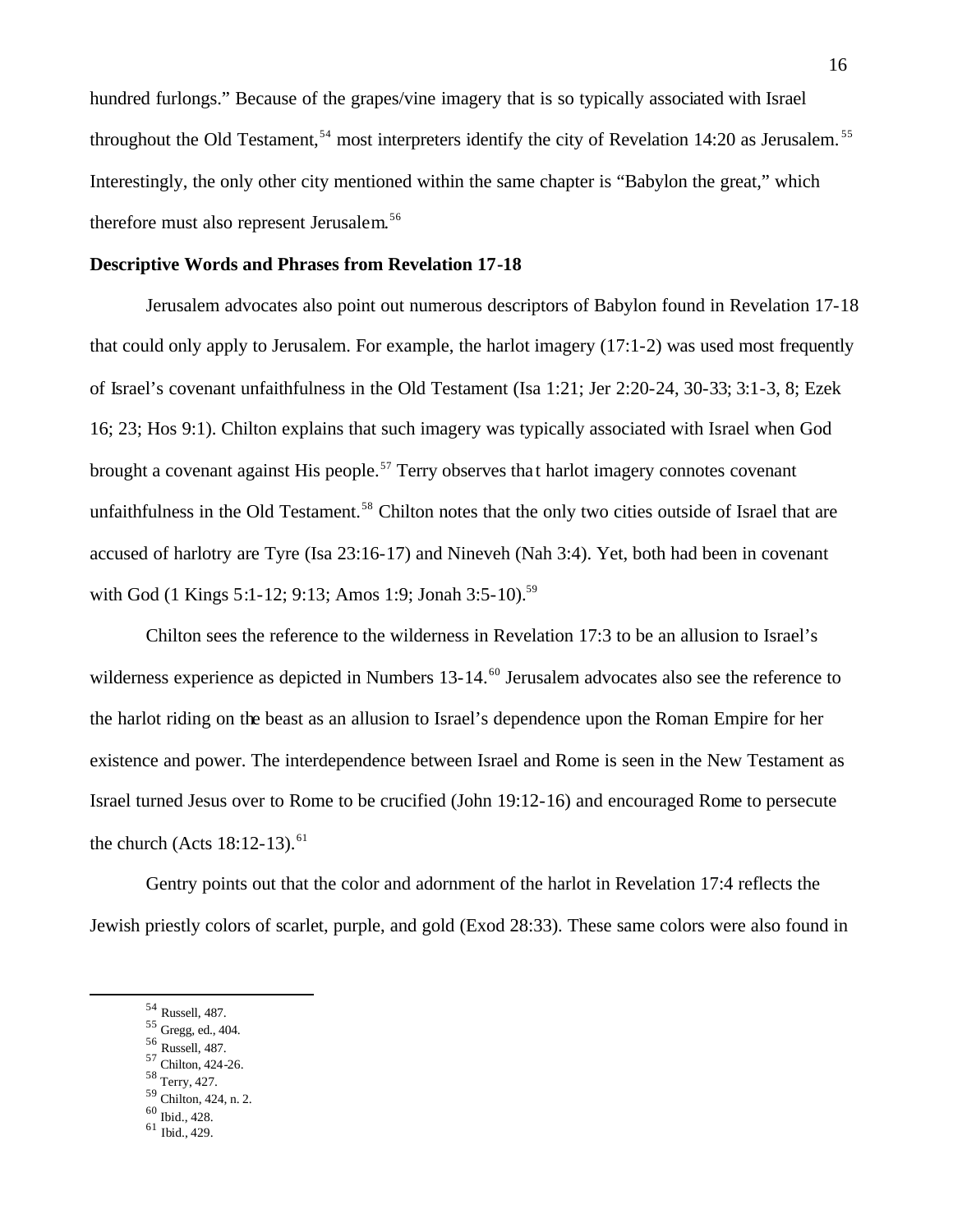hundred furlongs." Because of the grapes/vine imagery that is so typically associated with Israel throughout the Old Testament,<sup>54</sup> most interpreters identify the city of Revelation 14:20 as Jerusalem.<sup>55</sup> Interestingly, the only other city mentioned within the same chapter is "Babylon the great," which therefore must also represent Jerusalem.<sup>56</sup>

#### **Descriptive Words and Phrases from Revelation 17-18**

Jerusalem advocates also point out numerous descriptors of Babylon found in Revelation 17-18 that could only apply to Jerusalem. For example, the harlot imagery (17:1-2) was used most frequently of Israel's covenant unfaithfulness in the Old Testament (Isa 1:21; Jer 2:20-24, 30-33; 3:1-3, 8; Ezek 16; 23; Hos 9:1). Chilton explains that such imagery was typically associated with Israel when God brought a covenant against His people.<sup>57</sup> Terry observes that harlot imagery connotes covenant unfaithfulness in the Old Testament.<sup>58</sup> Chilton notes that the only two cities outside of Israel that are accused of harlotry are Tyre (Isa 23:16-17) and Nineveh (Nah 3:4). Yet, both had been in covenant with God (1 Kings 5:1-12; 9:13; Amos 1:9; Jonah 3:5-10).<sup>59</sup>

Chilton sees the reference to the wilderness in Revelation 17:3 to be an allusion to Israel's wilderness experience as depicted in Numbers 13-14.<sup>60</sup> Jerusalem advocates also see the reference to the harlot riding on the beast as an allusion to Israel's dependence upon the Roman Empire for her existence and power. The interdependence between Israel and Rome is seen in the New Testament as Israel turned Jesus over to Rome to be crucified (John 19:12-16) and encouraged Rome to persecute the church (Acts  $18:12-13$ ).<sup>61</sup>

Gentry points out that the color and adornment of the harlot in Revelation 17:4 reflects the Jewish priestly colors of scarlet, purple, and gold (Exod 28:33). These same colors were also found in

<sup>54</sup> Russell, 487.

<sup>55</sup> Gregg, ed., 404.

<sup>56</sup> Russell, 487.

<sup>57</sup> Chilton, 424-26. <sup>58</sup> Terry, 427.

<sup>59</sup> Chilton, 424, n. 2. <sup>60</sup> Ibid., 428.

<sup>61</sup> Ibid., 429.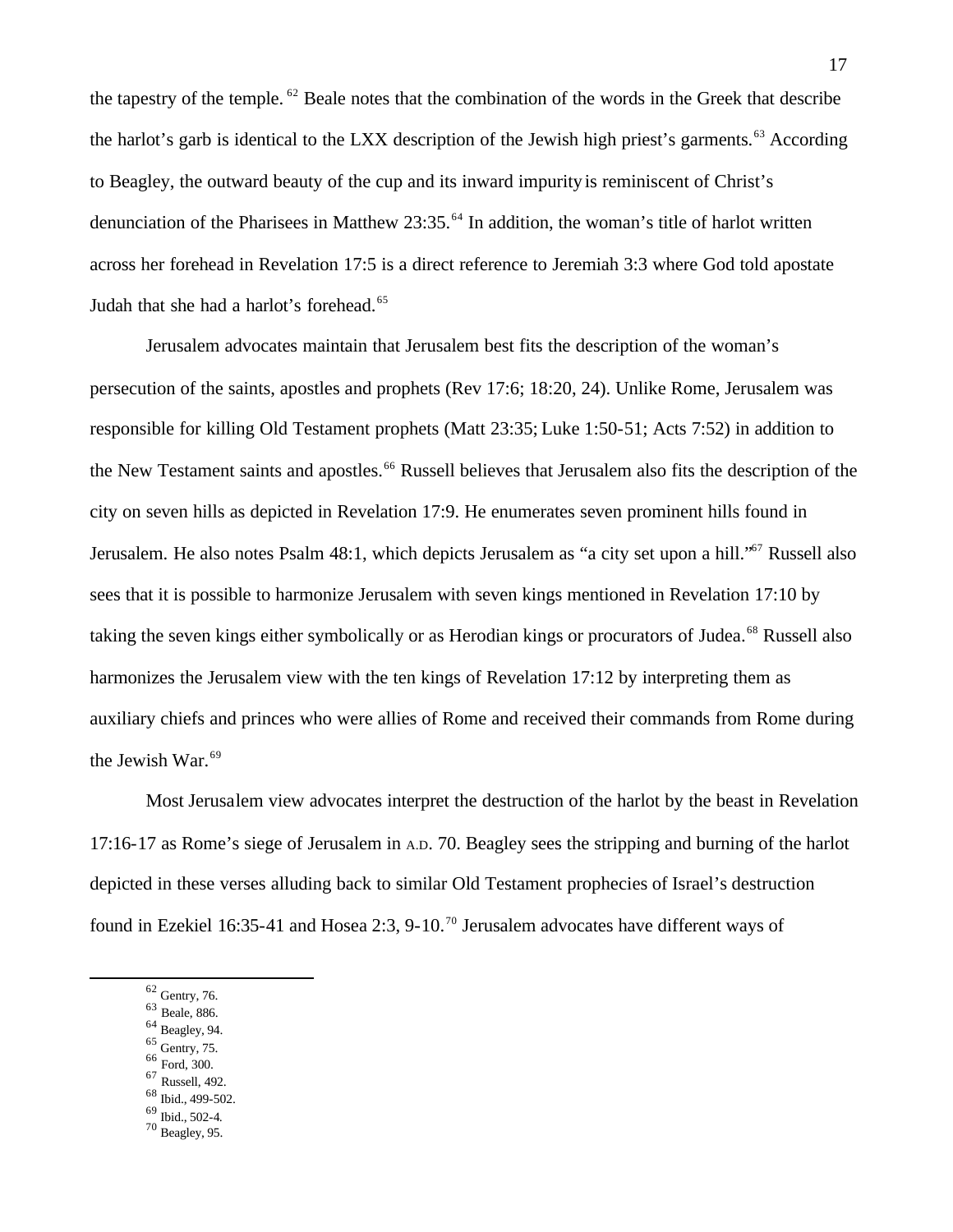the tapestry of the temple. <sup>62</sup> Beale notes that the combination of the words in the Greek that describe the harlot's garb is identical to the LXX description of the Jewish high priest's garments.<sup>63</sup> According to Beagley, the outward beauty of the cup and its inward impurity is reminiscent of Christ's denunciation of the Pharisees in Matthew 23:35.<sup>64</sup> In addition, the woman's title of harlot written across her forehead in Revelation 17:5 is a direct reference to Jeremiah 3:3 where God told apostate Judah that she had a harlot's forehead.<sup>65</sup>

Jerusalem advocates maintain that Jerusalem best fits the description of the woman's persecution of the saints, apostles and prophets (Rev 17:6; 18:20, 24). Unlike Rome, Jerusalem was responsible for killing Old Testament prophets (Matt 23:35; Luke 1:50-51; Acts 7:52) in addition to the New Testament saints and apostles.<sup>66</sup> Russell believes that Jerusalem also fits the description of the city on seven hills as depicted in Revelation 17:9. He enumerates seven prominent hills found in Jerusalem. He also notes Psalm 48:1, which depicts Jerusalem as "a city set upon a hill."<sup>67</sup> Russell also sees that it is possible to harmonize Jerusalem with seven kings mentioned in Revelation 17:10 by taking the seven kings either symbolically or as Herodian kings or procurators of Judea.<sup>68</sup> Russell also harmonizes the Jerusalem view with the ten kings of Revelation 17:12 by interpreting them as auxiliary chiefs and princes who were allies of Rome and received their commands from Rome during the Jewish War.<sup>69</sup>

Most Jerusalem view advocates interpret the destruction of the harlot by the beast in Revelation 17:16-17 as Rome's siege of Jerusalem in A.D. 70. Beagley sees the stripping and burning of the harlot depicted in these verses alluding back to similar Old Testament prophecies of Israel's destruction found in Ezekiel 16:35-41 and Hosea 2:3, 9-10.<sup>70</sup> Jerusalem advocates have different ways of

- <sup>63</sup> Beale, 886.
- $\,$  64 Beagley, 94.
- <sup>65</sup> Gentry, 75.  $\,$  ford, 300.
- 
- <sup>67</sup> Russell, 492. <sup>68</sup> Ibid., 499-502.
- <sup>69</sup> Ibid., 502-4.
- <sup>70</sup> Beagley, 95.

 $62$  Gentry, 76.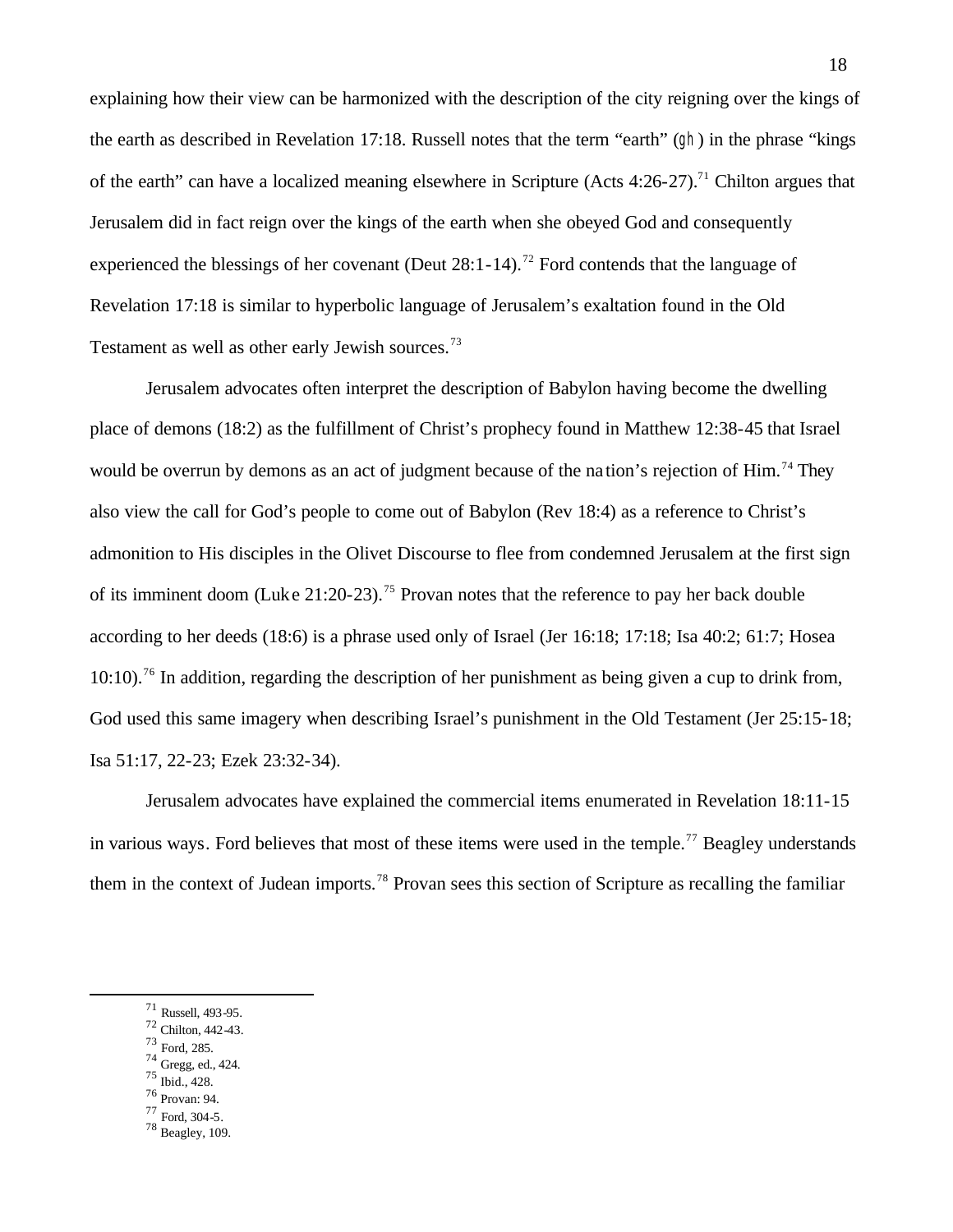explaining how their view can be harmonized with the description of the city reigning over the kings of the earth as described in Revelation 17:18. Russell notes that the term "earth" (gh) in the phrase "kings of the earth" can have a localized meaning elsewhere in Scripture (Acts  $4:26-27$ ).<sup>71</sup> Chilton argues that Jerusalem did in fact reign over the kings of the earth when she obeyed God and consequently experienced the blessings of her covenant (Deut  $28:1-14$ ).<sup>72</sup> Ford contends that the language of Revelation 17:18 is similar to hyperbolic language of Jerusalem's exaltation found in the Old Testament as well as other early Jewish sources.<sup>73</sup>

Jerusalem advocates often interpret the description of Babylon having become the dwelling place of demons (18:2) as the fulfillment of Christ's prophecy found in Matthew 12:38-45 that Israel would be overrun by demons as an act of judgment because of the nation's rejection of Him.<sup>74</sup> They also view the call for God's people to come out of Babylon (Rev 18:4) as a reference to Christ's admonition to His disciples in the Olivet Discourse to flee from condemned Jerusalem at the first sign of its imminent doom (Luke 21:20-23).<sup>75</sup> Provan notes that the reference to pay her back double according to her deeds (18:6) is a phrase used only of Israel (Jer 16:18; 17:18; Isa 40:2; 61:7; Hosea  $10:10$ .<sup>76</sup> In addition, regarding the description of her punishment as being given a cup to drink from. God used this same imagery when describing Israel's punishment in the Old Testament (Jer 25:15-18; Isa 51:17, 22-23; Ezek 23:32-34).

Jerusalem advocates have explained the commercial items enumerated in Revelation 18:11-15 in various ways. Ford believes that most of these items were used in the temple.<sup>77</sup> Beagley understands them in the context of Judean imports.<sup>78</sup> Provan sees this section of Scripture as recalling the familiar

- 72 Chilton, 442-43.
- <sup>73</sup> Ford, 285. <sup>74</sup> Gregg, ed., 424.

- <sup>75</sup> Ibid., 428.
- <sup>76</sup> Provan: 94.
- <sup>77</sup> Ford, 304-5.
- <sup>78</sup> Beagley, 109.

<sup>71</sup> Russell, 493-95.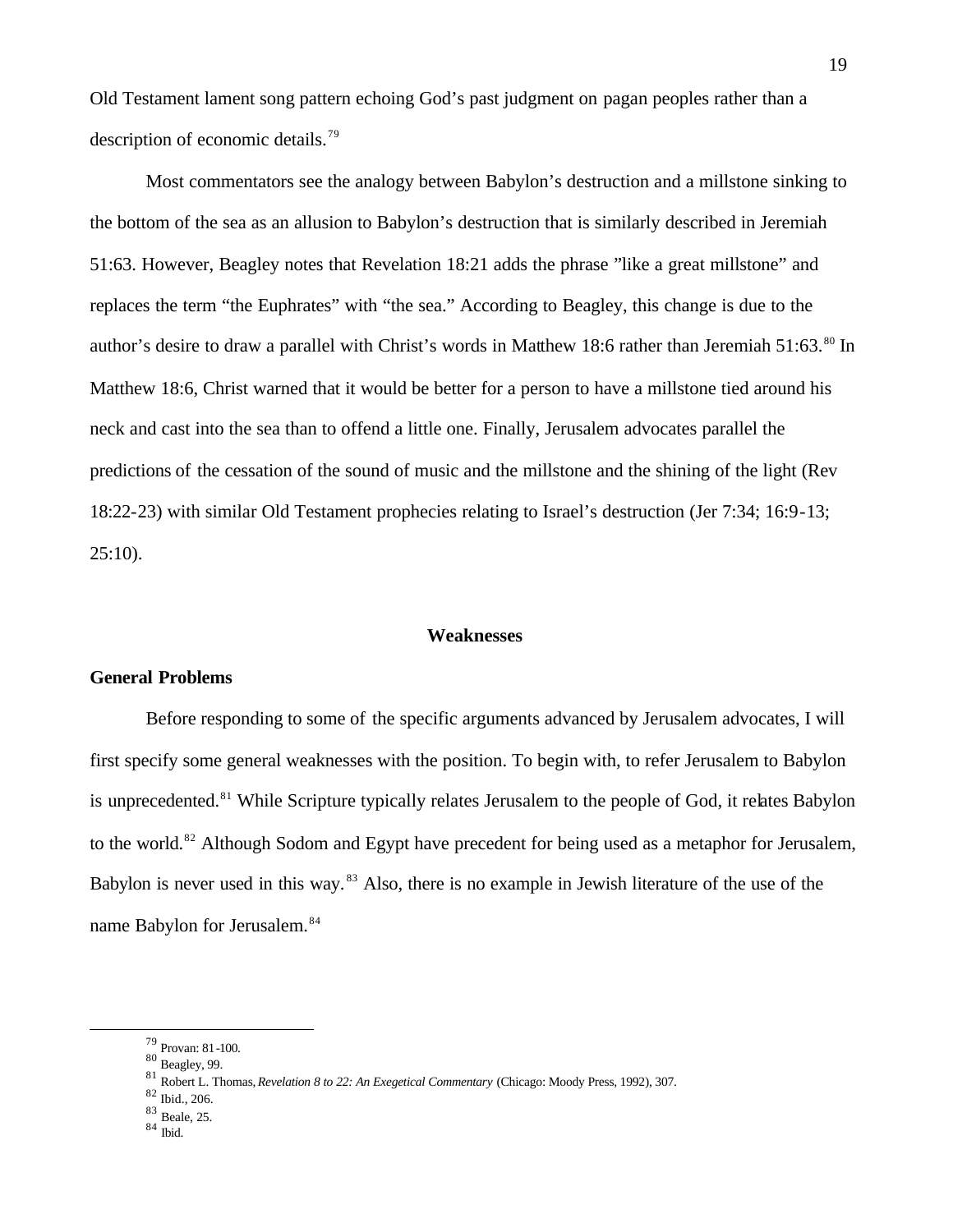Old Testament lament song pattern echoing God's past judgment on pagan peoples rather than a description of economic details.<sup>79</sup>

Most commentators see the analogy between Babylon's destruction and a millstone sinking to the bottom of the sea as an allusion to Babylon's destruction that is similarly described in Jeremiah 51:63. However, Beagley notes that Revelation 18:21 adds the phrase "like a great millstone" and replaces the term "the Euphrates" with "the sea." According to Beagley, this change is due to the author's desire to draw a parallel with Christ's words in Matthew 18:6 rather than Jeremiah 51:63.<sup>80</sup> In Matthew 18:6, Christ warned that it would be better for a person to have a millstone tied around his neck and cast into the sea than to offend a little one. Finally, Jerusalem advocates parallel the predictions of the cessation of the sound of music and the millstone and the shining of the light (Rev 18:22-23) with similar Old Testament prophecies relating to Israel's destruction (Jer 7:34; 16:9-13;  $25:10$ ).

#### **Weaknesses**

# **General Problems**

Before responding to some of the specific arguments advanced by Jerusalem advocates, I will first specify some general weaknesses with the position. To begin with, to refer Jerusalem to Babylon is unprecedented.<sup>81</sup> While Scripture typically relates Jerusalem to the people of God, it relates Babylon to the world.<sup>82</sup> Although Sodom and Egypt have precedent for being used as a metaphor for Jerusalem, Babylon is never used in this way.<sup>83</sup> Also, there is no example in Jewish literature of the use of the name Babylon for Jerusalem.<sup>84</sup>

<sup>79</sup> Provan: 81-100.

<sup>80</sup> Beagley, 99.

<sup>81</sup> Robert L. Thomas, *Revelation 8 to 22: An Exegetical Commentary* (Chicago: Moody Press, 1992), 307.

<sup>82</sup> Ibid., 206.

<sup>83</sup> Beale, 25.

 $84$  Ibid.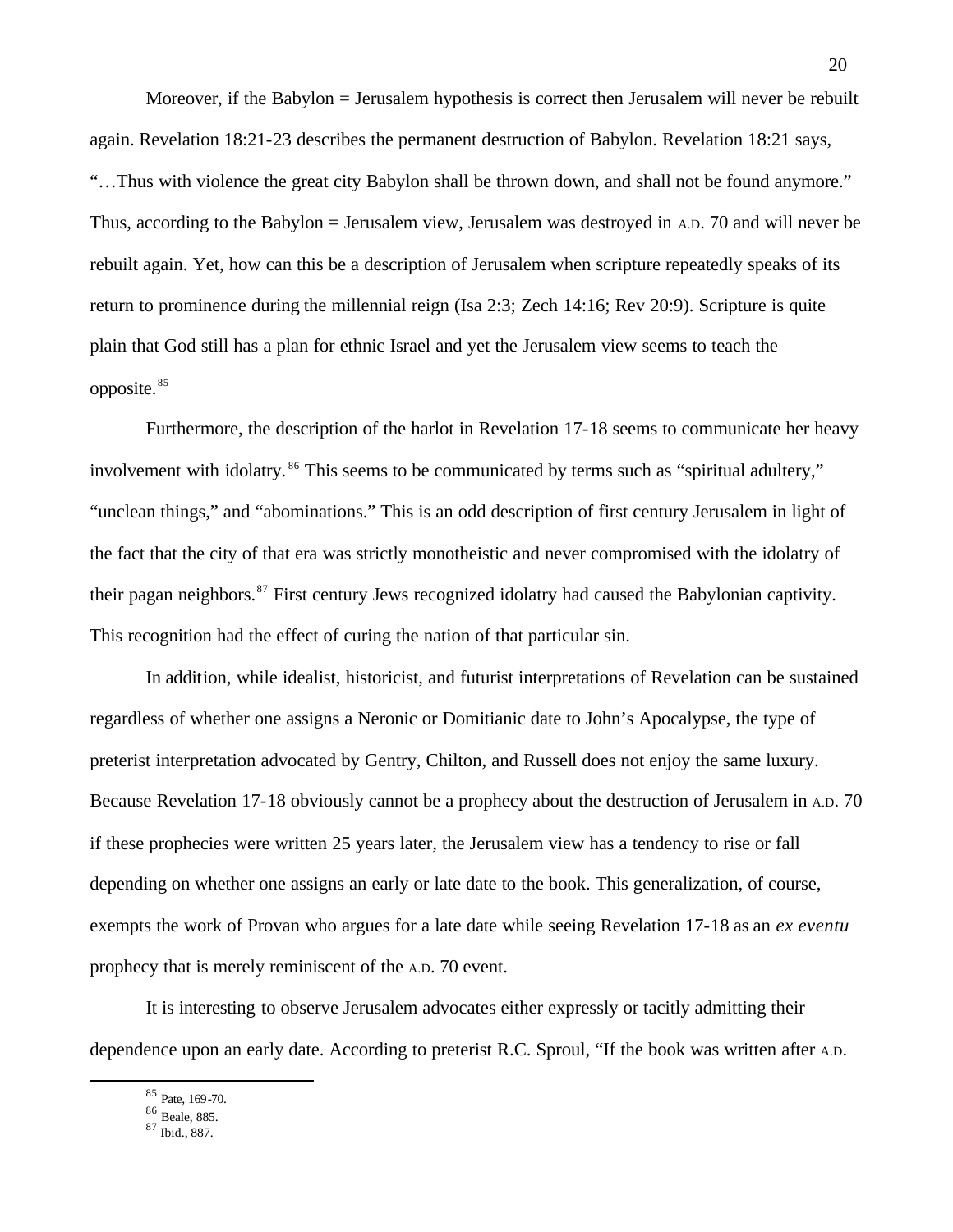Moreover, if the Babylon = Jerusalem hypothesis is correct then Jerusalem will never be rebuilt again. Revelation 18:21-23 describes the permanent destruction of Babylon. Revelation 18:21 says, "…Thus with violence the great city Babylon shall be thrown down, and shall not be found anymore." Thus, according to the Babylon = Jerusalem view, Jerusalem was destroyed in A.D. 70 and will never be rebuilt again. Yet, how can this be a description of Jerusalem when scripture repeatedly speaks of its return to prominence during the millennial reign (Isa 2:3; Zech 14:16; Rev 20:9). Scripture is quite plain that God still has a plan for ethnic Israel and yet the Jerusalem view seems to teach the opposite.<sup>85</sup>

Furthermore, the description of the harlot in Revelation 17-18 seems to communicate her heavy involvement with idolatry.<sup>86</sup> This seems to be communicated by terms such as "spiritual adultery," "unclean things," and "abominations." This is an odd description of first century Jerusalem in light of the fact that the city of that era was strictly monotheistic and never compromised with the idolatry of their pagan neighbors.<sup>87</sup> First century Jews recognized idolatry had caused the Babylonian captivity. This recognition had the effect of curing the nation of that particular sin.

In addition, while idealist, historicist, and futurist interpretations of Revelation can be sustained regardless of whether one assigns a Neronic or Domitianic date to John's Apocalypse, the type of preterist interpretation advocated by Gentry, Chilton, and Russell does not enjoy the same luxury. Because Revelation 17-18 obviously cannot be a prophecy about the destruction of Jerusalem in A.D. 70 if these prophecies were written 25 years later, the Jerusalem view has a tendency to rise or fall depending on whether one assigns an early or late date to the book. This generalization, of course, exempts the work of Provan who argues for a late date while seeing Revelation 17-18 as an *ex eventu* prophecy that is merely reminiscent of the A.D. 70 event.

It is interesting to observe Jerusalem advocates either expressly or tacitly admitting their dependence upon an early date. According to preterist R.C. Sproul, "If the book was written after A.D.

<sup>85</sup> Pate, 169-70.

 $\overline{a}$ 

<sup>86</sup> Beale, 885.

<sup>87</sup> Ibid., 887.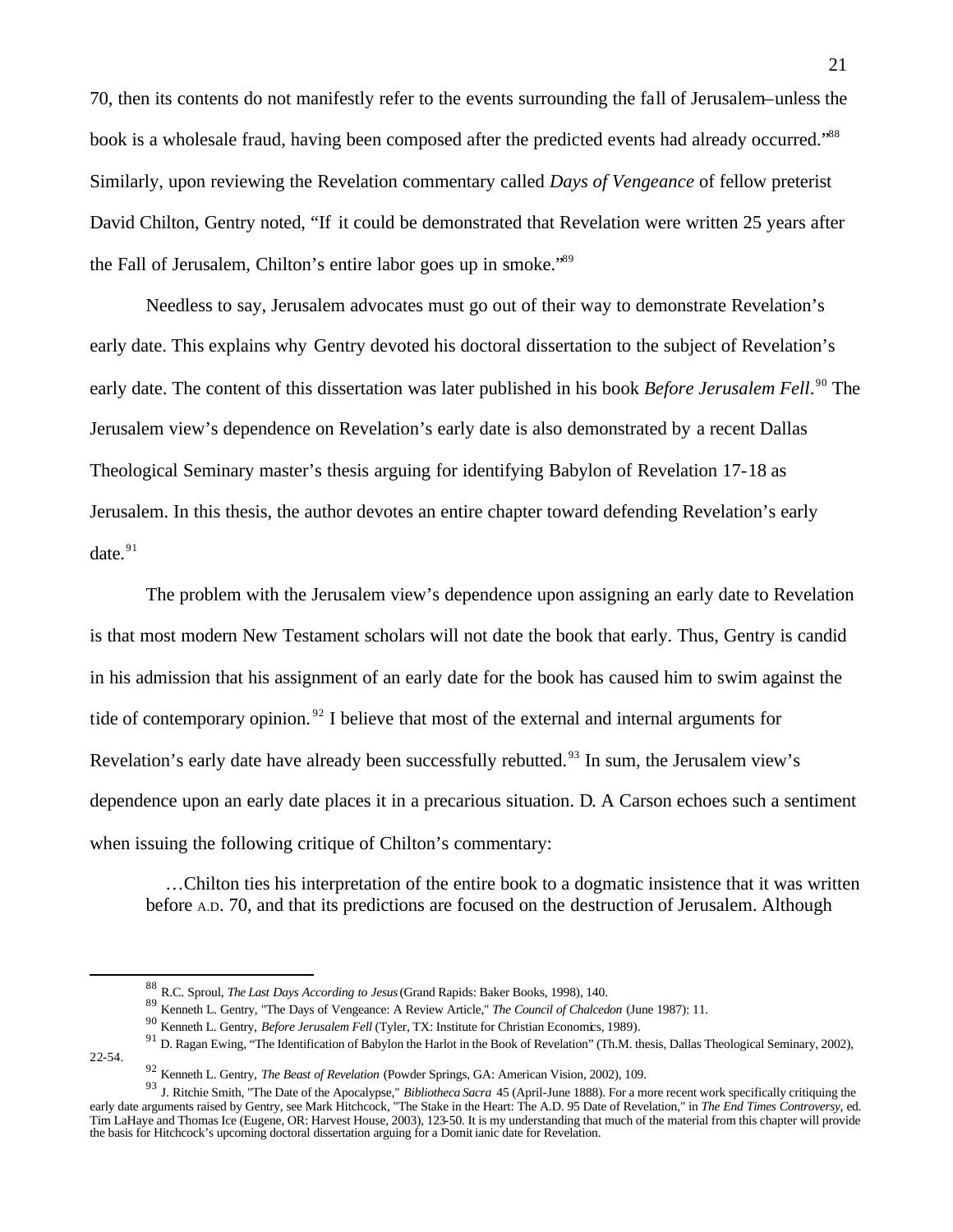70, then its contents do not manifestly refer to the events surrounding the fall of Jerusalem–unless the book is a wholesale fraud, having been composed after the predicted events had already occurred."<sup>88</sup> Similarly, upon reviewing the Revelation commentary called *Days of Vengeance* of fellow preterist David Chilton, Gentry noted, "If it could be demonstrated that Revelation were written 25 years after the Fall of Jerusalem, Chilton's entire labor goes up in smoke."<sup>89</sup>

Needless to say, Jerusalem advocates must go out of their way to demonstrate Revelation's early date. This explains why Gentry devoted his doctoral dissertation to the subject of Revelation's early date. The content of this dissertation was later published in his book *Before Jerusalem Fell*.<sup>90</sup> The Jerusalem view's dependence on Revelation's early date is also demonstrated by a recent Dallas Theological Seminary master's thesis arguing for identifying Babylon of Revelation 17-18 as Jerusalem. In this thesis, the author devotes an entire chapter toward defending Revelation's early date. $91$ 

The problem with the Jerusalem view's dependence upon assigning an early date to Revelation is that most modern New Testament scholars will not date the book that early. Thus, Gentry is candid in his admission that his assignment of an early date for the book has caused him to swim against the tide of contemporary opinion.<sup>92</sup> I believe that most of the external and internal arguments for Revelation's early date have already been successfully rebutted.<sup>93</sup> In sum, the Jerusalem view's dependence upon an early date places it in a precarious situation. D. A Carson echoes such a sentiment when issuing the following critique of Chilton's commentary:

 …Chilton ties his interpretation of the entire book to a dogmatic insistence that it was written before A.D. 70, and that its predictions are focused on the destruction of Jerusalem. Although

22-54.

<sup>88</sup> R.C. Sproul, *The Last Days According to Jesus* (Grand Rapids: Baker Books, 1998), 140.

<sup>89</sup> Kenneth L. Gentry, "The Days of Vengeance: A Review Article," *The Council of Chalcedon* (June 1987): 11.

<sup>90</sup> Kenneth L. Gentry, *Before Jerusalem Fell* (Tyler, TX: Institute for Christian Economics, 1989).

<sup>&</sup>lt;sup>91</sup> D. Ragan Ewing, "The Identification of Babylon the Harlot in the Book of Revelation" (Th.M. thesis, Dallas Theological Seminary, 2002),

<sup>92</sup> Kenneth L. Gentry, *The Beast of Revelation* (Powder Springs, GA: American Vision, 2002), 109.

<sup>93</sup> J. Ritchie Smith, "The Date of the Apocalypse," *Bibliotheca Sacra* 45 (April-June 1888). For a more recent work specifically critiquing the early date arguments raised by Gentry, see Mark Hitchcock, "The Stake in the Heart: The A.D. 95 Date of Revelation," in *The End Times Controversy*, ed. Tim LaHaye and Thomas Ice (Eugene, OR: Harvest House, 2003), 123-50. It is my understanding that much of the material from this chapter will provide the basis for Hitchcock's upcoming doctoral dissertation arguing for a Domit ianic date for Revelation.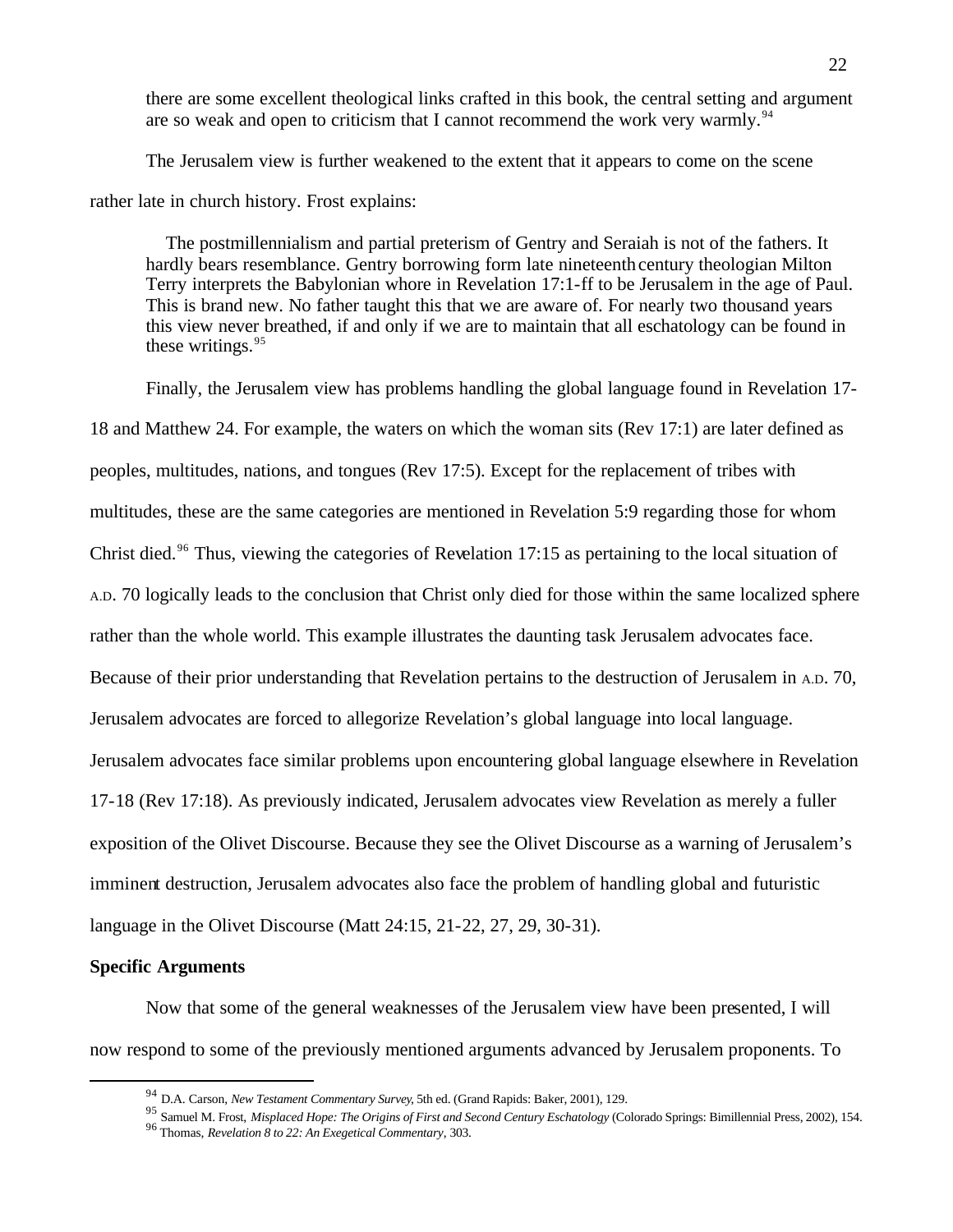there are some excellent theological links crafted in this book, the central setting and argument are so weak and open to criticism that I cannot recommend the work very warmly.<sup>94</sup>

The Jerusalem view is further weakened to the extent that it appears to come on the scene rather late in church history. Frost explains:

 The postmillennialism and partial preterism of Gentry and Seraiah is not of the fathers. It hardly bears resemblance. Gentry borrowing form late nineteenth century theologian Milton Terry interprets the Babylonian whore in Revelation 17:1-ff to be Jerusalem in the age of Paul. This is brand new. No father taught this that we are aware of. For nearly two thousand years this view never breathed, if and only if we are to maintain that all eschatology can be found in these writings.<sup>95</sup>

Finally, the Jerusalem view has problems handling the global language found in Revelation 17- 18 and Matthew 24. For example, the waters on which the woman sits (Rev 17:1) are later defined as peoples, multitudes, nations, and tongues (Rev 17:5). Except for the replacement of tribes with multitudes, these are the same categories are mentioned in Revelation 5:9 regarding those for whom Christ died.<sup>96</sup> Thus, viewing the categories of Revelation 17:15 as pertaining to the local situation of A.D. 70 logically leads to the conclusion that Christ only died for those within the same localized sphere rather than the whole world. This example illustrates the daunting task Jerusalem advocates face. Because of their prior understanding that Revelation pertains to the destruction of Jerusalem in A.D. 70, Jerusalem advocates are forced to allegorize Revelation's global language into local language. Jerusalem advocates face similar problems upon encountering global language elsewhere in Revelation 17-18 (Rev 17:18). As previously indicated, Jerusalem advocates view Revelation as merely a fuller exposition of the Olivet Discourse. Because they see the Olivet Discourse as a warning of Jerusalem's imminent destruction, Jerusalem advocates also face the problem of handling global and futuristic language in the Olivet Discourse (Matt 24:15, 21-22, 27, 29, 30-31).

# **Specific Arguments**

 $\overline{a}$ 

Now that some of the general weaknesses of the Jerusalem view have been presented, I will now respond to some of the previously mentioned arguments advanced by Jerusalem proponents. To

<sup>94</sup> D.A. Carson, *New Testament Commentary Survey*, 5th ed. (Grand Rapids: Baker, 2001), 129.

<sup>95</sup> Samuel M. Frost, *Misplaced Hope: The Origins of First and Second Century Eschatology* (Colorado Springs: Bimillennial Press, 2002), 154. <sup>96</sup> Thomas, *Revelation 8 to 22: An Exegetical Commentary*, 303.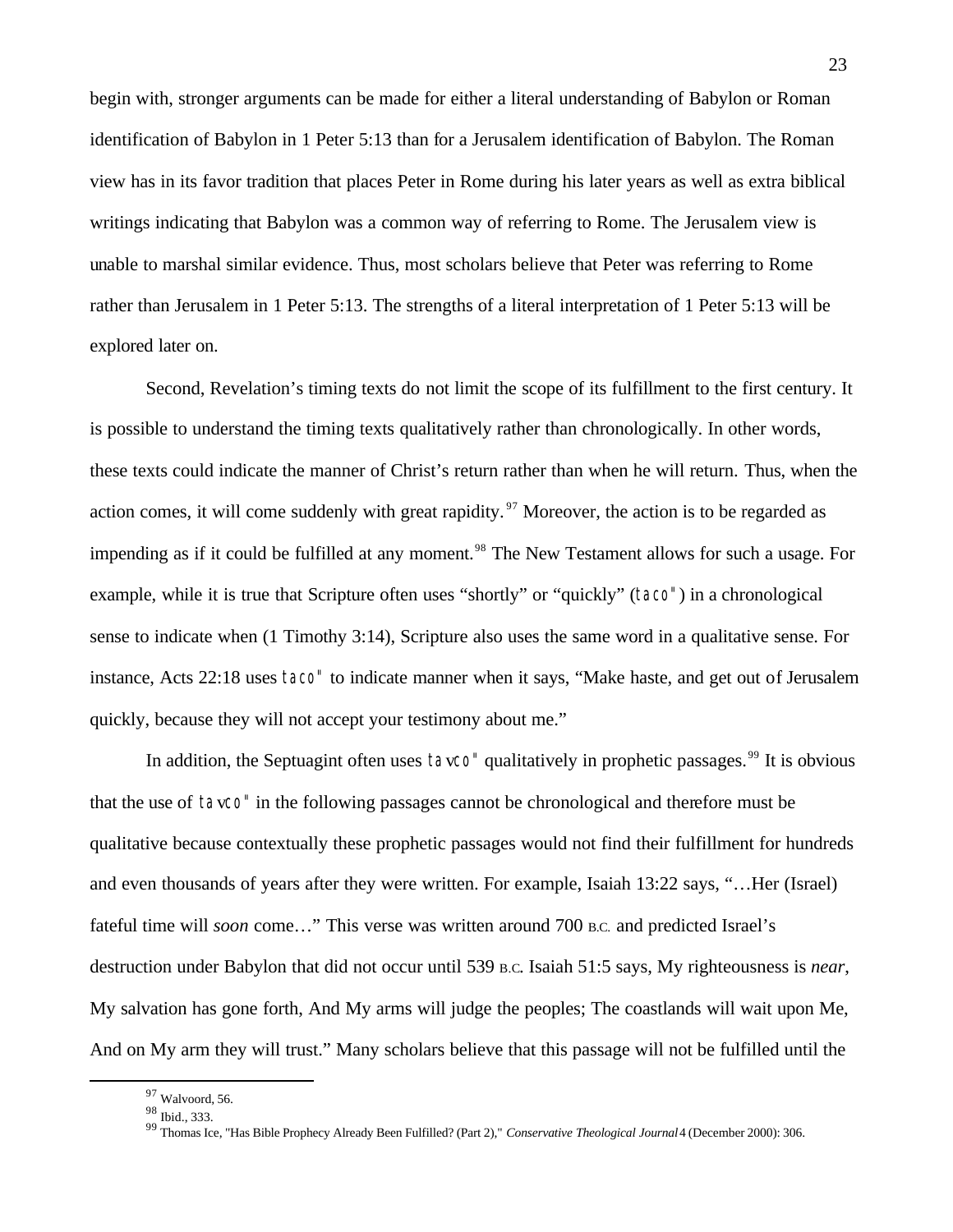begin with, stronger arguments can be made for either a literal understanding of Babylon or Roman identification of Babylon in 1 Peter 5:13 than for a Jerusalem identification of Babylon. The Roman view has in its favor tradition that places Peter in Rome during his later years as well as extra biblical writings indicating that Babylon was a common way of referring to Rome. The Jerusalem view is unable to marshal similar evidence. Thus, most scholars believe that Peter was referring to Rome rather than Jerusalem in 1 Peter 5:13. The strengths of a literal interpretation of 1 Peter 5:13 will be explored later on.

Second, Revelation's timing texts do not limit the scope of its fulfillment to the first century. It is possible to understand the timing texts qualitatively rather than chronologically. In other words, these texts could indicate the manner of Christ's return rather than when he will return. Thus, when the action comes, it will come suddenly with great rapidity.<sup>97</sup> Moreover, the action is to be regarded as impending as if it could be fulfilled at any moment.<sup>98</sup> The New Testament allows for such a usage. For example, while it is true that Scripture often uses "shortly" or "quickly" (taco") in a chronological sense to indicate when (1 Timothy 3:14), Scripture also uses the same word in a qualitative sense. For instance, Acts 22:18 uses taco" to indicate manner when it says, "Make haste, and get out of Jerusalem quickly, because they will not accept your testimony about me."

In addition, the Septuagint often uses tavco" qualitatively in prophetic passages.<sup>99</sup> It is obvious that the use of tavco" in the following passages cannot be chronological and therefore must be qualitative because contextually these prophetic passages would not find their fulfillment for hundreds and even thousands of years after they were written. For example, Isaiah 13:22 says, "…Her (Israel) fateful time will *soon* come…" This verse was written around 700 B.C. and predicted Israel's destruction under Babylon that did not occur until 539 B.C. Isaiah 51:5 says, My righteousness is *near*, My salvation has gone forth, And My arms will judge the peoples; The coastlands will wait upon Me, And on My arm they will trust." Many scholars believe that this passage will not be fulfilled until the

<sup>97</sup> Walvoord, 56.

<sup>98</sup> Ibid., 333.

<sup>99</sup> Thomas Ice, "Has Bible Prophecy Already Been Fulfilled? (Part 2)," *Conservative Theological Journal* 4 (December 2000): 306.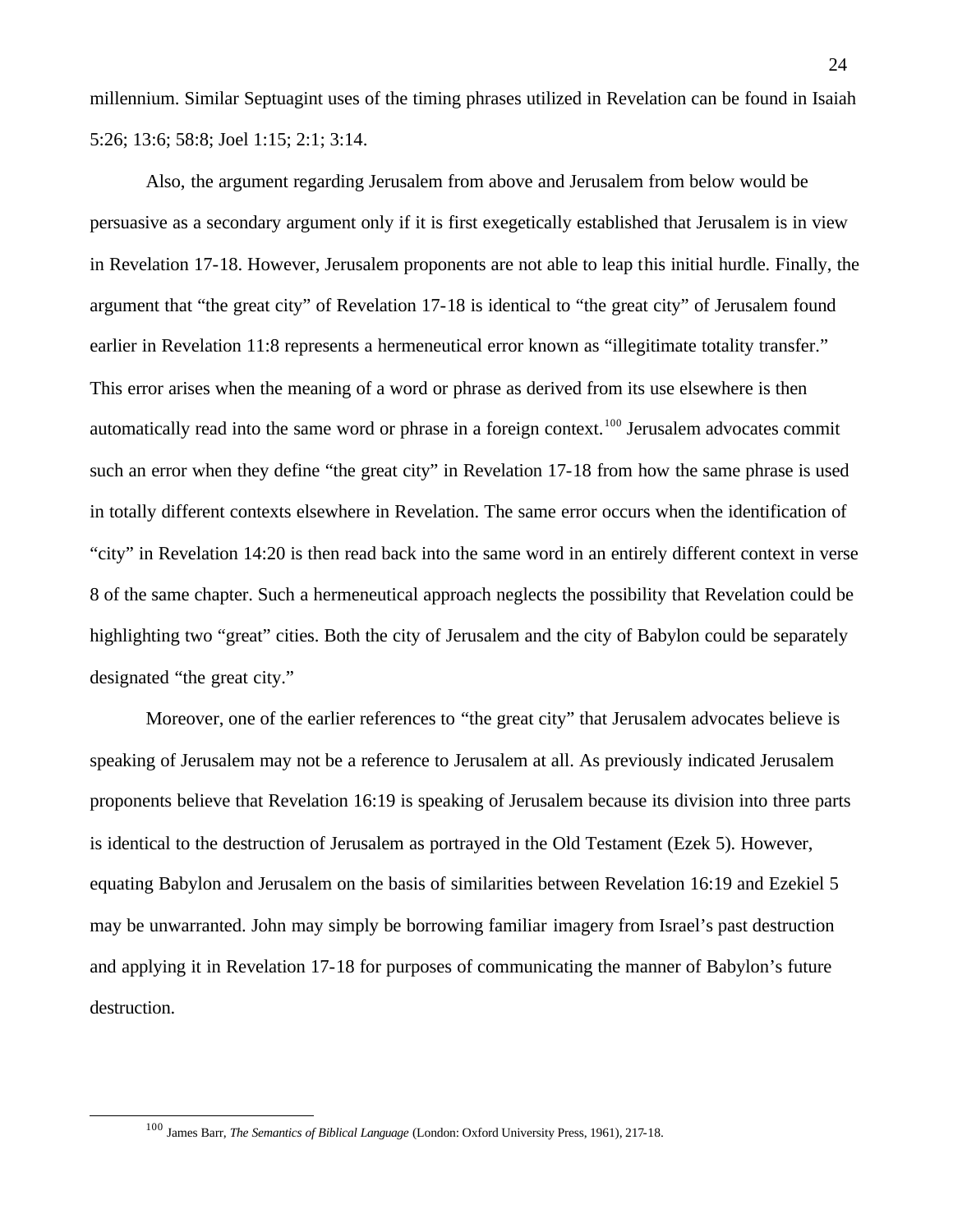millennium. Similar Septuagint uses of the timing phrases utilized in Revelation can be found in Isaiah 5:26; 13:6; 58:8; Joel 1:15; 2:1; 3:14.

Also, the argument regarding Jerusalem from above and Jerusalem from below would be persuasive as a secondary argument only if it is first exegetically established that Jerusalem is in view in Revelation 17-18. However, Jerusalem proponents are not able to leap this initial hurdle. Finally, the argument that "the great city" of Revelation 17-18 is identical to "the great city" of Jerusalem found earlier in Revelation 11:8 represents a hermeneutical error known as "illegitimate totality transfer." This error arises when the meaning of a word or phrase as derived from its use elsewhere is then automatically read into the same word or phrase in a foreign context.<sup>100</sup> Jerusalem advocates commit such an error when they define "the great city" in Revelation 17-18 from how the same phrase is used in totally different contexts elsewhere in Revelation. The same error occurs when the identification of "city" in Revelation 14:20 is then read back into the same word in an entirely different context in verse 8 of the same chapter. Such a hermeneutical approach neglects the possibility that Revelation could be highlighting two "great" cities. Both the city of Jerusalem and the city of Babylon could be separately designated "the great city."

Moreover, one of the earlier references to "the great city" that Jerusalem advocates believe is speaking of Jerusalem may not be a reference to Jerusalem at all. As previously indicated Jerusalem proponents believe that Revelation 16:19 is speaking of Jerusalem because its division into three parts is identical to the destruction of Jerusalem as portrayed in the Old Testament (Ezek 5). However, equating Babylon and Jerusalem on the basis of similarities between Revelation 16:19 and Ezekiel 5 may be unwarranted. John may simply be borrowing familiar imagery from Israel's past destruction and applying it in Revelation 17-18 for purposes of communicating the manner of Babylon's future destruction.

<sup>100</sup> James Barr, *The Semantics of Biblical Language* (London: Oxford University Press, 1961), 217-18.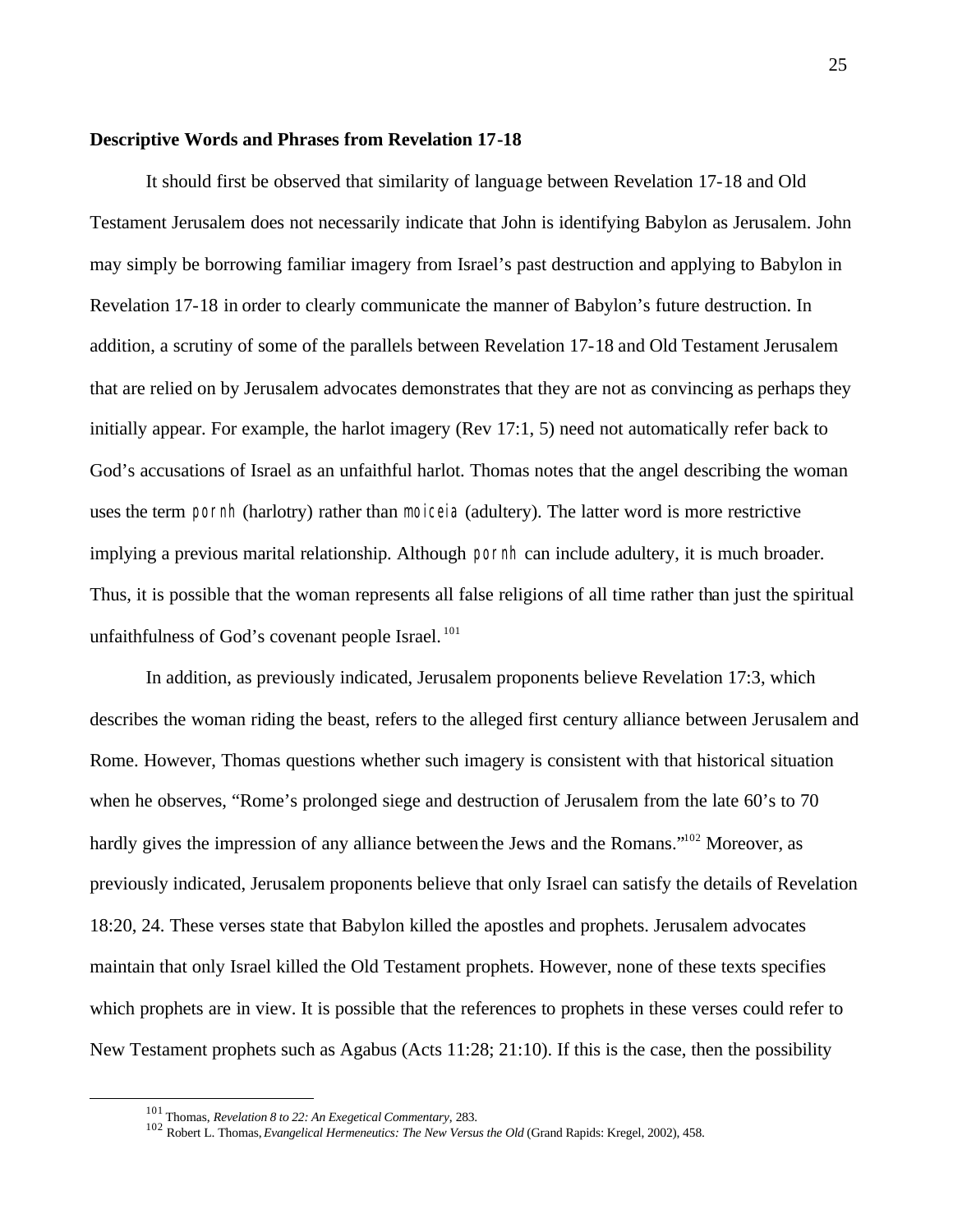#### **Descriptive Words and Phrases from Revelation 17-18**

It should first be observed that similarity of language between Revelation 17-18 and Old Testament Jerusalem does not necessarily indicate that John is identifying Babylon as Jerusalem. John may simply be borrowing familiar imagery from Israel's past destruction and applying to Babylon in Revelation 17-18 in order to clearly communicate the manner of Babylon's future destruction. In addition, a scrutiny of some of the parallels between Revelation 17-18 and Old Testament Jerusalem that are relied on by Jerusalem advocates demonstrates that they are not as convincing as perhaps they initially appear. For example, the harlot imagery (Rev 17:1, 5) need not automatically refer back to God's accusations of Israel as an unfaithful harlot. Thomas notes that the angel describing the woman uses the term pornh (harlotry) rather than moiceia (adultery). The latter word is more restrictive implying a previous marital relationship. Although pornh can include adultery, it is much broader. Thus, it is possible that the woman represents all false religions of all time rather than just the spiritual unfaithfulness of God's covenant people Israel.<sup>101</sup>

In addition, as previously indicated, Jerusalem proponents believe Revelation 17:3, which describes the woman riding the beast, refers to the alleged first century alliance between Jerusalem and Rome. However, Thomas questions whether such imagery is consistent with that historical situation when he observes, "Rome's prolonged siege and destruction of Jerusalem from the late 60's to 70 hardly gives the impression of any alliance between the Jews and the Romans."<sup>102</sup> Moreover, as previously indicated, Jerusalem proponents believe that only Israel can satisfy the details of Revelation 18:20, 24. These verses state that Babylon killed the apostles and prophets. Jerusalem advocates maintain that only Israel killed the Old Testament prophets. However, none of these texts specifies which prophets are in view. It is possible that the references to prophets in these verses could refer to New Testament prophets such as Agabus (Acts 11:28; 21:10). If this is the case, then the possibility

<sup>101</sup> Thomas, *Revelation 8 to 22: An Exegetical Commentary*, 283.

<sup>102</sup> Robert L. Thomas, *Evangelical Hermeneutics: The New Versus the Old* (Grand Rapids: Kregel, 2002), 458.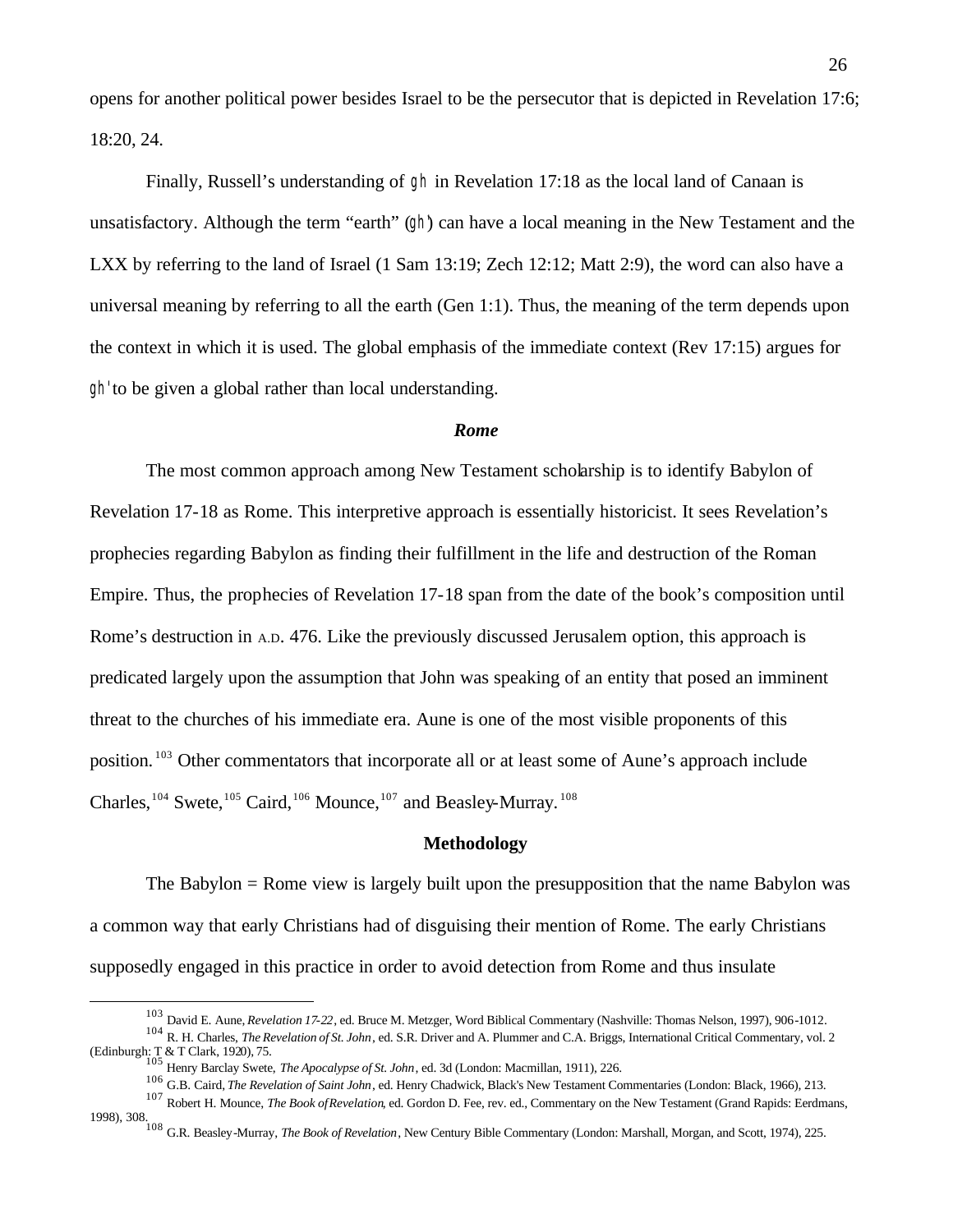opens for another political power besides Israel to be the persecutor that is depicted in Revelation 17:6; 18:20, 24.

Finally, Russell's understanding of gh in Revelation 17:18 as the local land of Canaan is unsatisfactory. Although the term "earth" (gh) can have a local meaning in the New Testament and the LXX by referring to the land of Israel (1 Sam 13:19; Zech 12:12; Matt 2:9), the word can also have a universal meaning by referring to all the earth (Gen 1:1). Thus, the meaning of the term depends upon the context in which it is used. The global emphasis of the immediate context (Rev 17:15) argues for gh' to be given a global rather than local understanding.

#### *Rome*

The most common approach among New Testament scholarship is to identify Babylon of Revelation 17-18 as Rome. This interpretive approach is essentially historicist. It sees Revelation's prophecies regarding Babylon as finding their fulfillment in the life and destruction of the Roman Empire. Thus, the prophecies of Revelation 17-18 span from the date of the book's composition until Rome's destruction in A.D. 476. Like the previously discussed Jerusalem option, this approach is predicated largely upon the assumption that John was speaking of an entity that posed an imminent threat to the churches of his immediate era. Aune is one of the most visible proponents of this position. <sup>103</sup> Other commentators that incorporate all or at least some of Aune's approach include Charles,<sup>104</sup> Swete,<sup>105</sup> Caird,<sup>106</sup> Mounce,<sup>107</sup> and Beasley-Murray.<sup>108</sup>

#### **Methodology**

The Babylon = Rome view is largely built upon the presupposition that the name Babylon was a common way that early Christians had of disguising their mention of Rome. The early Christians supposedly engaged in this practice in order to avoid detection from Rome and thus insulate

<sup>103</sup> David E. Aune, *Revelation 17-22*, ed. Bruce M. Metzger, Word Biblical Commentary (Nashville: Thomas Nelson, 1997), 906-1012.

<sup>104</sup> R. H. Charles, *The Revelation of St. John*, ed. S.R. Driver and A. Plummer and C.A. Briggs, International Critical Commentary, vol. 2 (Edinburgh: T & T Clark, 1920), 75. <sup>105</sup> Henry Barclay Swete, *The Apocalypse of St. John*, ed. 3d (London: Macmillan, 1911), 226.

<sup>106</sup> G.B. Caird, *The Revelation of Saint John*, ed. Henry Chadwick, Black's New Testament Commentaries (London: Black, 1966), 213.

<sup>107</sup> Robert H. Mounce, *The Book of Revelation*, ed. Gordon D. Fee, rev. ed., Commentary on the New Testament (Grand Rapids: Eerdmans,

<sup>1998), 308.</sup> <sup>108</sup> G.R. Beasley-Murray, *The Book of Revelation*, New Century Bible Commentary (London: Marshall, Morgan, and Scott, 1974), 225.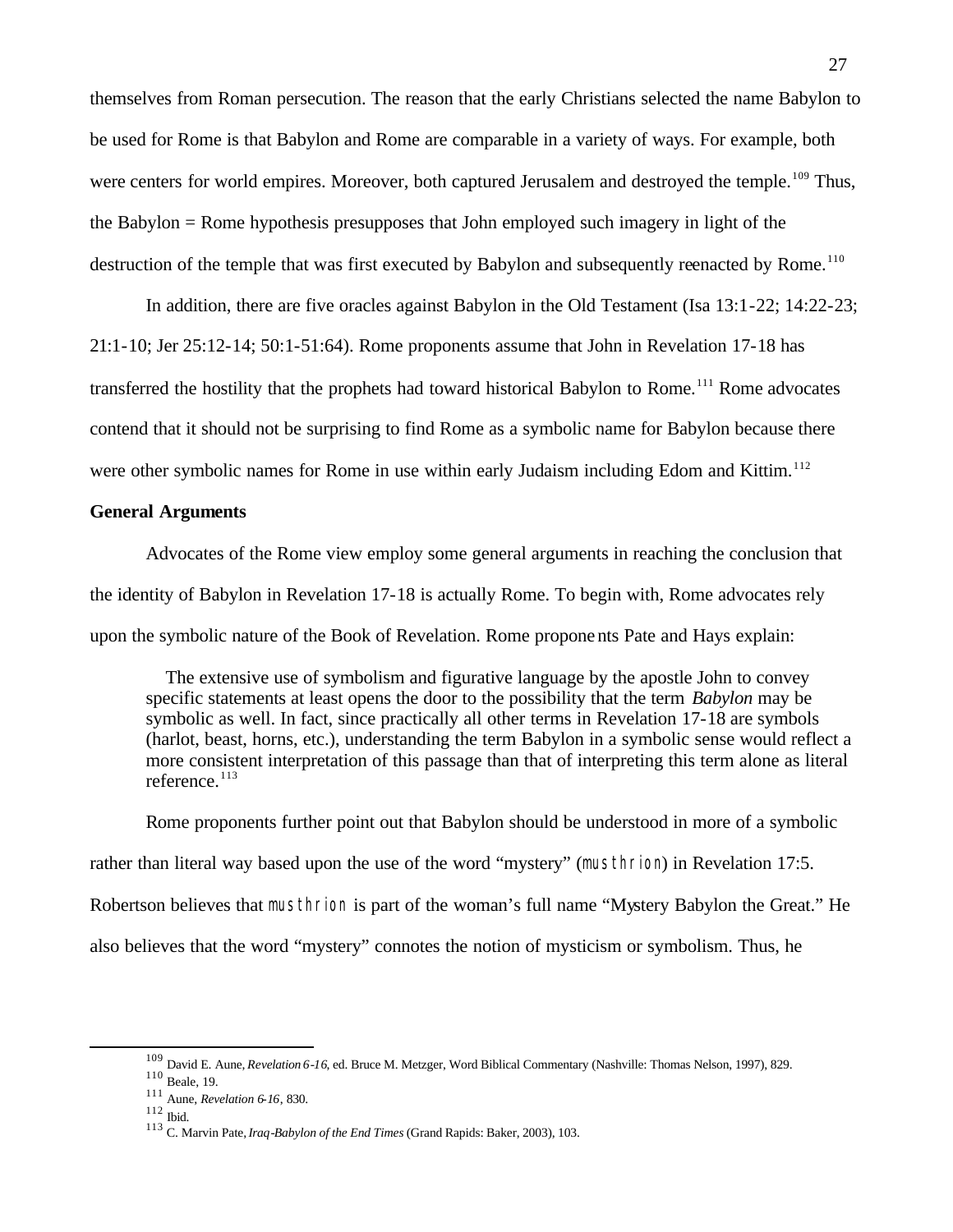themselves from Roman persecution. The reason that the early Christians selected the name Babylon to be used for Rome is that Babylon and Rome are comparable in a variety of ways. For example, both were centers for world empires. Moreover, both captured Jerusalem and destroyed the temple.<sup>109</sup> Thus, the Babylon = Rome hypothesis presupposes that John employed such imagery in light of the destruction of the temple that was first executed by Babylon and subsequently reenacted by Rome.<sup>110</sup>

In addition, there are five oracles against Babylon in the Old Testament (Isa 13:1-22; 14:22-23; 21:1-10; Jer 25:12-14; 50:1-51:64). Rome proponents assume that John in Revelation 17-18 has transferred the hostility that the prophets had toward historical Babylon to Rome.<sup>111</sup> Rome advocates contend that it should not be surprising to find Rome as a symbolic name for Babylon because there were other symbolic names for Rome in use within early Judaism including Edom and Kittim.<sup>112</sup>

## **General Arguments**

Advocates of the Rome view employ some general arguments in reaching the conclusion that the identity of Babylon in Revelation 17-18 is actually Rome. To begin with, Rome advocates rely upon the symbolic nature of the Book of Revelation. Rome proponents Pate and Hays explain:

 The extensive use of symbolism and figurative language by the apostle John to convey specific statements at least opens the door to the possibility that the term *Babylon* may be symbolic as well. In fact, since practically all other terms in Revelation 17-18 are symbols (harlot, beast, horns, etc.), understanding the term Babylon in a symbolic sense would reflect a more consistent interpretation of this passage than that of interpreting this term alone as literal reference. $113$ 

Rome proponents further point out that Babylon should be understood in more of a symbolic rather than literal way based upon the use of the word "mystery" (musthrion) in Revelation 17:5. Robertson believes that musthrion is part of the woman's full name "Mystery Babylon the Great." He also believes that the word "mystery" connotes the notion of mysticism or symbolism. Thus, he

<sup>109</sup> David E. Aune, *Revelation 6-16*, ed. Bruce M. Metzger, Word Biblical Commentary (Nashville: Thomas Nelson, 1997), 829.

<sup>110</sup> Beale, 19.

<sup>111</sup> Aune, *Revelation 6-16*, 830.

 $^{112}$  Ibid.

<sup>113</sup> C. Marvin Pate, *Iraq-Babylon of the End Times* (Grand Rapids: Baker, 2003), 103.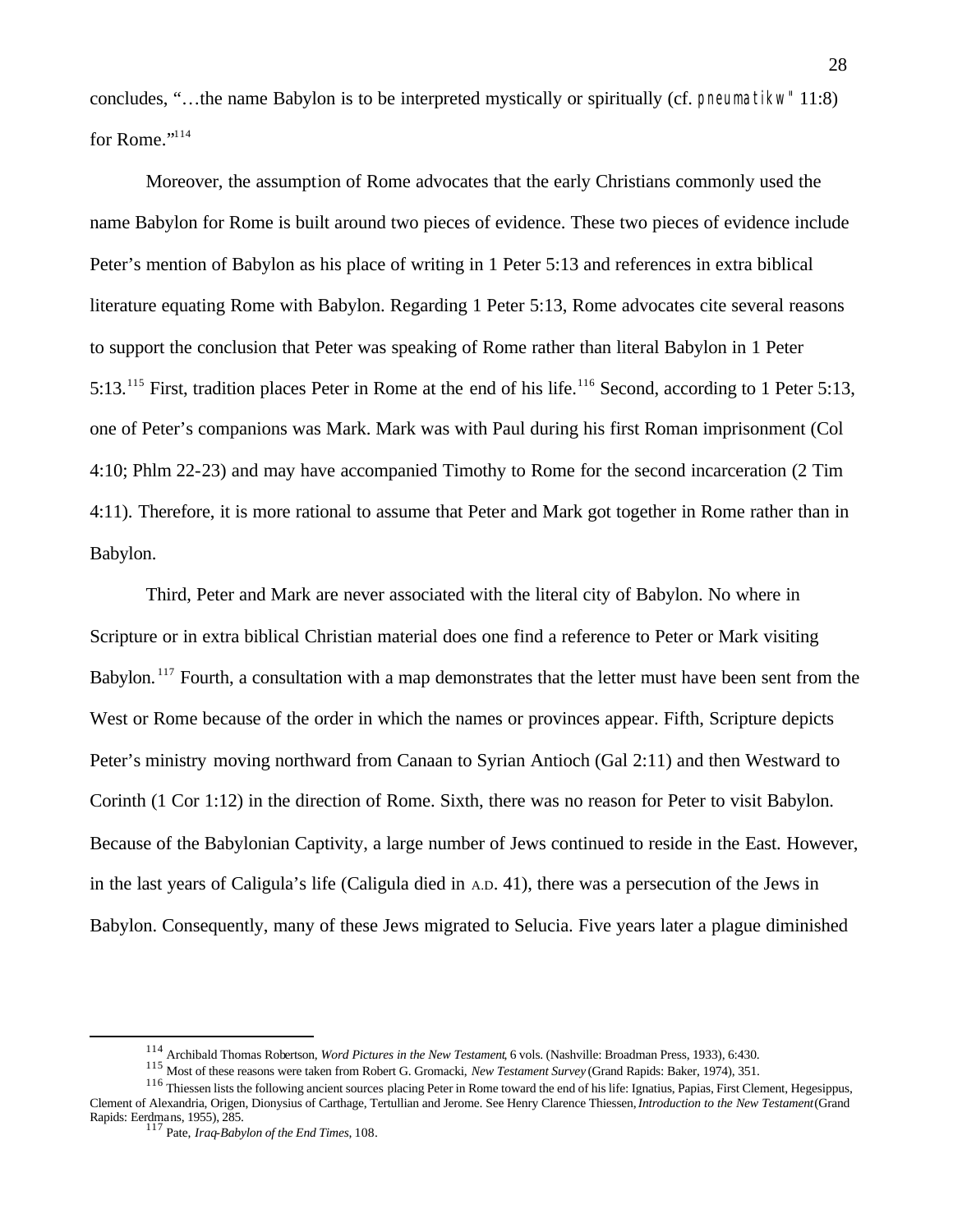concludes, "…the name Babylon is to be interpreted mystically or spiritually (cf. pneumatikw" 11:8) for Rome."<sup>114</sup>

Moreover, the assumption of Rome advocates that the early Christians commonly used the name Babylon for Rome is built around two pieces of evidence. These two pieces of evidence include Peter's mention of Babylon as his place of writing in 1 Peter 5:13 and references in extra biblical literature equating Rome with Babylon. Regarding 1 Peter 5:13, Rome advocates cite several reasons to support the conclusion that Peter was speaking of Rome rather than literal Babylon in 1 Peter 5:13.<sup>115</sup> First, tradition places Peter in Rome at the end of his life.<sup>116</sup> Second, according to 1 Peter 5:13, one of Peter's companions was Mark. Mark was with Paul during his first Roman imprisonment (Col 4:10; Phlm 22-23) and may have accompanied Timothy to Rome for the second incarceration (2 Tim 4:11). Therefore, it is more rational to assume that Peter and Mark got together in Rome rather than in Babylon.

Third, Peter and Mark are never associated with the literal city of Babylon. No where in Scripture or in extra biblical Christian material does one find a reference to Peter or Mark visiting Babylon.<sup>117</sup> Fourth, a consultation with a map demonstrates that the letter must have been sent from the West or Rome because of the order in which the names or provinces appear. Fifth, Scripture depicts Peter's ministry moving northward from Canaan to Syrian Antioch (Gal 2:11) and then Westward to Corinth (1 Cor 1:12) in the direction of Rome. Sixth, there was no reason for Peter to visit Babylon. Because of the Babylonian Captivity, a large number of Jews continued to reside in the East. However, in the last years of Caligula's life (Caligula died in A.D. 41), there was a persecution of the Jews in Babylon. Consequently, many of these Jews migrated to Selucia. Five years later a plague diminished

<sup>114</sup> Archibald Thomas Robertson, *Word Pictures in the New Testament*, 6 vols. (Nashville: Broadman Press, 1933), 6:430.

<sup>115</sup> Most of these reasons were taken from Robert G. Gromacki, *New Testament Survey* (Grand Rapids: Baker, 1974), 351.

<sup>&</sup>lt;sup>116</sup> Thiessen lists the following ancient sources placing Peter in Rome toward the end of his life: Ignatius, Papias, First Clement, Hegesippus, Clement of Alexandria, Origen, Dionysius of Carthage, Tertullian and Jerome. See Henry Clarence Thiessen, *Introduction to the New Testament* (Grand Rapids: Eerdmans, 1955), 285.

<sup>117</sup> Pate, *Iraq-Babylon of the End Times*, 108.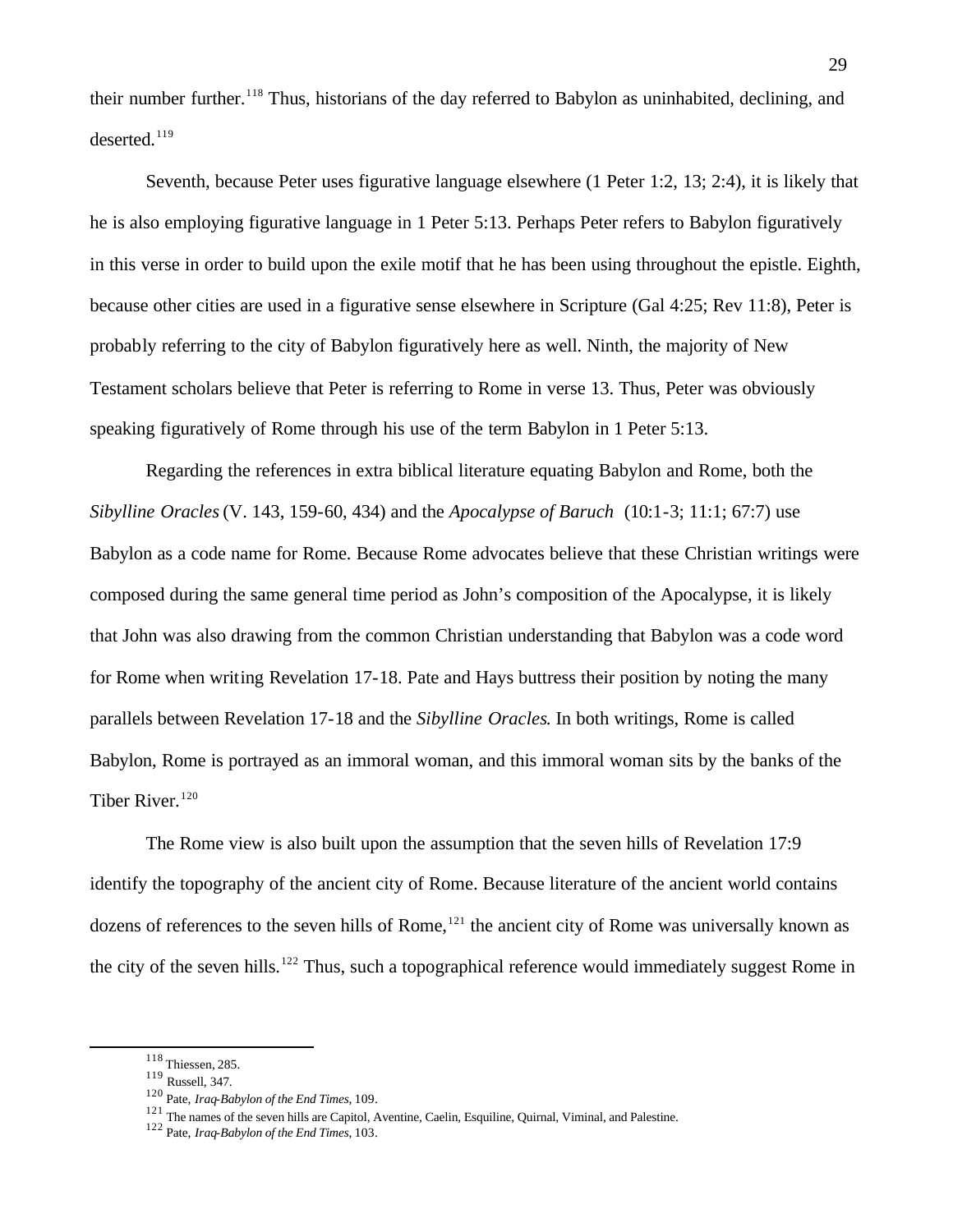their number further.<sup>118</sup> Thus, historians of the day referred to Babylon as uninhabited, declining, and  $deserted.<sup>119</sup>$ 

Seventh, because Peter uses figurative language elsewhere (1 Peter 1:2, 13; 2:4), it is likely that he is also employing figurative language in 1 Peter 5:13. Perhaps Peter refers to Babylon figuratively in this verse in order to build upon the exile motif that he has been using throughout the epistle. Eighth, because other cities are used in a figurative sense elsewhere in Scripture (Gal 4:25; Rev 11:8), Peter is probably referring to the city of Babylon figuratively here as well. Ninth, the majority of New Testament scholars believe that Peter is referring to Rome in verse 13. Thus, Peter was obviously speaking figuratively of Rome through his use of the term Babylon in 1 Peter 5:13.

Regarding the references in extra biblical literature equating Babylon and Rome, both the *Sibylline Oracles* (V. 143, 159-60, 434) and the *Apocalypse of Baruch* (10:1-3; 11:1; 67:7) use Babylon as a code name for Rome. Because Rome advocates believe that these Christian writings were composed during the same general time period as John's composition of the Apocalypse, it is likely that John was also drawing from the common Christian understanding that Babylon was a code word for Rome when writing Revelation 17-18. Pate and Hays buttress their position by noting the many parallels between Revelation 17-18 and the *Sibylline Oracles*. In both writings, Rome is called Babylon, Rome is portrayed as an immoral woman, and this immoral woman sits by the banks of the Tiber River.<sup>120</sup>

The Rome view is also built upon the assumption that the seven hills of Revelation 17:9 identify the topography of the ancient city of Rome. Because literature of the ancient world contains dozens of references to the seven hills of Rome,  $121$  the ancient city of Rome was universally known as the city of the seven hills.<sup>122</sup> Thus, such a topographical reference would immediately suggest Rome in

<sup>118</sup> Thiessen, 285.

<sup>119</sup> Russell, 347.

<sup>120</sup> Pate, *Iraq-Babylon of the End Times*, 109.

<sup>&</sup>lt;sup>121</sup> The names of the seven hills are Capitol, Aventine, Caelin, Esquiline, Quirnal, Viminal, and Palestine.

<sup>122</sup> Pate, *Iraq-Babylon of the End Times*, 103.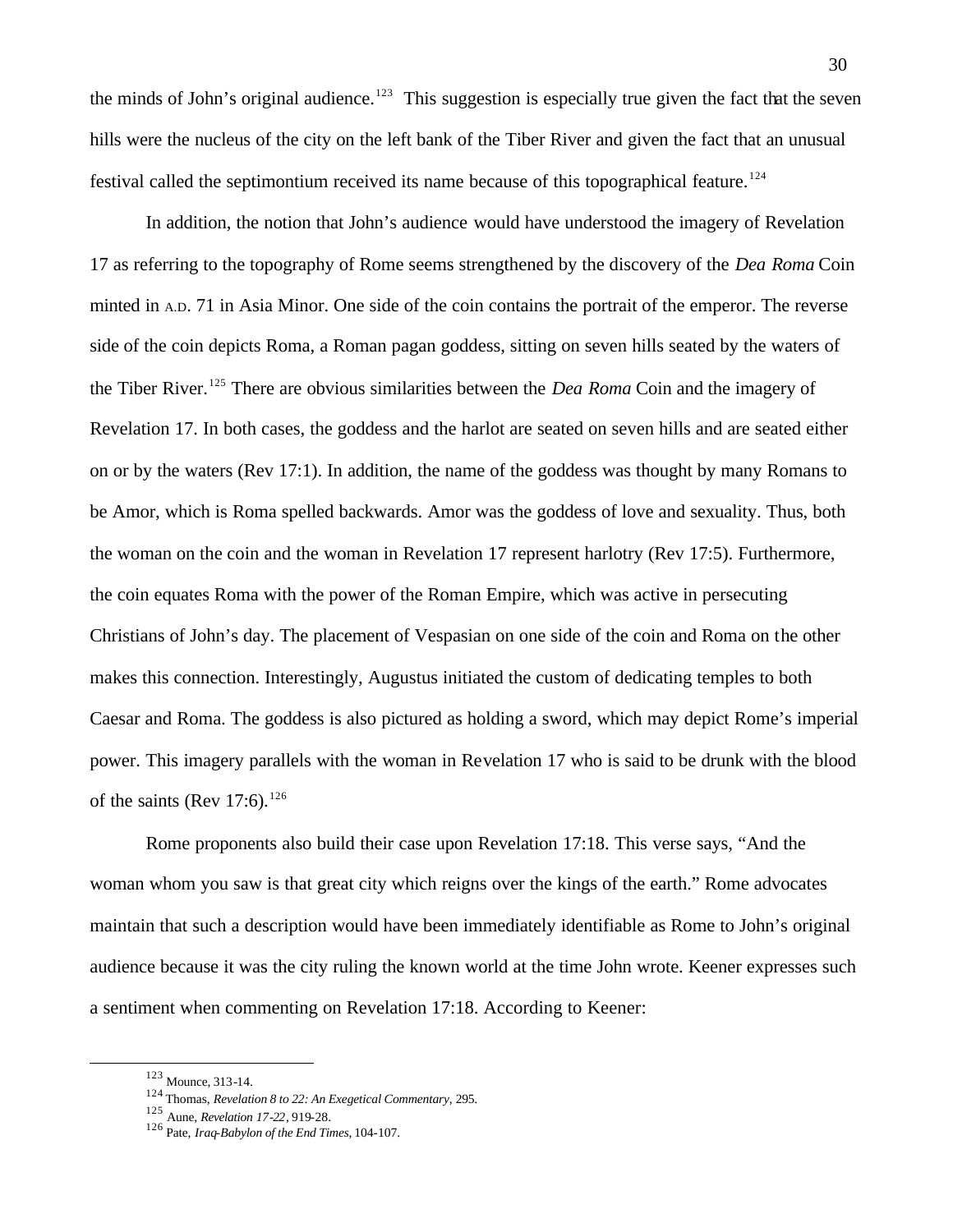the minds of John's original audience.<sup>123</sup> This suggestion is especially true given the fact that the seven hills were the nucleus of the city on the left bank of the Tiber River and given the fact that an unusual festival called the septimontium received its name because of this topographical feature.<sup>124</sup>

In addition, the notion that John's audience would have understood the imagery of Revelation 17 as referring to the topography of Rome seems strengthened by the discovery of the *Dea Roma* Coin minted in A.D. 71 in Asia Minor. One side of the coin contains the portrait of the emperor. The reverse side of the coin depicts Roma, a Roman pagan goddess, sitting on seven hills seated by the waters of the Tiber River.<sup>125</sup> There are obvious similarities between the *Dea Roma* Coin and the imagery of Revelation 17. In both cases, the goddess and the harlot are seated on seven hills and are seated either on or by the waters (Rev 17:1). In addition, the name of the goddess was thought by many Romans to be Amor, which is Roma spelled backwards. Amor was the goddess of love and sexuality. Thus, both the woman on the coin and the woman in Revelation 17 represent harlotry (Rev 17:5). Furthermore, the coin equates Roma with the power of the Roman Empire, which was active in persecuting Christians of John's day. The placement of Vespasian on one side of the coin and Roma on the other makes this connection. Interestingly, Augustus initiated the custom of dedicating temples to both Caesar and Roma. The goddess is also pictured as holding a sword, which may depict Rome's imperial power. This imagery parallels with the woman in Revelation 17 who is said to be drunk with the blood of the saints (Rev 17:6).<sup>126</sup>

Rome proponents also build their case upon Revelation 17:18. This verse says, "And the woman whom you saw is that great city which reigns over the kings of the earth." Rome advocates maintain that such a description would have been immediately identifiable as Rome to John's original audience because it was the city ruling the known world at the time John wrote. Keener expresses such a sentiment when commenting on Revelation 17:18. According to Keener:

<sup>123</sup> Mounce, 313-14.

<sup>124</sup> Thomas, *Revelation 8 to 22: An Exegetical Commentary*, 295.

<sup>125</sup> Aune, *Revelation 17-22*, 919-28.

<sup>126</sup> Pate, *Iraq-Babylon of the End Times*, 104-107.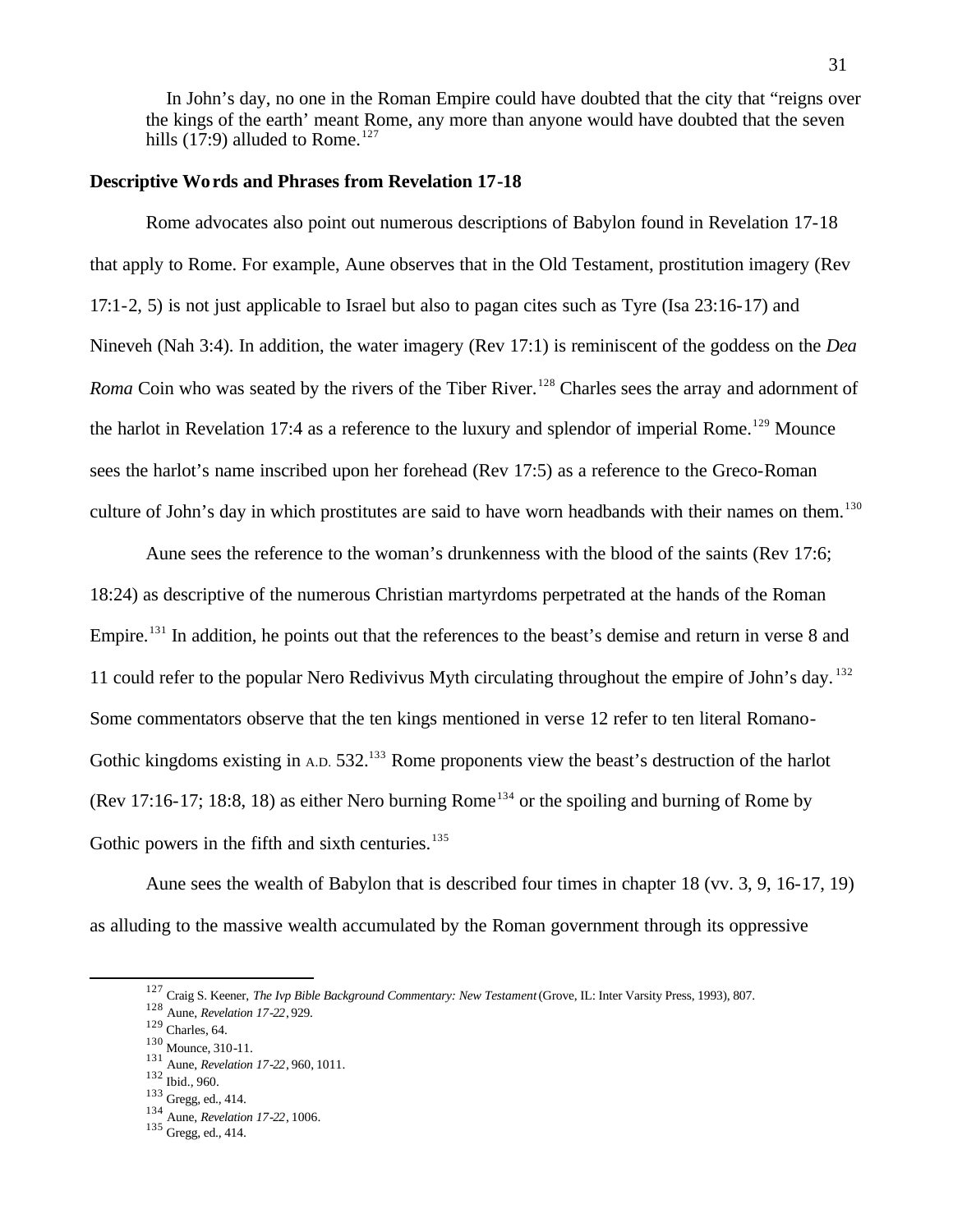In John's day, no one in the Roman Empire could have doubted that the city that "reigns over the kings of the earth' meant Rome, any more than anyone would have doubted that the seven hills  $(17:9)$  alluded to Rome.<sup>127</sup>

#### **Descriptive Words and Phrases from Revelation 17-18**

Rome advocates also point out numerous descriptions of Babylon found in Revelation 17-18 that apply to Rome. For example, Aune observes that in the Old Testament, prostitution imagery (Rev 17:1-2, 5) is not just applicable to Israel but also to pagan cites such as Tyre (Isa 23:16-17) and Nineveh (Nah 3:4). In addition, the water imagery (Rev 17:1) is reminiscent of the goddess on the *Dea Roma* Coin who was seated by the rivers of the Tiber River.<sup>128</sup> Charles sees the array and adornment of the harlot in Revelation 17:4 as a reference to the luxury and splendor of imperial Rome.<sup>129</sup> Mounce sees the harlot's name inscribed upon her forehead (Rev 17:5) as a reference to the Greco-Roman culture of John's day in which prostitutes are said to have worn headbands with their names on them.<sup>130</sup>

Aune sees the reference to the woman's drunkenness with the blood of the saints (Rev 17:6; 18:24) as descriptive of the numerous Christian martyrdoms perpetrated at the hands of the Roman Empire.<sup>131</sup> In addition, he points out that the references to the beast's demise and return in verse 8 and 11 could refer to the popular Nero Redivivus Myth circulating throughout the empire of John's day. <sup>132</sup> Some commentators observe that the ten kings mentioned in verse 12 refer to ten literal Romano-Gothic kingdoms existing in A.D. 532.<sup>133</sup> Rome proponents view the beast's destruction of the harlot (Rev 17:16-17; 18:8, 18) as either Nero burning Rome<sup>134</sup> or the spoiling and burning of Rome by Gothic powers in the fifth and sixth centuries. $135$ 

Aune sees the wealth of Babylon that is described four times in chapter 18 (vv. 3, 9, 16-17, 19) as alluding to the massive wealth accumulated by the Roman government through its oppressive

<sup>127</sup> Craig S. Keener, *The Ivp Bible Background Commentary: New Testament* (Grove, IL: Inter Varsity Press, 1993), 807.

<sup>128</sup> Aune, *Revelation 17-22*, 929.

 $129$  Charles, 64.

<sup>130</sup> Mounce, 310-11.

<sup>131</sup> Aune, *Revelation 17-22*, 960, 1011.

<sup>132</sup> Ibid., 960.

<sup>133</sup> Gregg, ed., 414.

<sup>134</sup> Aune, *Revelation 17-22*, 1006.

<sup>135</sup> Gregg, ed., 414.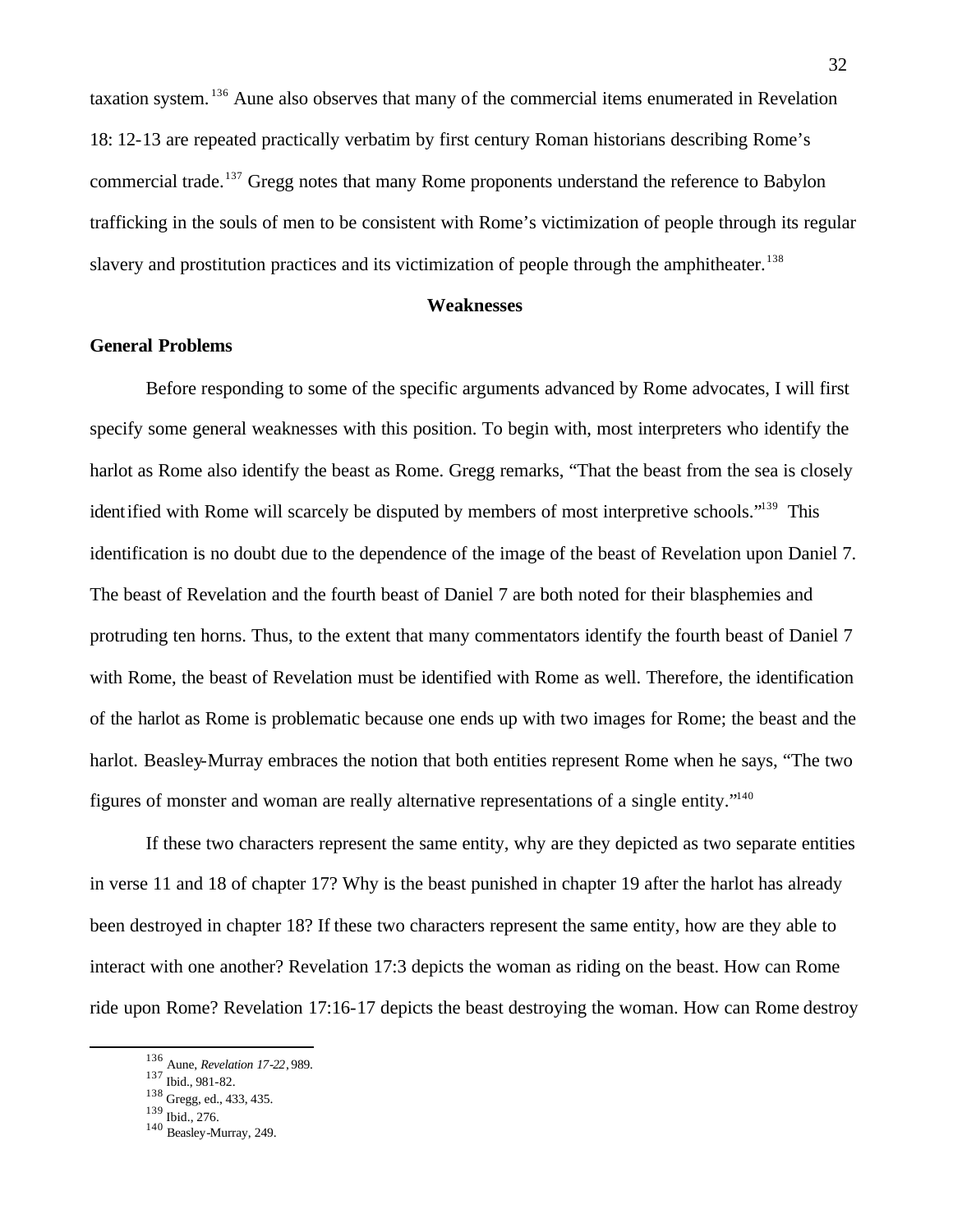taxation system. <sup>136</sup> Aune also observes that many of the commercial items enumerated in Revelation 18: 12-13 are repeated practically verbatim by first century Roman historians describing Rome's commercial trade.<sup>137</sup> Gregg notes that many Rome proponents understand the reference to Babylon trafficking in the souls of men to be consistent with Rome's victimization of people through its regular slavery and prostitution practices and its victimization of people through the amphitheater.<sup>138</sup>

#### **Weaknesses**

# **General Problems**

Before responding to some of the specific arguments advanced by Rome advocates, I will first specify some general weaknesses with this position. To begin with, most interpreters who identify the harlot as Rome also identify the beast as Rome. Gregg remarks, "That the beast from the sea is closely identified with Rome will scarcely be disputed by members of most interpretive schools."<sup>139</sup> This identification is no doubt due to the dependence of the image of the beast of Revelation upon Daniel 7. The beast of Revelation and the fourth beast of Daniel 7 are both noted for their blasphemies and protruding ten horns. Thus, to the extent that many commentators identify the fourth beast of Daniel 7 with Rome, the beast of Revelation must be identified with Rome as well. Therefore, the identification of the harlot as Rome is problematic because one ends up with two images for Rome; the beast and the harlot. Beasley-Murray embraces the notion that both entities represent Rome when he says, "The two figures of monster and woman are really alternative representations of a single entity."<sup>140</sup>

If these two characters represent the same entity, why are they depicted as two separate entities in verse 11 and 18 of chapter 17? Why is the beast punished in chapter 19 after the harlot has already been destroyed in chapter 18? If these two characters represent the same entity, how are they able to interact with one another? Revelation 17:3 depicts the woman as riding on the beast. How can Rome ride upon Rome? Revelation 17:16-17 depicts the beast destroying the woman. How can Rome destroy

<sup>136</sup> Aune, *Revelation 17-22*, 989.

<sup>137</sup> Ibid., 981-82.

<sup>138</sup> Gregg, ed., 433, 435.

<sup>139</sup> Ibid., 276.

<sup>140</sup> Beasley-Murray, 249.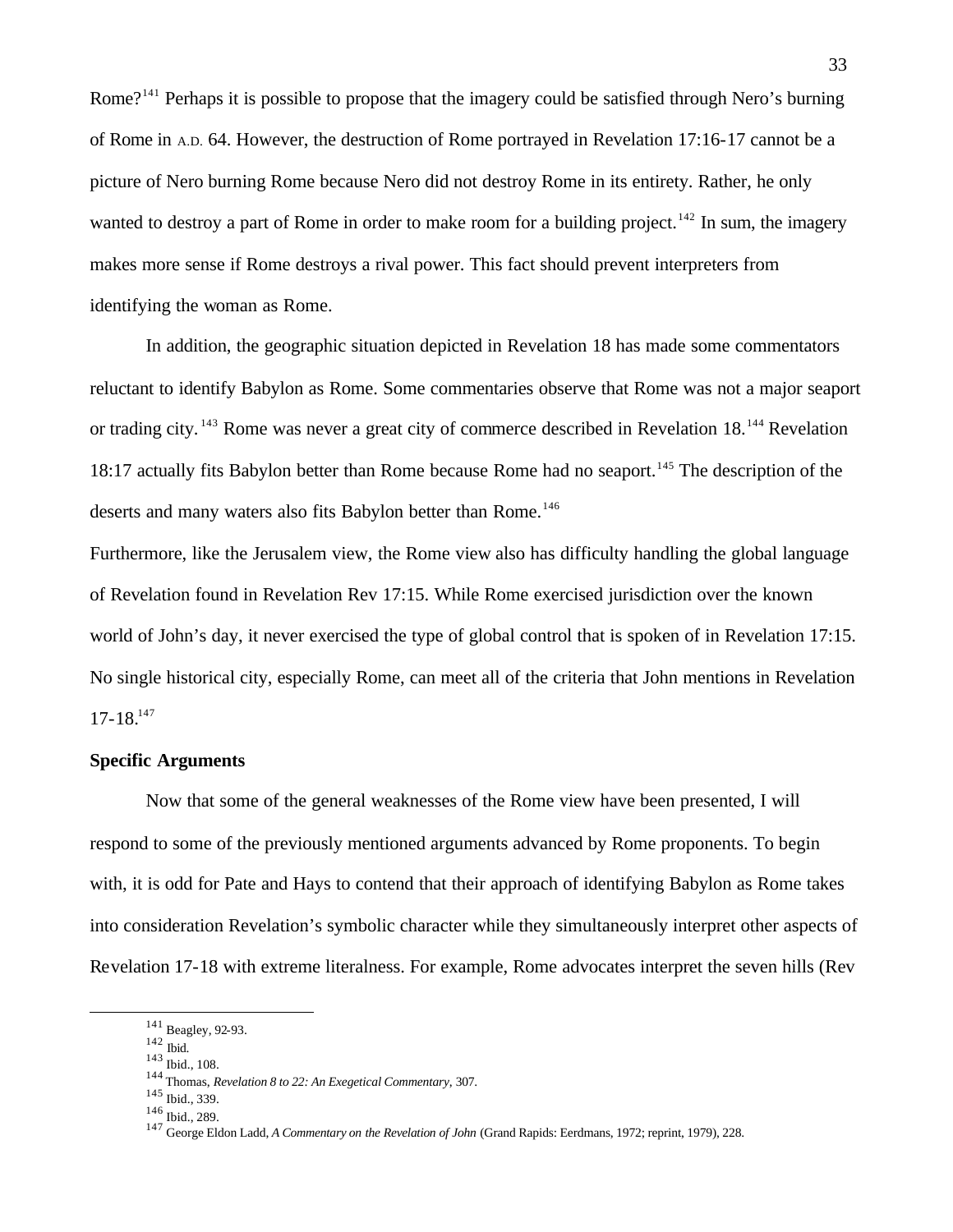Rome?<sup>141</sup> Perhaps it is possible to propose that the imagery could be satisfied through Nero's burning of Rome in A.D. 64. However, the destruction of Rome portrayed in Revelation 17:16-17 cannot be a picture of Nero burning Rome because Nero did not destroy Rome in its entirety. Rather, he only wanted to destroy a part of Rome in order to make room for a building project.<sup>142</sup> In sum, the imagery makes more sense if Rome destroys a rival power. This fact should prevent interpreters from identifying the woman as Rome.

In addition, the geographic situation depicted in Revelation 18 has made some commentators reluctant to identify Babylon as Rome. Some commentaries observe that Rome was not a major seaport or trading city. <sup>143</sup> Rome was never a great city of commerce described in Revelation 18.<sup>144</sup> Revelation 18:17 actually fits Babylon better than Rome because Rome had no seaport.<sup>145</sup> The description of the deserts and many waters also fits Babylon better than Rome.<sup>146</sup>

Furthermore, like the Jerusalem view, the Rome view also has difficulty handling the global language of Revelation found in Revelation Rev 17:15. While Rome exercised jurisdiction over the known world of John's day, it never exercised the type of global control that is spoken of in Revelation 17:15. No single historical city, especially Rome, can meet all of the criteria that John mentions in Revelation  $17-18.<sup>147</sup>$ 

### **Specific Arguments**

Now that some of the general weaknesses of the Rome view have been presented, I will respond to some of the previously mentioned arguments advanced by Rome proponents. To begin with, it is odd for Pate and Hays to contend that their approach of identifying Babylon as Rome takes into consideration Revelation's symbolic character while they simultaneously interpret other aspects of Revelation 17-18 with extreme literalness. For example, Rome advocates interpret the seven hills (Rev

 $\overline{a}$ 

<sup>143</sup> Ibid., 108.

<sup>145</sup> Ibid., 339.

<sup>141</sup> Beagley, 92-93.

 $^{142}$  Ibid.

<sup>144</sup> Thomas, *Revelation 8 to 22: An Exegetical Commentary*, 307.

<sup>146</sup> Ibid., 289.

<sup>147</sup> George Eldon Ladd, *A Commentary on the Revelation of John* (Grand Rapids: Eerdmans, 1972; reprint, 1979), 228.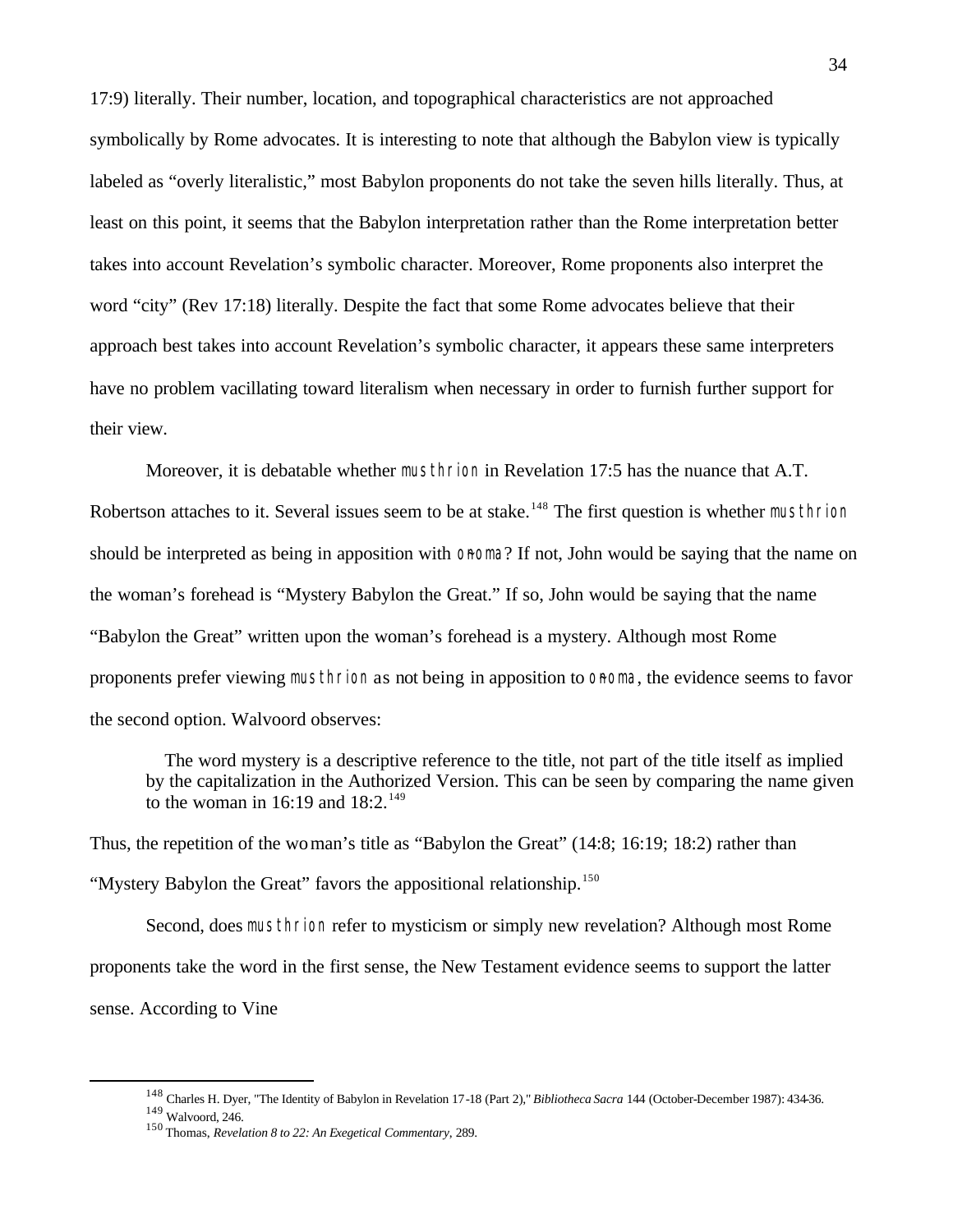17:9) literally. Their number, location, and topographical characteristics are not approached symbolically by Rome advocates. It is interesting to note that although the Babylon view is typically labeled as "overly literalistic," most Babylon proponents do not take the seven hills literally. Thus, at least on this point, it seems that the Babylon interpretation rather than the Rome interpretation better takes into account Revelation's symbolic character. Moreover, Rome proponents also interpret the word "city" (Rev 17:18) literally. Despite the fact that some Rome advocates believe that their approach best takes into account Revelation's symbolic character, it appears these same interpreters have no problem vacillating toward literalism when necessary in order to furnish further support for their view.

Moreover, it is debatable whether musthrion in Revelation 17:5 has the nuance that A.T. Robertson attaches to it. Several issues seem to be at stake.<sup>148</sup> The first question is whether musthrion should be interpreted as being in apposition with onoma? If not, John would be saying that the name on the woman's forehead is "Mystery Babylon the Great." If so, John would be saying that the name "Babylon the Great" written upon the woman's forehead is a mystery. Although most Rome proponents prefer viewing musthrion as not being in apposition to OROMA, the evidence seems to favor the second option. Walvoord observes:

 The word mystery is a descriptive reference to the title, not part of the title itself as implied by the capitalization in the Authorized Version. This can be seen by comparing the name given to the woman in 16:19 and  $18:2.^{149}$ 

Thus, the repetition of the woman's title as "Babylon the Great" (14:8; 16:19; 18:2) rather than "Mystery Babylon the Great" favors the appositional relationship.<sup>150</sup>

Second, does musthrion refer to mysticism or simply new revelation? Although most Rome proponents take the word in the first sense, the New Testament evidence seems to support the latter sense. According to Vine

<sup>148</sup> Charles H. Dyer, "The Identity of Babylon in Revelation 17-18 (Part 2)," *Bibliotheca Sacra* 144 (October-December 1987): 434-36. <sup>149</sup> Walvoord, 246.

<sup>150</sup> Thomas, *Revelation 8 to 22: An Exegetical Commentary*, 289.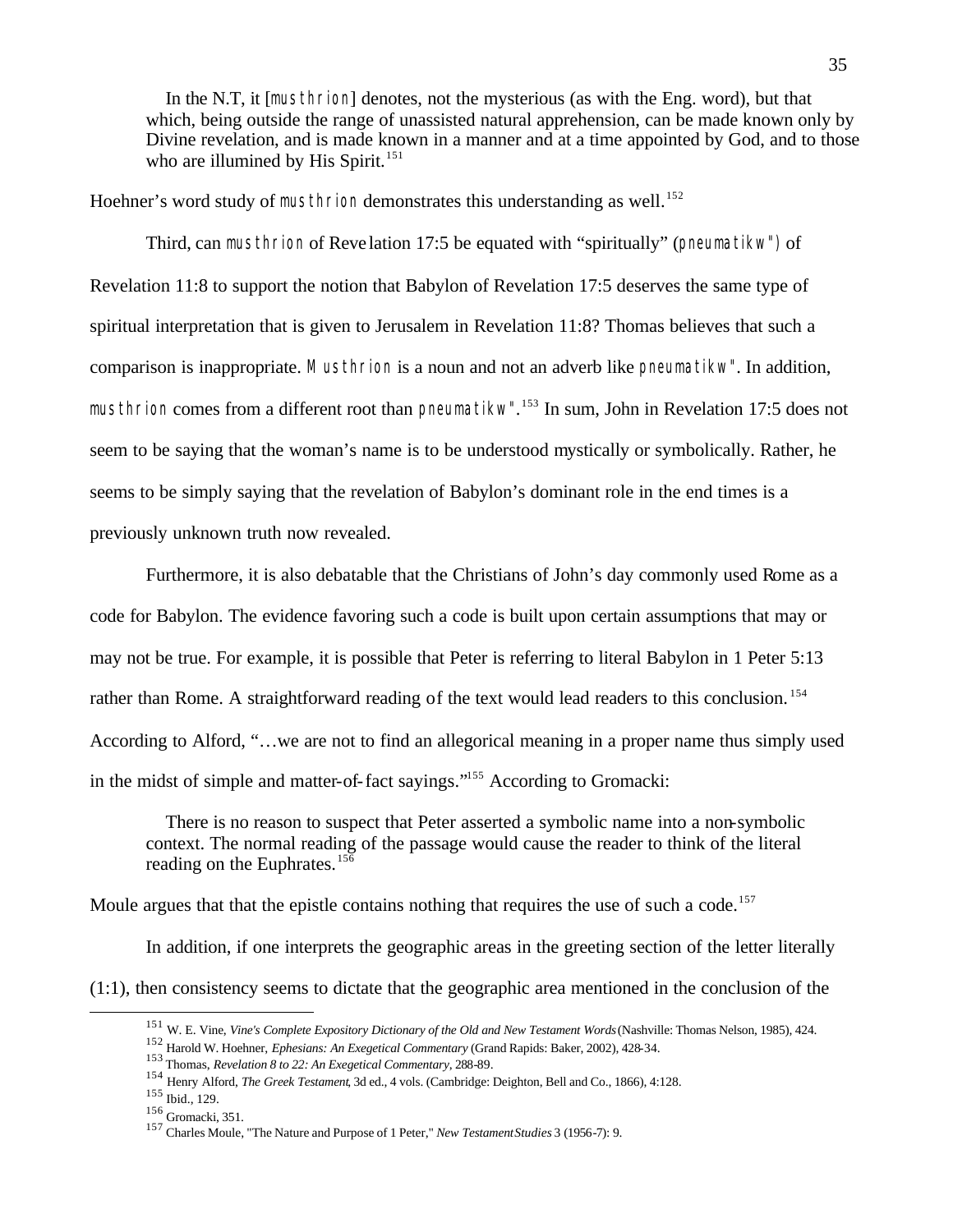In the N.T, it [musthrion] denotes, not the mysterious (as with the Eng. word), but that which, being outside the range of unassisted natural apprehension, can be made known only by Divine revelation, and is made known in a manner and at a time appointed by God, and to those who are illumined by His Spirit.<sup>151</sup>

Hoehner's word study of musthrion demonstrates this understanding as well.<sup>152</sup>

Third, can musthrion of Reve lation 17:5 be equated with "spiritually" (pneumatikw") of Revelation 11:8 to support the notion that Babylon of Revelation 17:5 deserves the same type of spiritual interpretation that is given to Jerusalem in Revelation 11:8? Thomas believes that such a comparison is inappropriate. Musthrion is a noun and not an adverb like pneumatikw". In addition, musthrion comes from a different root than pneumatikw". <sup>153</sup> In sum, John in Revelation 17:5 does not seem to be saying that the woman's name is to be understood mystically or symbolically. Rather, he seems to be simply saying that the revelation of Babylon's dominant role in the end times is a previously unknown truth now revealed.

Furthermore, it is also debatable that the Christians of John's day commonly used Rome as a code for Babylon. The evidence favoring such a code is built upon certain assumptions that may or may not be true. For example, it is possible that Peter is referring to literal Babylon in 1 Peter 5:13 rather than Rome. A straightforward reading of the text would lead readers to this conclusion.<sup>154</sup> According to Alford, "…we are not to find an allegorical meaning in a proper name thus simply used in the midst of simple and matter-of-fact sayings."<sup>155</sup> According to Gromacki:

 There is no reason to suspect that Peter asserted a symbolic name into a non-symbolic context. The normal reading of the passage would cause the reader to think of the literal reading on the Euphrates.<sup>156</sup>

Moule argues that that the epistle contains nothing that requires the use of such a code.<sup>157</sup>

In addition, if one interprets the geographic areas in the greeting section of the letter literally  $(1:1)$ , then consistency seems to dictate that the geographic area mentioned in the conclusion of the

<sup>151</sup> W. E. Vine, *Vine's Complete Expository Dictionary of the Old and New Testament Words* (Nashville: Thomas Nelson, 1985), 424.

<sup>152</sup> Harold W. Hoehner, *Ephesians: An Exegetical Commentary* (Grand Rapids: Baker, 2002), 428-34.

<sup>153</sup> Thomas, *Revelation 8 to 22: An Exegetical Commentary*, 288-89.

<sup>154</sup> Henry Alford, *The Greek Testament*, 3d ed., 4 vols. (Cambridge: Deighton, Bell and Co., 1866), 4:128.

<sup>155</sup> Ibid., 129.

<sup>156</sup> Gromacki, 351.

<sup>157</sup> Charles Moule, "The Nature and Purpose of 1 Peter," *New Testament Studies* 3 (1956-7): 9.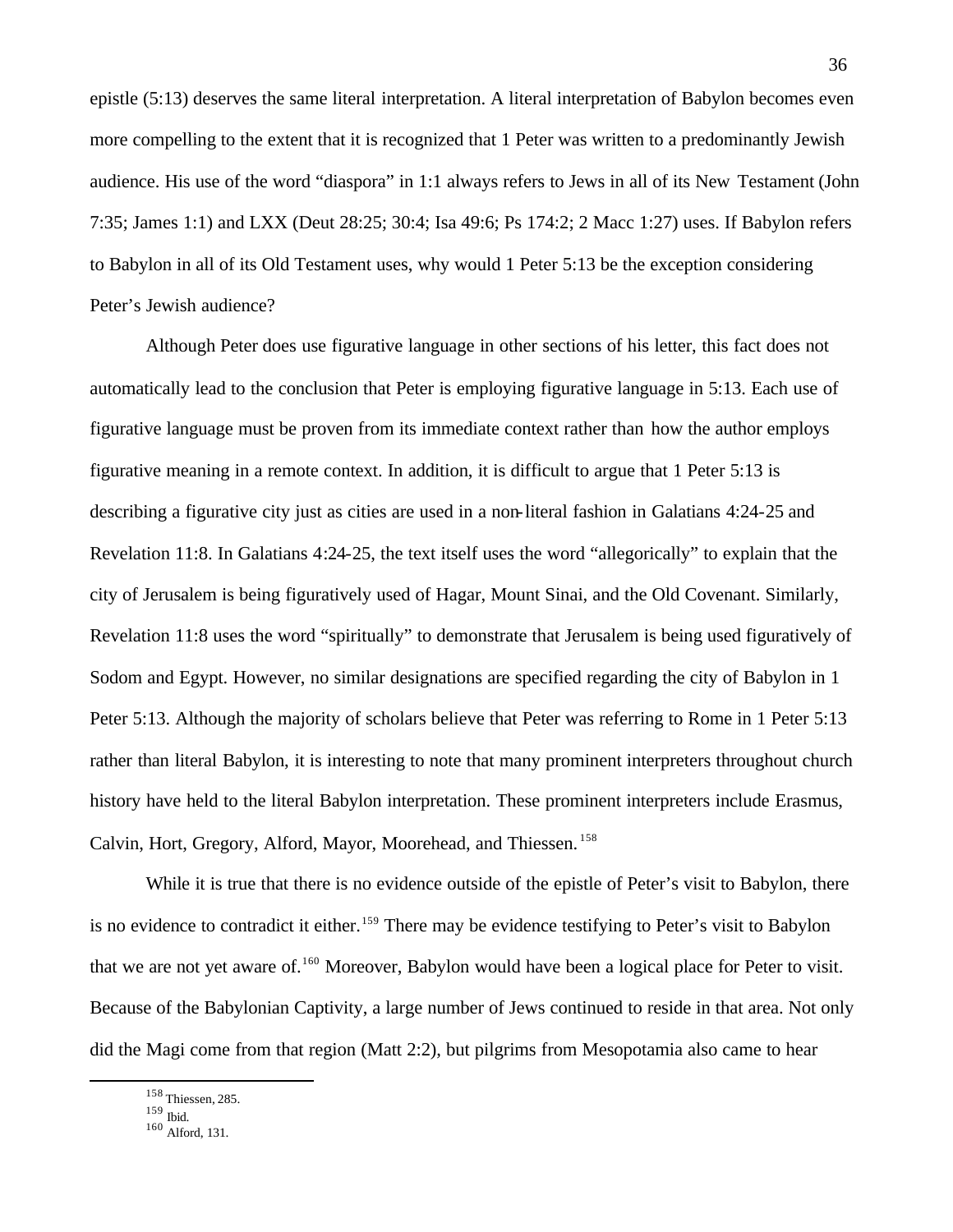epistle (5:13) deserves the same literal interpretation. A literal interpretation of Babylon becomes even more compelling to the extent that it is recognized that 1 Peter was written to a predominantly Jewish audience. His use of the word "diaspora" in 1:1 always refers to Jews in all of its New Testament (John 7:35; James 1:1) and LXX (Deut 28:25; 30:4; Isa 49:6; Ps 174:2; 2 Macc 1:27) uses. If Babylon refers to Babylon in all of its Old Testament uses, why would 1 Peter 5:13 be the exception considering Peter's Jewish audience?

Although Peter does use figurative language in other sections of his letter, this fact does not automatically lead to the conclusion that Peter is employing figurative language in 5:13. Each use of figurative language must be proven from its immediate context rather than how the author employs figurative meaning in a remote context. In addition, it is difficult to argue that 1 Peter 5:13 is describing a figurative city just as cities are used in a non-literal fashion in Galatians 4:24-25 and Revelation 11:8. In Galatians 4:24-25, the text itself uses the word "allegorically" to explain that the city of Jerusalem is being figuratively used of Hagar, Mount Sinai, and the Old Covenant. Similarly, Revelation 11:8 uses the word "spiritually" to demonstrate that Jerusalem is being used figuratively of Sodom and Egypt. However, no similar designations are specified regarding the city of Babylon in 1 Peter 5:13. Although the majority of scholars believe that Peter was referring to Rome in 1 Peter 5:13 rather than literal Babylon, it is interesting to note that many prominent interpreters throughout church history have held to the literal Babylon interpretation. These prominent interpreters include Erasmus, Calvin, Hort, Gregory, Alford, Mayor, Moorehead, and Thiessen. <sup>158</sup>

While it is true that there is no evidence outside of the epistle of Peter's visit to Babylon, there is no evidence to contradict it either.<sup>159</sup> There may be evidence testifying to Peter's visit to Babylon that we are not yet aware of.<sup>160</sup> Moreover, Babylon would have been a logical place for Peter to visit. Because of the Babylonian Captivity, a large number of Jews continued to reside in that area. Not only did the Magi come from that region (Matt 2:2), but pilgrims from Mesopotamia also came to hear

<sup>158</sup> Thiessen, 285.

<sup>159</sup> Ibid.

<sup>160</sup> Alford, 131.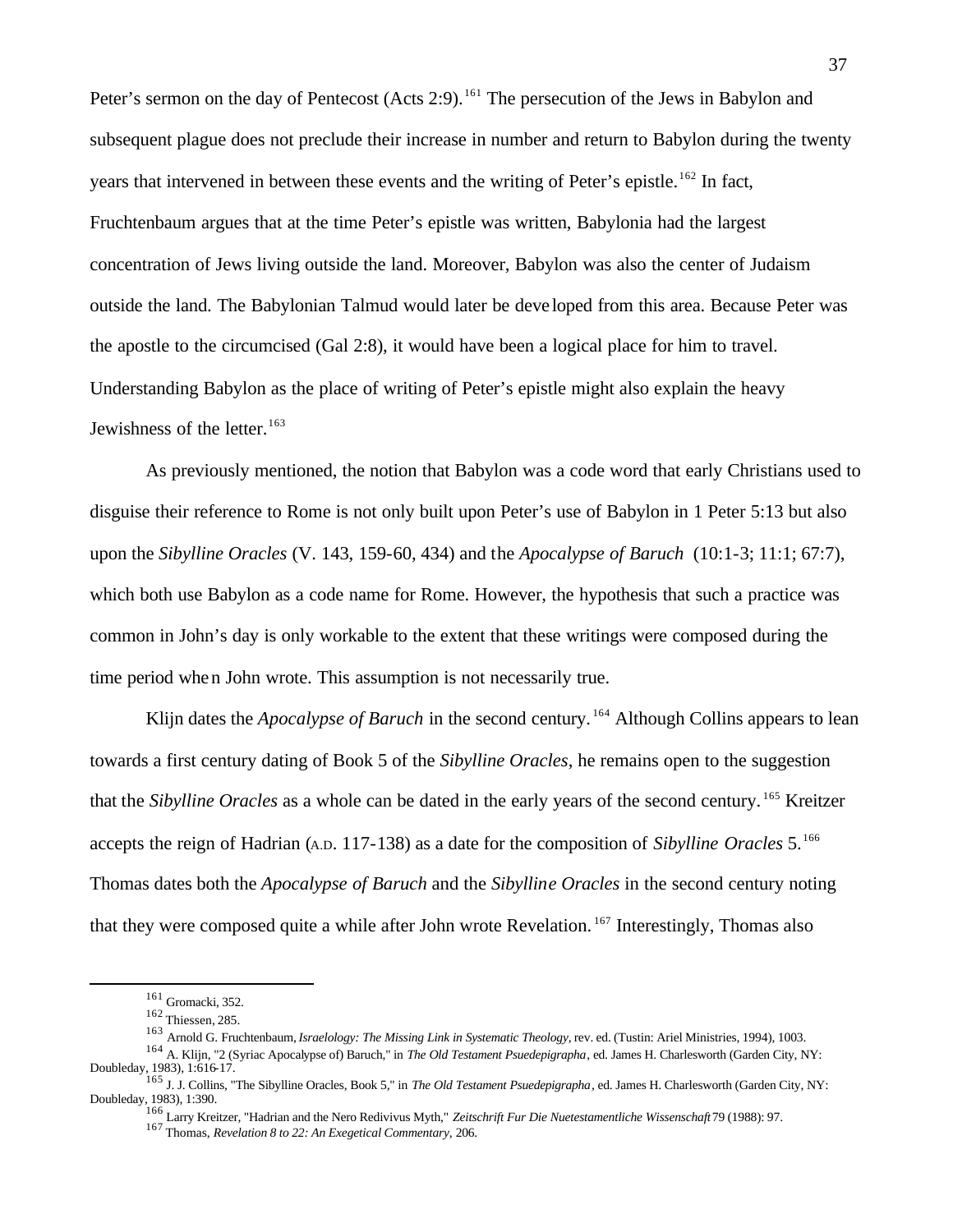Peter's sermon on the day of Pentecost (Acts 2:9).<sup>161</sup> The persecution of the Jews in Babylon and subsequent plague does not preclude their increase in number and return to Babylon during the twenty years that intervened in between these events and the writing of Peter's epistle.<sup>162</sup> In fact, Fruchtenbaum argues that at the time Peter's epistle was written, Babylonia had the largest concentration of Jews living outside the land. Moreover, Babylon was also the center of Judaism outside the land. The Babylonian Talmud would later be deve loped from this area. Because Peter was the apostle to the circumcised (Gal 2:8), it would have been a logical place for him to travel. Understanding Babylon as the place of writing of Peter's epistle might also explain the heavy Jewishness of the letter.<sup>163</sup>

As previously mentioned, the notion that Babylon was a code word that early Christians used to disguise their reference to Rome is not only built upon Peter's use of Babylon in 1 Peter 5:13 but also upon the *Sibylline Oracles* (V. 143, 159-60, 434) and the *Apocalypse of Baruch* (10:1-3; 11:1; 67:7), which both use Babylon as a code name for Rome. However, the hypothesis that such a practice was common in John's day is only workable to the extent that these writings were composed during the time period when John wrote. This assumption is not necessarily true.

Klijn dates the *Apocalypse of Baruch* in the second century.<sup>164</sup> Although Collins appears to lean towards a first century dating of Book 5 of the *Sibylline Oracles*, he remains open to the suggestion that the *Sibylline Oracles* as a whole can be dated in the early years of the second century. <sup>165</sup> Kreitzer accepts the reign of Hadrian (A.D. 117-138) as a date for the composition of *Sibylline Oracles* 5.<sup>166</sup> Thomas dates both the *Apocalypse of Baruch* and the *Sibylline Oracles* in the second century noting that they were composed quite a while after John wrote Revelation. <sup>167</sup> Interestingly, Thomas also

<sup>161</sup> Gromacki, 352.

<sup>162</sup> Thiessen, 285.

<sup>163</sup> Arnold G. Fruchtenbaum, *Israelology: The Missing Link in Systematic Theology*, rev. ed. (Tustin: Ariel Ministries, 1994), 1003.

<sup>164</sup> A. Klijn, "2 (Syriac Apocalypse of) Baruch," in *The Old Testament Psuedepigrapha*, ed. James H. Charlesworth (Garden City, NY: Doubleday, 1983), 1:616-17. <sup>165</sup> J. J. Collins, "The Sibylline Oracles, Book 5," in *The Old Testament Psuedepigrapha*, ed. James H. Charlesworth (Garden City, NY:

Doubleday, 1983), 1:390. 166 Larry Kreitzer, "Hadrian and the Nero Redivivus Myth," *Zeitschrift Fur Die Nuetestamentliche Wissenschaft* 79 (1988): 97.

<sup>167</sup> Thomas, *Revelation 8 to 22: An Exegetical Commentary*, 206.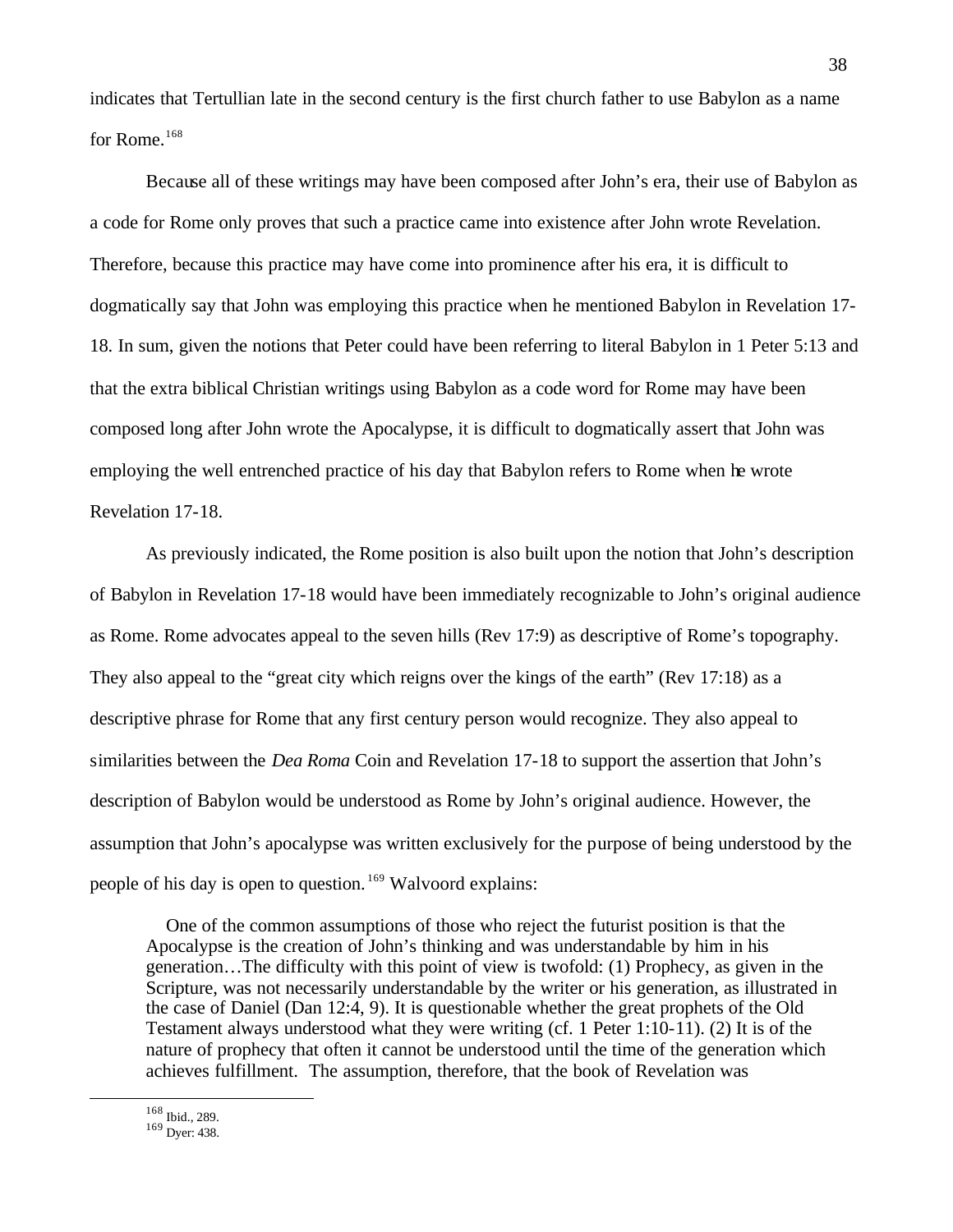indicates that Tertullian late in the second century is the first church father to use Babylon as a name for Rome.<sup>168</sup>

Because all of these writings may have been composed after John's era, their use of Babylon as a code for Rome only proves that such a practice came into existence after John wrote Revelation. Therefore, because this practice may have come into prominence after his era, it is difficult to dogmatically say that John was employing this practice when he mentioned Babylon in Revelation 17- 18. In sum, given the notions that Peter could have been referring to literal Babylon in 1 Peter 5:13 and that the extra biblical Christian writings using Babylon as a code word for Rome may have been composed long after John wrote the Apocalypse, it is difficult to dogmatically assert that John was employing the well entrenched practice of his day that Babylon refers to Rome when he wrote Revelation 17-18.

As previously indicated, the Rome position is also built upon the notion that John's description of Babylon in Revelation 17-18 would have been immediately recognizable to John's original audience as Rome. Rome advocates appeal to the seven hills (Rev 17:9) as descriptive of Rome's topography. They also appeal to the "great city which reigns over the kings of the earth" (Rev 17:18) as a descriptive phrase for Rome that any first century person would recognize. They also appeal to similarities between the *Dea Roma* Coin and Revelation 17-18 to support the assertion that John's description of Babylon would be understood as Rome by John's original audience. However, the assumption that John's apocalypse was written exclusively for the purpose of being understood by the people of his day is open to question. <sup>169</sup> Walvoord explains:

 One of the common assumptions of those who reject the futurist position is that the Apocalypse is the creation of John's thinking and was understandable by him in his generation…The difficulty with this point of view is twofold: (1) Prophecy, as given in the Scripture, was not necessarily understandable by the writer or his generation, as illustrated in the case of Daniel (Dan 12:4, 9). It is questionable whether the great prophets of the Old Testament always understood what they were writing (cf. 1 Peter 1:10-11). (2) It is of the nature of prophecy that often it cannot be understood until the time of the generation which achieves fulfillment. The assumption, therefore, that the book of Revelation was

<sup>168</sup> Ibid., 289.

 $169$  Dyer: 438.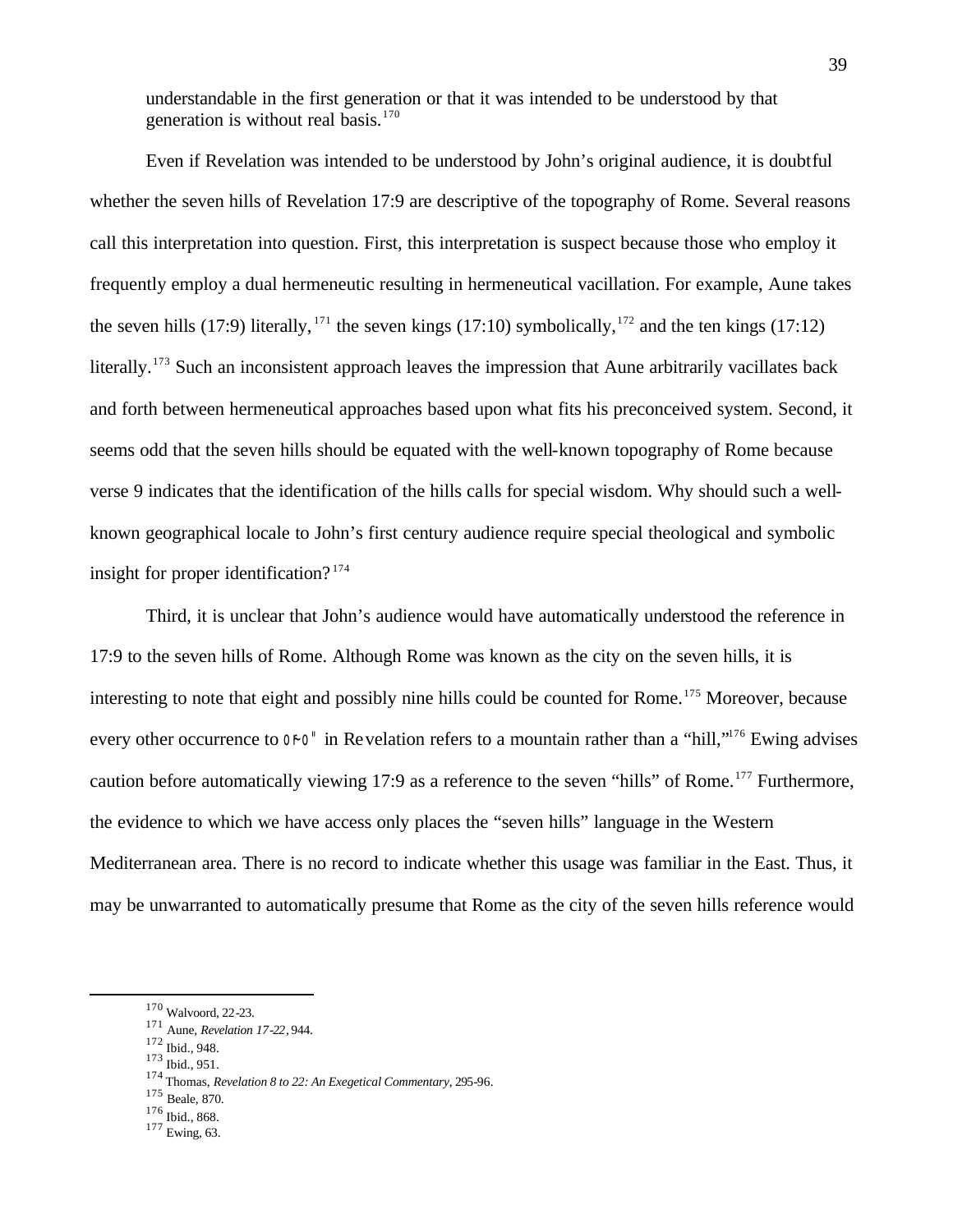understandable in the first generation or that it was intended to be understood by that generation is without real basis. $170$ 

Even if Revelation was intended to be understood by John's original audience, it is doubtful whether the seven hills of Revelation 17:9 are descriptive of the topography of Rome. Several reasons call this interpretation into question. First, this interpretation is suspect because those who employ it frequently employ a dual hermeneutic resulting in hermeneutical vacillation. For example, Aune takes the seven hills (17:9) literally, <sup>171</sup> the seven kings (17:10) symbolically, <sup>172</sup> and the ten kings (17:12) literally.<sup>173</sup> Such an inconsistent approach leaves the impression that Aune arbitrarily vacillates back and forth between hermeneutical approaches based upon what fits his preconceived system. Second, it seems odd that the seven hills should be equated with the well-known topography of Rome because verse 9 indicates that the identification of the hills calls for special wisdom. Why should such a wellknown geographical locale to John's first century audience require special theological and symbolic insight for proper identification?  $174$ 

Third, it is unclear that John's audience would have automatically understood the reference in 17:9 to the seven hills of Rome. Although Rome was known as the city on the seven hills, it is interesting to note that eight and possibly nine hills could be counted for Rome.<sup>175</sup> Moreover, because every other occurrence to  $\sigma$ <sup>-</sup> in Revelation refers to a mountain rather than a "hill,"<sup>176</sup> Ewing advises caution before automatically viewing 17:9 as a reference to the seven "hills" of Rome.<sup>177</sup> Furthermore, the evidence to which we have access only places the "seven hills" language in the Western Mediterranean area. There is no record to indicate whether this usage was familiar in the East. Thus, it may be unwarranted to automatically presume that Rome as the city of the seven hills reference would

 $\overline{a}$ 

<sup>175</sup> Beale, 870.

<sup>170</sup> Walvoord, 22-23.

<sup>171</sup> Aune, *Revelation 17-22*, 944.

<sup>172</sup> Ibid., 948.

<sup>173</sup> Ibid., 951.

<sup>174</sup> Thomas, *Revelation 8 to 22: An Exegetical Commentary*, 295-96.

<sup>176</sup> Ibid., 868.

<sup>177</sup> Ewing, 63.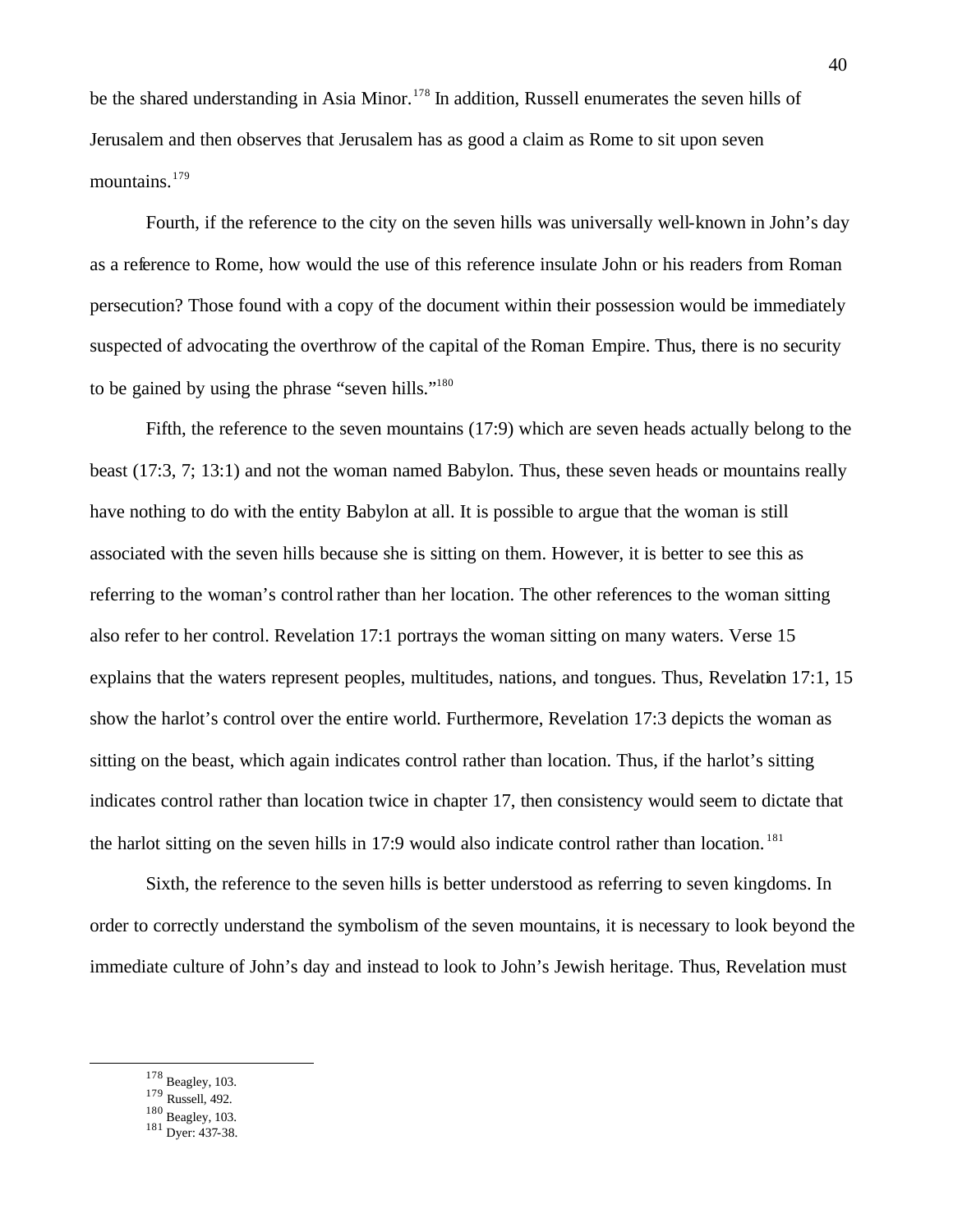be the shared understanding in Asia Minor.<sup>178</sup> In addition, Russell enumerates the seven hills of Jerusalem and then observes that Jerusalem has as good a claim as Rome to sit upon seven mountains.<sup>179</sup>

Fourth, if the reference to the city on the seven hills was universally well-known in John's day as a reference to Rome, how would the use of this reference insulate John or his readers from Roman persecution? Those found with a copy of the document within their possession would be immediately suspected of advocating the overthrow of the capital of the Roman Empire. Thus, there is no security to be gained by using the phrase "seven hills."<sup>180</sup>

Fifth, the reference to the seven mountains (17:9) which are seven heads actually belong to the beast (17:3, 7; 13:1) and not the woman named Babylon. Thus, these seven heads or mountains really have nothing to do with the entity Babylon at all. It is possible to argue that the woman is still associated with the seven hills because she is sitting on them. However, it is better to see this as referring to the woman's control rather than her location. The other references to the woman sitting also refer to her control. Revelation 17:1 portrays the woman sitting on many waters. Verse 15 explains that the waters represent peoples, multitudes, nations, and tongues. Thus, Revelation 17:1, 15 show the harlot's control over the entire world. Furthermore, Revelation 17:3 depicts the woman as sitting on the beast, which again indicates control rather than location. Thus, if the harlot's sitting indicates control rather than location twice in chapter 17, then consistency would seem to dictate that the harlot sitting on the seven hills in 17:9 would also indicate control rather than location.<sup>181</sup>

Sixth, the reference to the seven hills is better understood as referring to seven kingdoms. In order to correctly understand the symbolism of the seven mountains, it is necessary to look beyond the immediate culture of John's day and instead to look to John's Jewish heritage. Thus, Revelation must

 $178$  Beagley, 103.

- <sup>179</sup> Russell, 492.
- 180 Beagley, 103.

<sup>181</sup> Dyer: 437-38.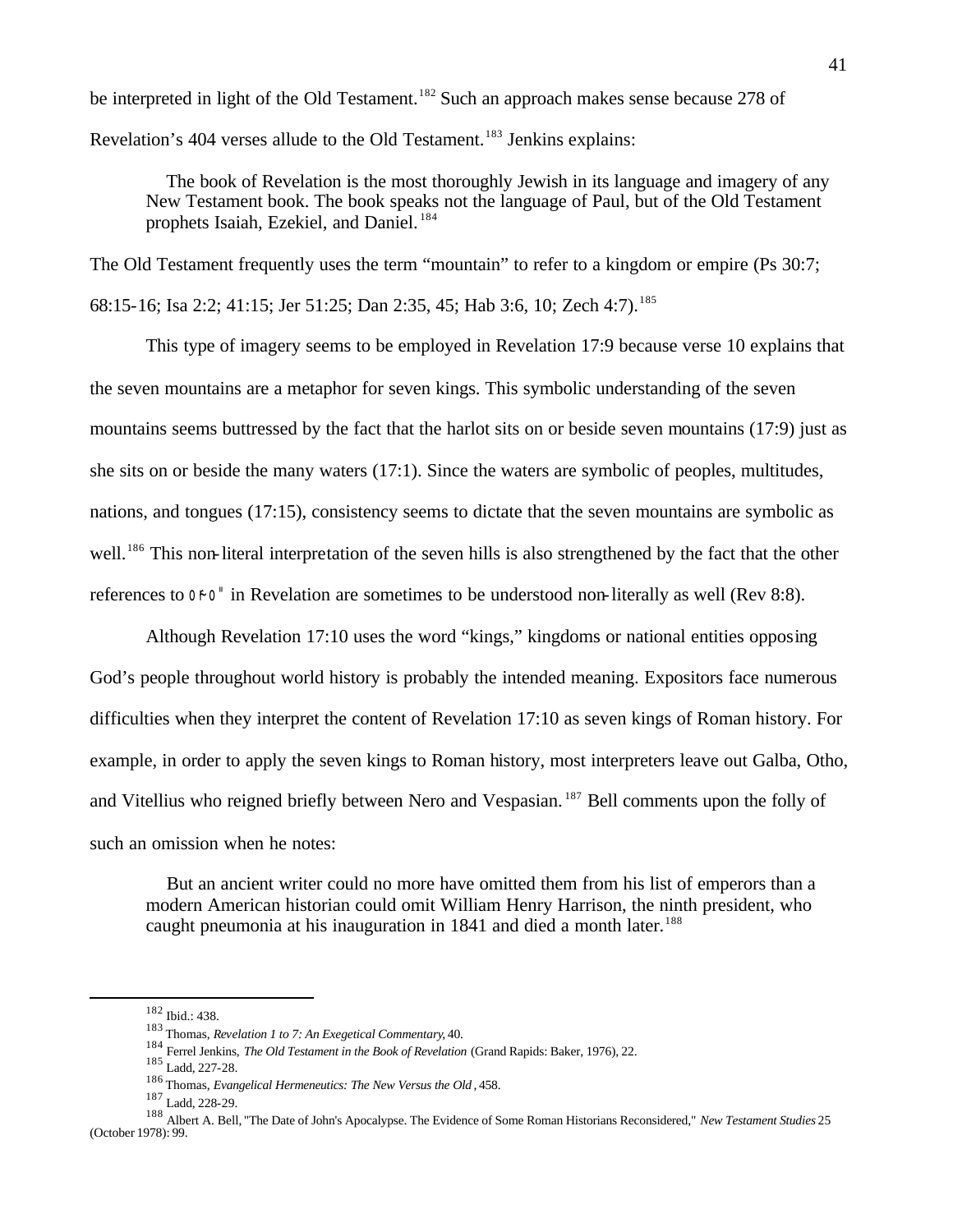be interpreted in light of the Old Testament.<sup>182</sup> Such an approach makes sense because 278 of Revelation's 404 verses allude to the Old Testament.<sup>183</sup> Jenkins explains:

 The book of Revelation is the most thoroughly Jewish in its language and imagery of any New Testament book. The book speaks not the language of Paul, but of the Old Testament prophets Isaiah, Ezekiel, and Daniel. <sup>184</sup>

The Old Testament frequently uses the term "mountain" to refer to a kingdom or empire (Ps 30:7; 68:15-16; Isa 2:2; 41:15; Jer 51:25; Dan 2:35, 45; Hab 3:6, 10; Zech 4:7).<sup>185</sup>

This type of imagery seems to be employed in Revelation 17:9 because verse 10 explains that the seven mountains are a metaphor for seven kings. This symbolic understanding of the seven mountains seems buttressed by the fact that the harlot sits on or beside seven mountains (17:9) just as she sits on or beside the many waters (17:1). Since the waters are symbolic of peoples, multitudes, nations, and tongues (17:15), consistency seems to dictate that the seven mountains are symbolic as well.<sup>186</sup> This non-literal interpretation of the seven hills is also strengthened by the fact that the other references to  $\sigma$ <sup>-</sup> in Revelation are sometimes to be understood non-literally as well (Rev 8:8).

Although Revelation 17:10 uses the word "kings," kingdoms or national entities opposing God's people throughout world history is probably the intended meaning. Expositors face numerous difficulties when they interpret the content of Revelation 17:10 as seven kings of Roman history. For example, in order to apply the seven kings to Roman history, most interpreters leave out Galba, Otho, and Vitellius who reigned briefly between Nero and Vespasian. <sup>187</sup> Bell comments upon the folly of such an omission when he notes:

 But an ancient writer could no more have omitted them from his list of emperors than a modern American historian could omit William Henry Harrison, the ninth president, who caught pneumonia at his inauguration in 1841 and died a month later.<sup>188</sup>

<sup>182</sup> Ibid.: 438.

<sup>183</sup> Thomas, *Revelation 1 to 7: An Exegetical Commentary*, 40.

<sup>184</sup> Ferrel Jenkins, *The Old Testament in the Book of Revelation* (Grand Rapids: Baker, 1976), 22.

<sup>185</sup> Ladd, 227-28.

<sup>186</sup> Thomas, *Evangelical Hermeneutics: The New Versus the Old* , 458.

<sup>187</sup> Ladd, 228-29.

<sup>188</sup> Albert A. Bell, "The Date of John's Apocalypse. The Evidence of Some Roman Historians Reconsidered," *New Testament Studies* 25 (October 1978): 99.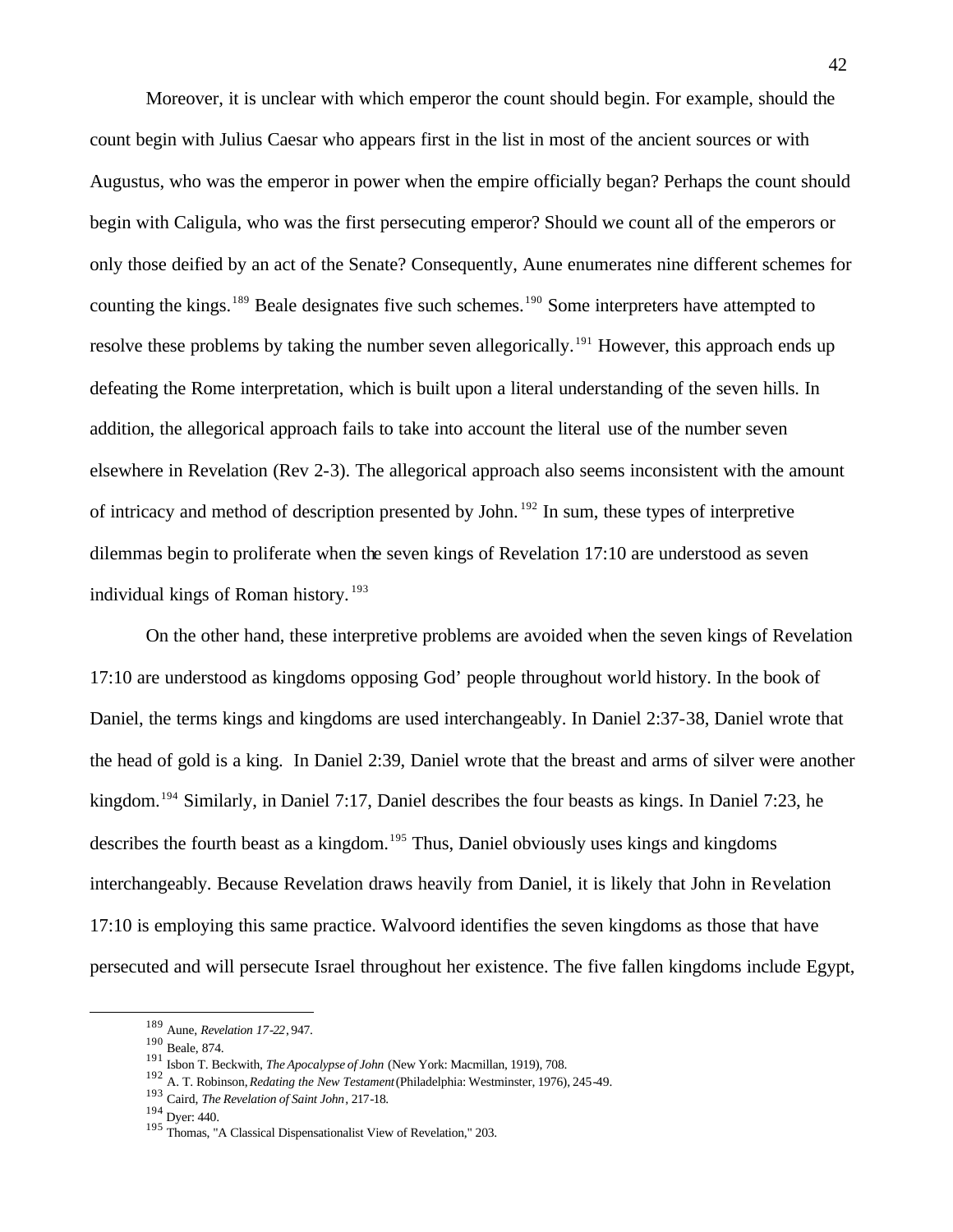Moreover, it is unclear with which emperor the count should begin. For example, should the count begin with Julius Caesar who appears first in the list in most of the ancient sources or with Augustus, who was the emperor in power when the empire officially began? Perhaps the count should begin with Caligula, who was the first persecuting emperor? Should we count all of the emperors or only those deified by an act of the Senate? Consequently, Aune enumerates nine different schemes for counting the kings.<sup>189</sup> Beale designates five such schemes.<sup>190</sup> Some interpreters have attempted to resolve these problems by taking the number seven allegorically.<sup>191</sup> However, this approach ends up defeating the Rome interpretation, which is built upon a literal understanding of the seven hills. In addition, the allegorical approach fails to take into account the literal use of the number seven elsewhere in Revelation (Rev 2-3). The allegorical approach also seems inconsistent with the amount of intricacy and method of description presented by John. <sup>192</sup> In sum, these types of interpretive dilemmas begin to proliferate when the seven kings of Revelation 17:10 are understood as seven individual kings of Roman history.<sup>193</sup>

On the other hand, these interpretive problems are avoided when the seven kings of Revelation 17:10 are understood as kingdoms opposing God' people throughout world history. In the book of Daniel, the terms kings and kingdoms are used interchangeably. In Daniel 2:37-38, Daniel wrote that the head of gold is a king. In Daniel 2:39, Daniel wrote that the breast and arms of silver were another kingdom.<sup>194</sup> Similarly, in Daniel 7:17, Daniel describes the four beasts as kings. In Daniel 7:23, he describes the fourth beast as a kingdom.<sup>195</sup> Thus, Daniel obviously uses kings and kingdoms interchangeably. Because Revelation draws heavily from Daniel, it is likely that John in Revelation 17:10 is employing this same practice. Walvoord identifies the seven kingdoms as those that have persecuted and will persecute Israel throughout her existence. The five fallen kingdoms include Egypt,

<sup>189</sup> Aune, *Revelation 17-22*, 947.

<sup>190</sup> Beale, 874.

<sup>191</sup> Isbon T. Beckwith, *The Apocalypse of John* (New York: Macmillan, 1919), 708.

<sup>192</sup> A. T. Robinson, *Redating the New Testament* (Philadelphia: Westminster, 1976), 245-49.

<sup>193</sup> Caird, *The Revelation of Saint John*, 217-18.

<sup>194</sup> Dyer: 440.

<sup>195</sup> Thomas, "A Classical Dispensationalist View of Revelation," 203.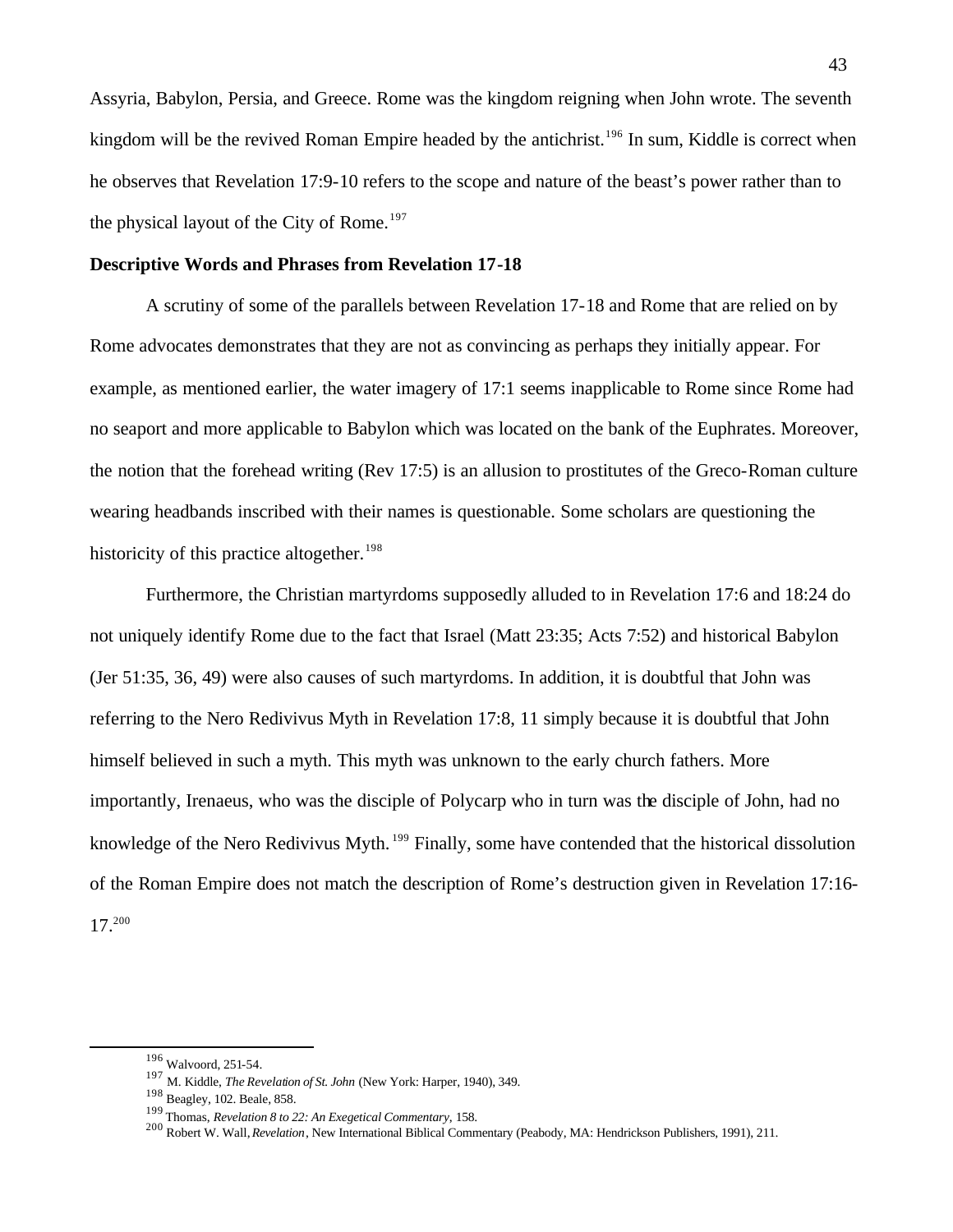Assyria, Babylon, Persia, and Greece. Rome was the kingdom reigning when John wrote. The seventh kingdom will be the revived Roman Empire headed by the antichrist.<sup>196</sup> In sum, Kiddle is correct when he observes that Revelation 17:9-10 refers to the scope and nature of the beast's power rather than to the physical layout of the City of Rome.<sup>197</sup>

#### **Descriptive Words and Phrases from Revelation 17-18**

A scrutiny of some of the parallels between Revelation 17-18 and Rome that are relied on by Rome advocates demonstrates that they are not as convincing as perhaps they initially appear. For example, as mentioned earlier, the water imagery of 17:1 seems inapplicable to Rome since Rome had no seaport and more applicable to Babylon which was located on the bank of the Euphrates. Moreover, the notion that the forehead writing (Rev 17:5) is an allusion to prostitutes of the Greco-Roman culture wearing headbands inscribed with their names is questionable. Some scholars are questioning the historicity of this practice altogether.<sup>198</sup>

Furthermore, the Christian martyrdoms supposedly alluded to in Revelation 17:6 and 18:24 do not uniquely identify Rome due to the fact that Israel (Matt 23:35; Acts 7:52) and historical Babylon (Jer 51:35, 36, 49) were also causes of such martyrdoms. In addition, it is doubtful that John was referring to the Nero Redivivus Myth in Revelation 17:8, 11 simply because it is doubtful that John himself believed in such a myth. This myth was unknown to the early church fathers. More importantly, Irenaeus, who was the disciple of Polycarp who in turn was the disciple of John, had no knowledge of the Nero Redivivus Myth. <sup>199</sup> Finally, some have contended that the historical dissolution of the Roman Empire does not match the description of Rome's destruction given in Revelation 17:16- 17.<sup>200</sup>

<sup>196</sup> Walvoord, 251-54.

<sup>197</sup> M. Kiddle, *The Revelation of St. John* (New York: Harper, 1940), 349.

<sup>198</sup> Beagley, 102. Beale, 858.

<sup>199</sup> Thomas, *Revelation 8 to 22: An Exegetical Commentary*, 158.

<sup>200</sup> Robert W. Wall, *Revelation*, New International Biblical Commentary (Peabody, MA: Hendrickson Publishers, 1991), 211.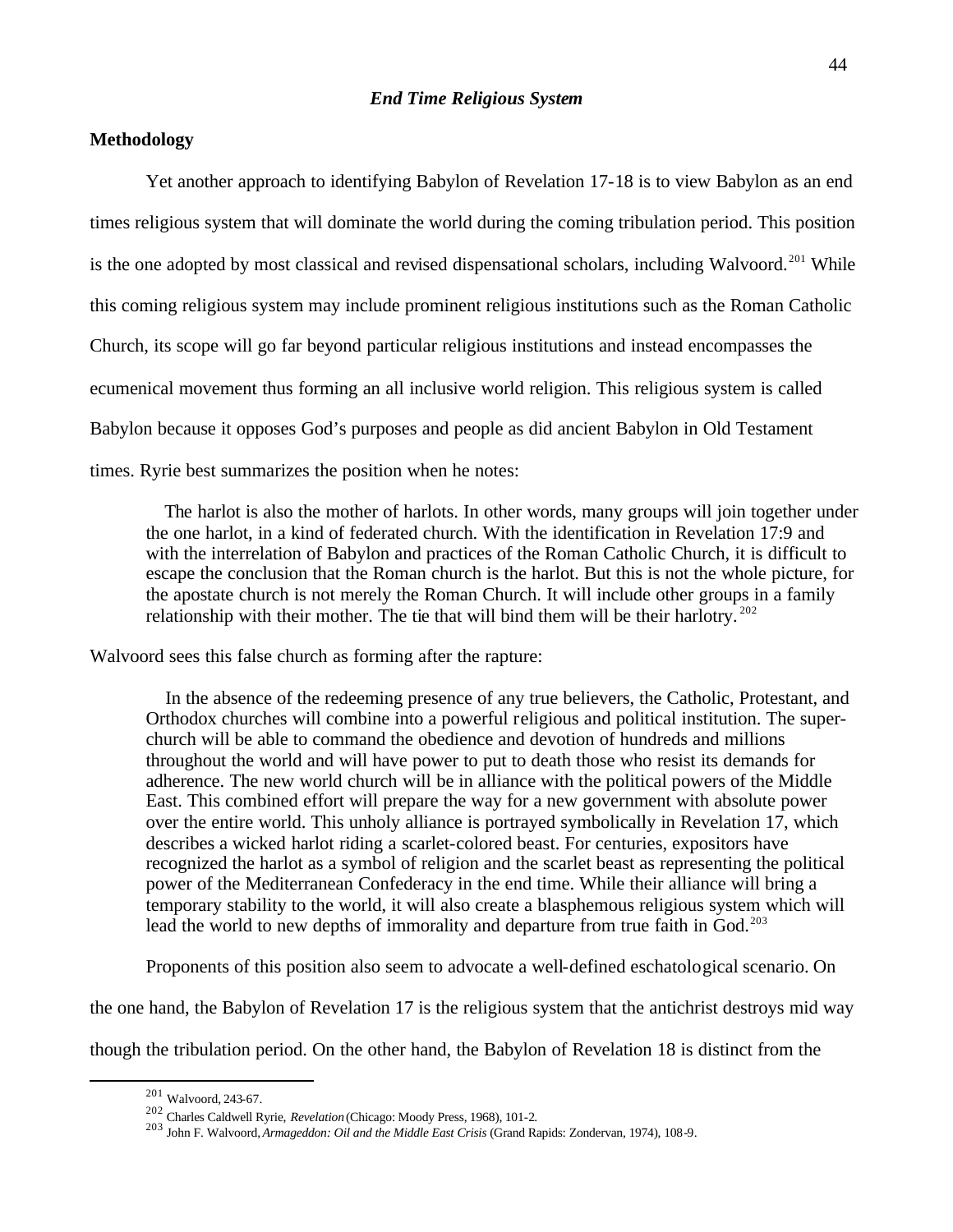# **Methodology**

Yet another approach to identifying Babylon of Revelation 17-18 is to view Babylon as an end times religious system that will dominate the world during the coming tribulation period. This position is the one adopted by most classical and revised dispensational scholars, including Walvoord.<sup>201</sup> While this coming religious system may include prominent religious institutions such as the Roman Catholic Church, its scope will go far beyond particular religious institutions and instead encompasses the ecumenical movement thus forming an all inclusive world religion. This religious system is called Babylon because it opposes God's purposes and people as did ancient Babylon in Old Testament times. Ryrie best summarizes the position when he notes:

 The harlot is also the mother of harlots. In other words, many groups will join together under the one harlot, in a kind of federated church. With the identification in Revelation 17:9 and with the interrelation of Babylon and practices of the Roman Catholic Church, it is difficult to escape the conclusion that the Roman church is the harlot. But this is not the whole picture, for the apostate church is not merely the Roman Church. It will include other groups in a family relationship with their mother. The tie that will bind them will be their harlotry.  $202$ 

Walvoord sees this false church as forming after the rapture:

 In the absence of the redeeming presence of any true believers, the Catholic, Protestant, and Orthodox churches will combine into a powerful religious and political institution. The superchurch will be able to command the obedience and devotion of hundreds and millions throughout the world and will have power to put to death those who resist its demands for adherence. The new world church will be in alliance with the political powers of the Middle East. This combined effort will prepare the way for a new government with absolute power over the entire world. This unholy alliance is portrayed symbolically in Revelation 17, which describes a wicked harlot riding a scarlet-colored beast. For centuries, expositors have recognized the harlot as a symbol of religion and the scarlet beast as representing the political power of the Mediterranean Confederacy in the end time. While their alliance will bring a temporary stability to the world, it will also create a blasphemous religious system which will lead the world to new depths of immorality and departure from true faith in God.<sup>203</sup>

Proponents of this position also seem to advocate a well-defined eschatological scenario. On

the one hand, the Babylon of Revelation 17 is the religious system that the antichrist destroys mid way

though the tribulation period. On the other hand, the Babylon of Revelation 18 is distinct from the

<sup>201</sup> Walvoord, 243-67.

<sup>202</sup> Charles Caldwell Ryrie, *Revelation* (Chicago: Moody Press, 1968), 101-2.

<sup>203</sup> John F. Walvoord, *Armageddon: Oil and the Middle East Crisis* (Grand Rapids: Zondervan, 1974), 108-9.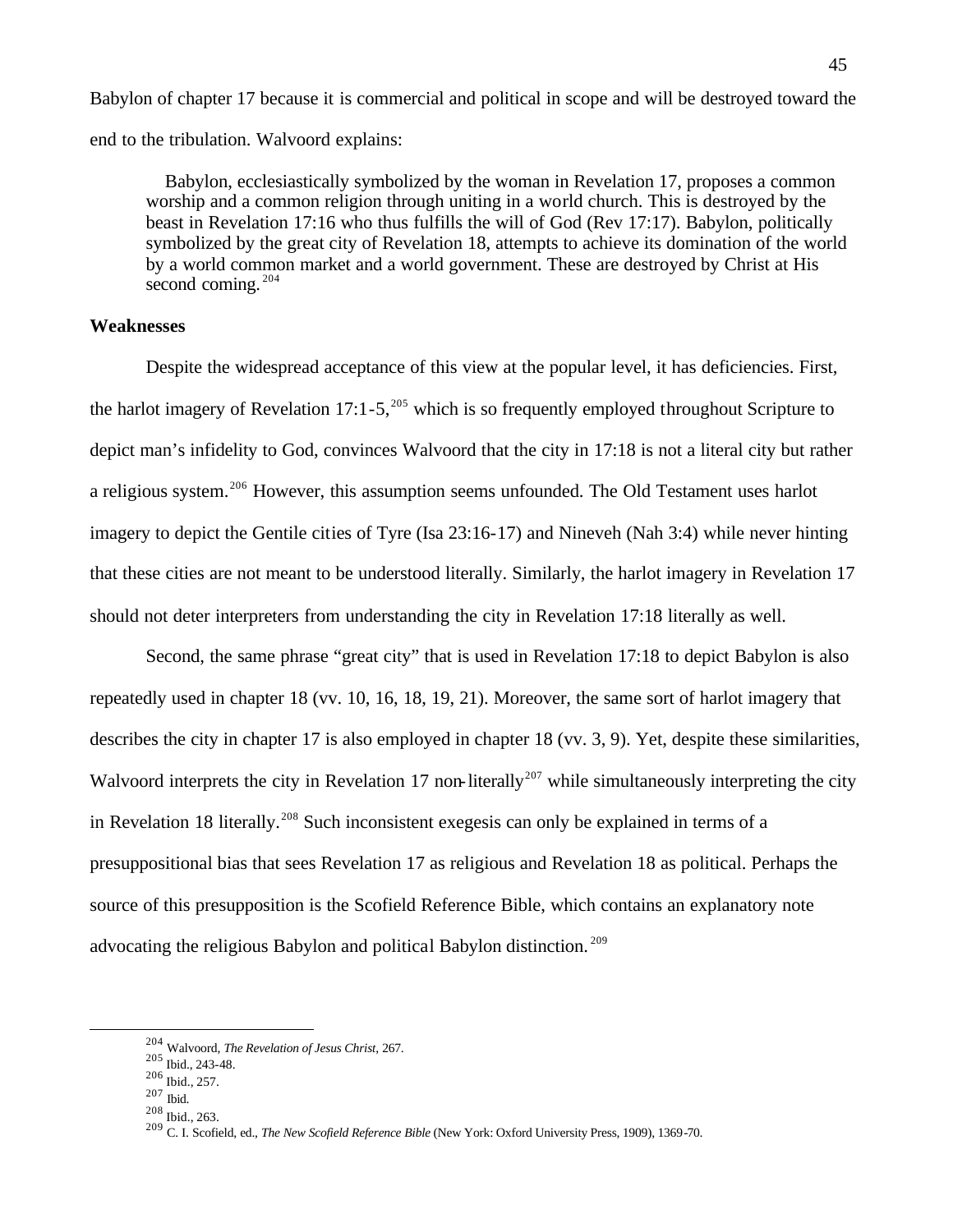Babylon of chapter 17 because it is commercial and political in scope and will be destroyed toward the end to the tribulation. Walvoord explains:

 Babylon, ecclesiastically symbolized by the woman in Revelation 17, proposes a common worship and a common religion through uniting in a world church. This is destroyed by the beast in Revelation 17:16 who thus fulfills the will of God (Rev 17:17). Babylon, politically symbolized by the great city of Revelation 18, attempts to achieve its domination of the world by a world common market and a world government. These are destroyed by Christ at His second coming.<sup>204</sup>

## **Weaknesses**

Despite the widespread acceptance of this view at the popular level, it has deficiencies. First, the harlot imagery of Revelation 17:1-5,<sup>205</sup> which is so frequently employed throughout Scripture to depict man's infidelity to God, convinces Walvoord that the city in 17:18 is not a literal city but rather a religious system.<sup>206</sup> However, this assumption seems unfounded. The Old Testament uses harlot imagery to depict the Gentile cities of Tyre (Isa 23:16-17) and Nineveh (Nah 3:4) while never hinting that these cities are not meant to be understood literally. Similarly, the harlot imagery in Revelation 17 should not deter interpreters from understanding the city in Revelation 17:18 literally as well.

Second, the same phrase "great city" that is used in Revelation 17:18 to depict Babylon is also repeatedly used in chapter 18 (vv. 10, 16, 18, 19, 21). Moreover, the same sort of harlot imagery that describes the city in chapter 17 is also employed in chapter 18 (vv. 3, 9). Yet, despite these similarities, Walvoord interprets the city in Revelation 17 non-literally<sup>207</sup> while simultaneously interpreting the city in Revelation 18 literally.<sup>208</sup> Such inconsistent exegesis can only be explained in terms of a presuppositional bias that sees Revelation 17 as religious and Revelation 18 as political. Perhaps the source of this presupposition is the Scofield Reference Bible, which contains an explanatory note advocating the religious Babylon and political Babylon distinction. <sup>209</sup>

 $\overline{a}$ 

<sup>208</sup> Ibid., 263.

<sup>204</sup> Walvoord, *The Revelation of Jesus Christ*, 267.

<sup>205</sup> Ibid., 243-48.

<sup>206</sup> Ibid., 257.

<sup>207</sup> Ibid.

<sup>209</sup> C. I. Scofield, ed., *The New Scofield Reference Bible* (New York: Oxford University Press, 1909), 1369-70.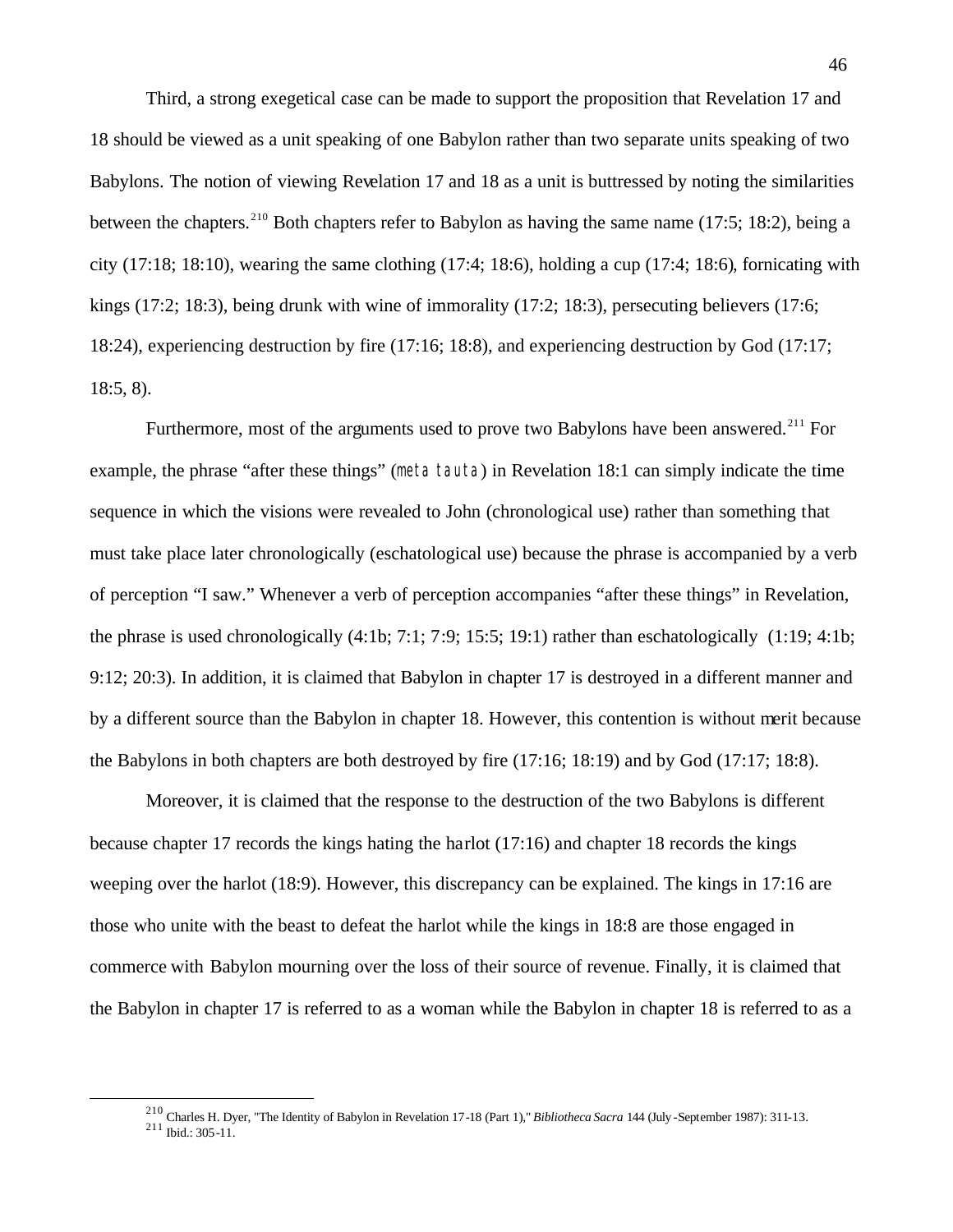Third, a strong exegetical case can be made to support the proposition that Revelation 17 and 18 should be viewed as a unit speaking of one Babylon rather than two separate units speaking of two Babylons. The notion of viewing Revelation 17 and 18 as a unit is buttressed by noting the similarities between the chapters.<sup>210</sup> Both chapters refer to Babylon as having the same name (17:5; 18:2), being a city (17:18; 18:10), wearing the same clothing (17:4; 18:6), holding a cup (17:4; 18:6), fornicating with kings (17:2; 18:3), being drunk with wine of immorality (17:2; 18:3), persecuting believers (17:6; 18:24), experiencing destruction by fire (17:16; 18:8), and experiencing destruction by God (17:17; 18:5, 8).

Furthermore, most of the arguments used to prove two Babylons have been answered.<sup>211</sup> For example, the phrase "after these things" (meta tauta) in Revelation 18:1 can simply indicate the time sequence in which the visions were revealed to John (chronological use) rather than something that must take place later chronologically (eschatological use) because the phrase is accompanied by a verb of perception "I saw." Whenever a verb of perception accompanies "after these things" in Revelation, the phrase is used chronologically (4:1b; 7:1; 7:9; 15:5; 19:1) rather than eschatologically (1:19; 4:1b; 9:12; 20:3). In addition, it is claimed that Babylon in chapter 17 is destroyed in a different manner and by a different source than the Babylon in chapter 18. However, this contention is without merit because the Babylons in both chapters are both destroyed by fire (17:16; 18:19) and by God (17:17; 18:8).

Moreover, it is claimed that the response to the destruction of the two Babylons is different because chapter 17 records the kings hating the harlot (17:16) and chapter 18 records the kings weeping over the harlot (18:9). However, this discrepancy can be explained. The kings in 17:16 are those who unite with the beast to defeat the harlot while the kings in 18:8 are those engaged in commerce with Babylon mourning over the loss of their source of revenue. Finally, it is claimed that the Babylon in chapter 17 is referred to as a woman while the Babylon in chapter 18 is referred to as a

<sup>210</sup> Charles H. Dyer, "The Identity of Babylon in Revelation 17-18 (Part 1)," *Bibliotheca Sacra* 144 (July -September 1987): 311-13.

 $^{211}$  Ibid.: 305-11.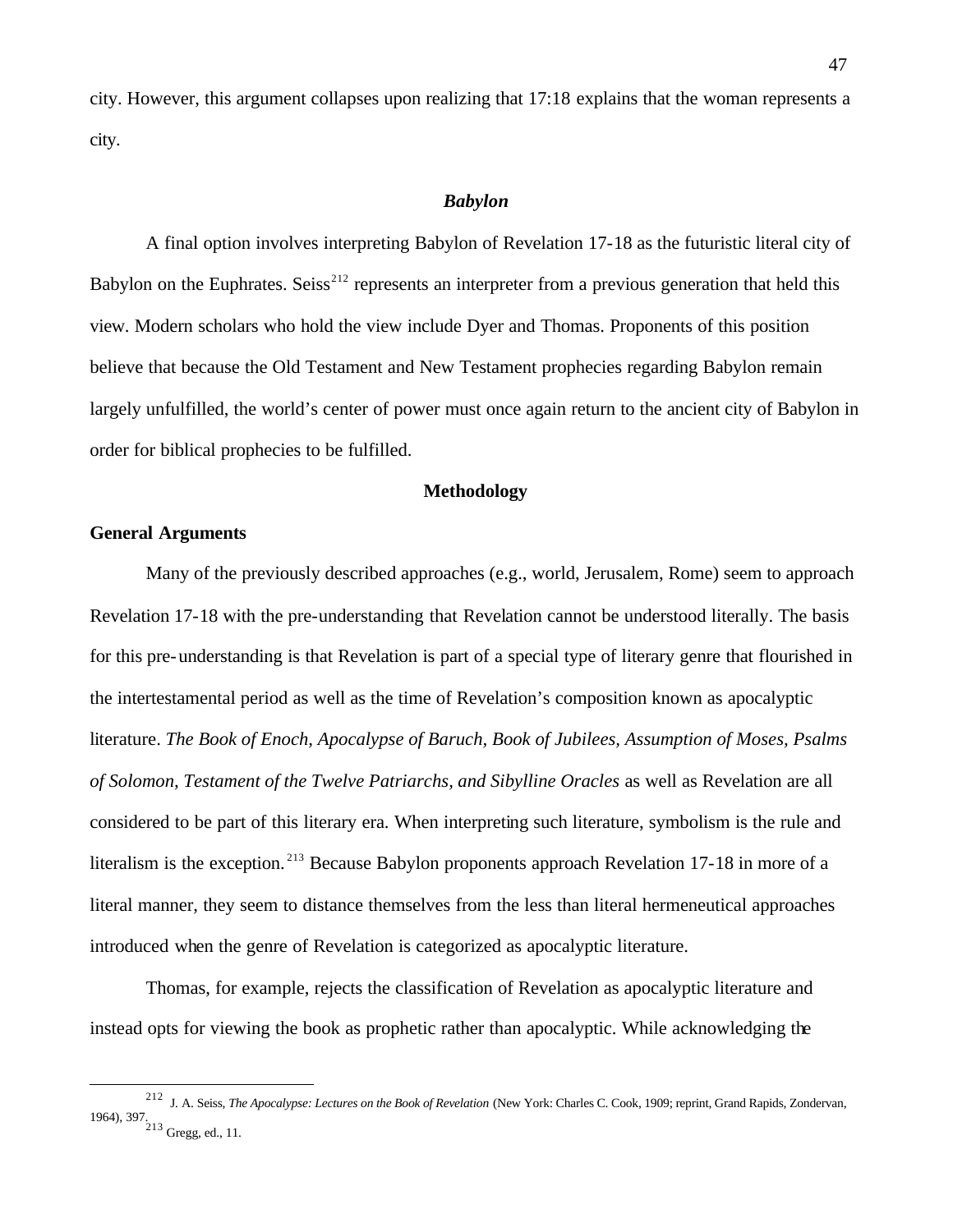city. However, this argument collapses upon realizing that 17:18 explains that the woman represents a city.

## *Babylon*

A final option involves interpreting Babylon of Revelation 17-18 as the futuristic literal city of Babylon on the Euphrates. Seiss<sup>212</sup> represents an interpreter from a previous generation that held this view. Modern scholars who hold the view include Dyer and Thomas. Proponents of this position believe that because the Old Testament and New Testament prophecies regarding Babylon remain largely unfulfilled, the world's center of power must once again return to the ancient city of Babylon in order for biblical prophecies to be fulfilled.

### **Methodology**

## **General Arguments**

 $\overline{a}$ 

Many of the previously described approaches (e.g., world, Jerusalem, Rome) seem to approach Revelation 17-18 with the pre-understanding that Revelation cannot be understood literally. The basis for this pre-understanding is that Revelation is part of a special type of literary genre that flourished in the intertestamental period as well as the time of Revelation's composition known as apocalyptic literature. *The Book of Enoch, Apocalypse of Baruch, Book of Jubilees, Assumption of Moses, Psalms of Solomon, Testament of the Twelve Patriarchs, and Sibylline Oracles* as well as Revelation are all considered to be part of this literary era. When interpreting such literature, symbolism is the rule and literalism is the exception.<sup>213</sup> Because Babylon proponents approach Revelation 17-18 in more of a literal manner, they seem to distance themselves from the less than literal hermeneutical approaches introduced when the genre of Revelation is categorized as apocalyptic literature.

Thomas, for example, rejects the classification of Revelation as apocalyptic literature and instead opts for viewing the book as prophetic rather than apocalyptic. While acknowledging the

<sup>212</sup> J. A. Seiss, *The Apocalypse: Lectures on the Book of Revelation* (New York: Charles C. Cook, 1909; reprint, Grand Rapids, Zondervan, 1964), 397. <sup>213</sup> Gregg, ed., 11.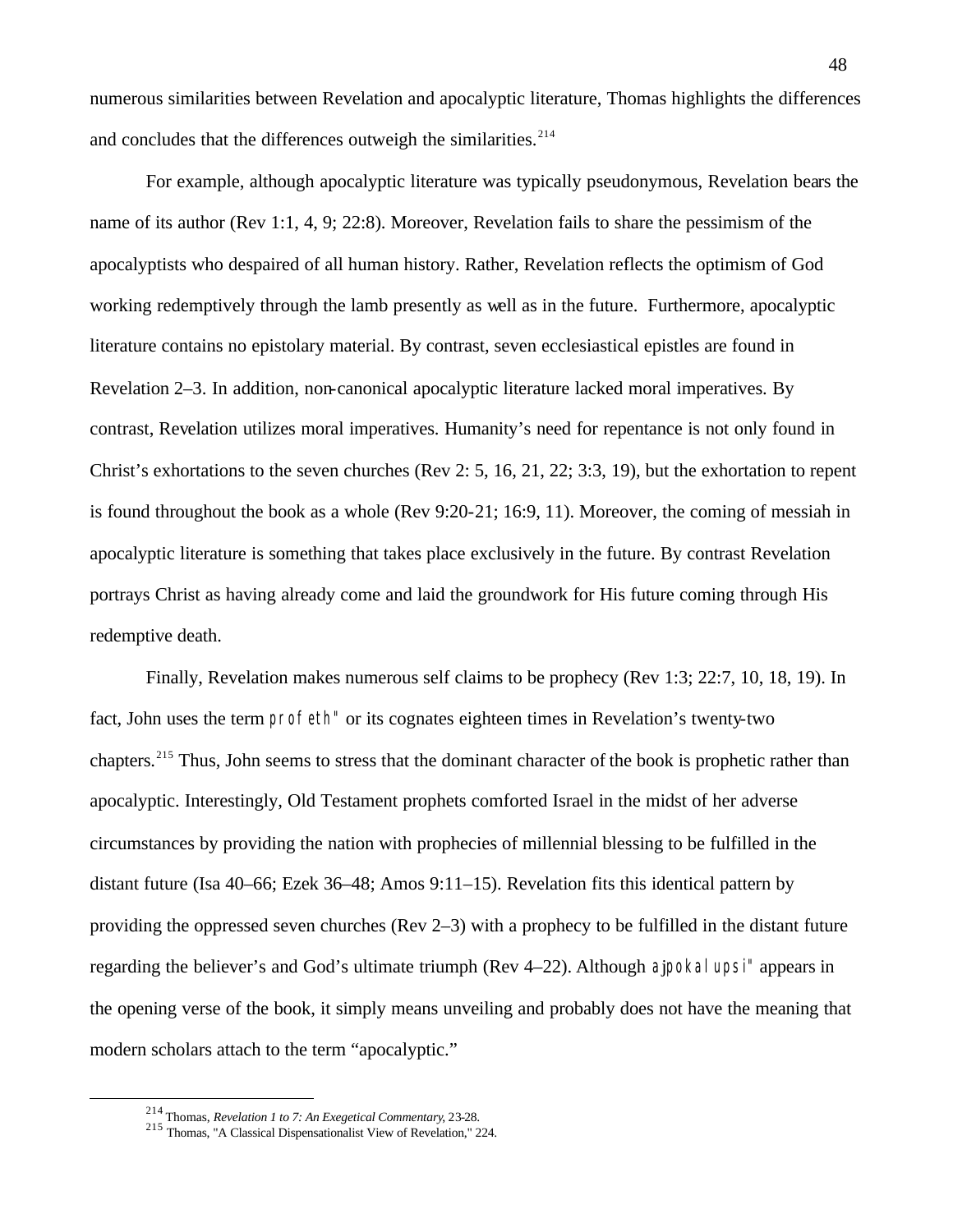numerous similarities between Revelation and apocalyptic literature, Thomas highlights the differences and concludes that the differences outweigh the similarities. $2^{14}$ 

For example, although apocalyptic literature was typically pseudonymous, Revelation bears the name of its author (Rev 1:1, 4, 9; 22:8). Moreover, Revelation fails to share the pessimism of the apocalyptists who despaired of all human history. Rather, Revelation reflects the optimism of God working redemptively through the lamb presently as well as in the future. Furthermore, apocalyptic literature contains no epistolary material. By contrast, seven ecclesiastical epistles are found in Revelation 2–3. In addition, non-canonical apocalyptic literature lacked moral imperatives. By contrast, Revelation utilizes moral imperatives. Humanity's need for repentance is not only found in Christ's exhortations to the seven churches (Rev 2: 5, 16, 21, 22; 3:3, 19), but the exhortation to repent is found throughout the book as a whole (Rev 9:20-21; 16:9, 11). Moreover, the coming of messiah in apocalyptic literature is something that takes place exclusively in the future. By contrast Revelation portrays Christ as having already come and laid the groundwork for His future coming through His redemptive death.

Finally, Revelation makes numerous self claims to be prophecy (Rev 1:3; 22:7, 10, 18, 19). In fact, John uses the term profeth" or its cognates eighteen times in Revelation's twenty-two chapters.<sup>215</sup> Thus, John seems to stress that the dominant character of the book is prophetic rather than apocalyptic. Interestingly, Old Testament prophets comforted Israel in the midst of her adverse circumstances by providing the nation with prophecies of millennial blessing to be fulfilled in the distant future (Isa 40–66; Ezek 36–48; Amos 9:11–15). Revelation fits this identical pattern by providing the oppressed seven churches (Rev 2–3) with a prophecy to be fulfilled in the distant future regarding the believer's and God's ultimate triumph (Rev 4–22). Although ajpokalupsi" appears in the opening verse of the book, it simply means unveiling and probably does not have the meaning that modern scholars attach to the term "apocalyptic."

<sup>214</sup> Thomas, *Revelation 1 to 7: An Exegetical Commentary*, 23-28.

<sup>215</sup> Thomas, "A Classical Dispensationalist View of Revelation," 224.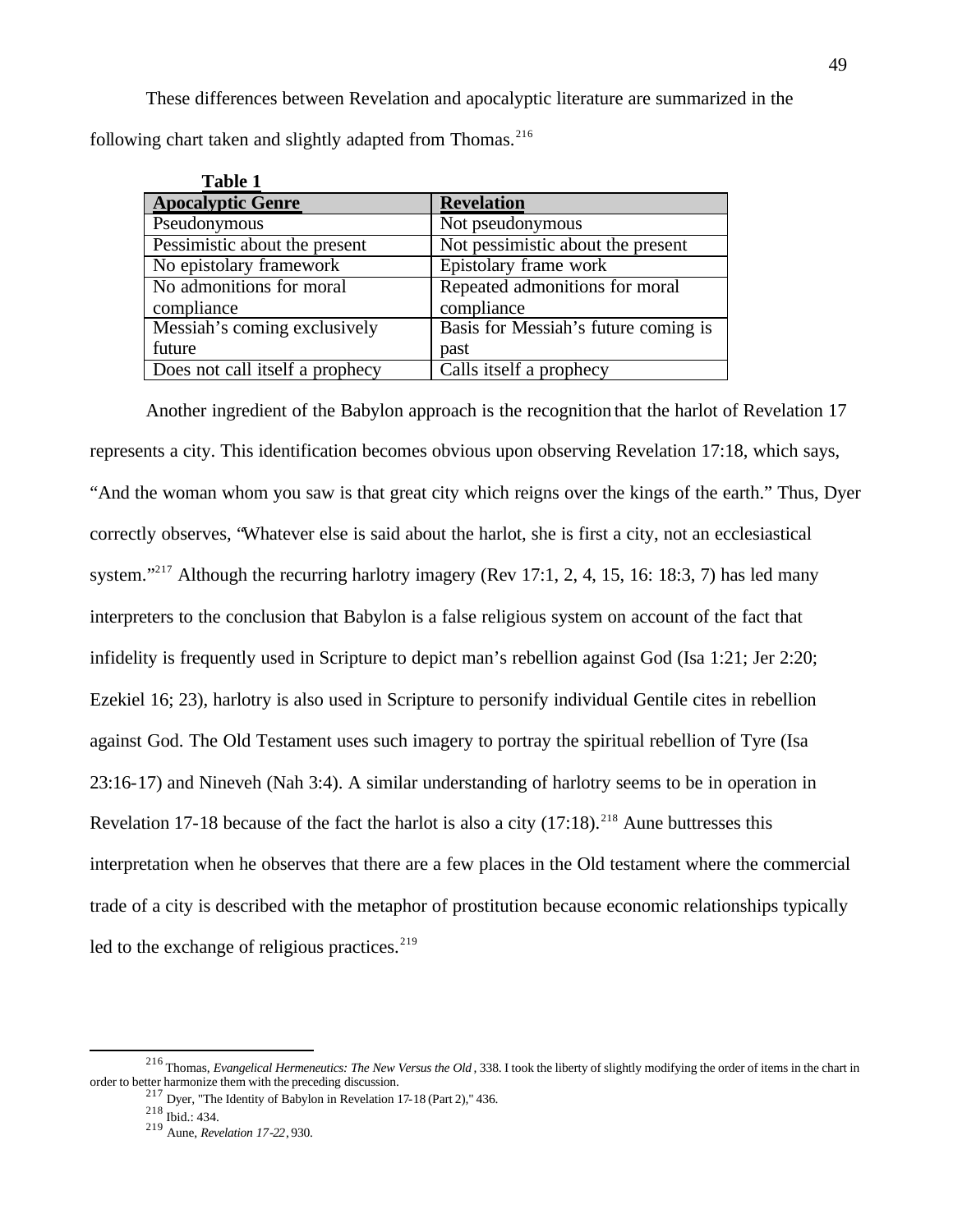These differences between Revelation and apocalyptic literature are summarized in the following chart taken and slightly adapted from Thomas.<sup>216</sup>

| <b>Table 1</b>                  |                                      |
|---------------------------------|--------------------------------------|
| <b>Apocalyptic Genre</b>        | <b>Revelation</b>                    |
| Pseudonymous                    | Not pseudonymous                     |
| Pessimistic about the present   | Not pessimistic about the present    |
| No epistolary framework         | Epistolary frame work                |
| No admonitions for moral        | Repeated admonitions for moral       |
| compliance                      | compliance                           |
| Messiah's coming exclusively    | Basis for Messiah's future coming is |
| future                          | past                                 |
| Does not call itself a prophecy | Calls itself a prophecy              |

Another ingredient of the Babylon approach is the recognition that the harlot of Revelation 17 represents a city. This identification becomes obvious upon observing Revelation 17:18, which says, "And the woman whom you saw is that great city which reigns over the kings of the earth." Thus, Dyer correctly observes, "Whatever else is said about the harlot, she is first a city, not an ecclesiastical system."<sup>217</sup> Although the recurring harlotry imagery (Rev 17:1, 2, 4, 15, 16: 18:3, 7) has led many interpreters to the conclusion that Babylon is a false religious system on account of the fact that infidelity is frequently used in Scripture to depict man's rebellion against God (Isa 1:21; Jer 2:20; Ezekiel 16; 23), harlotry is also used in Scripture to personify individual Gentile cites in rebellion against God. The Old Testament uses such imagery to portray the spiritual rebellion of Tyre (Isa 23:16-17) and Nineveh (Nah 3:4). A similar understanding of harlotry seems to be in operation in Revelation 17-18 because of the fact the harlot is also a city  $(17:18)$ .<sup>218</sup> Aune buttresses this interpretation when he observes that there are a few places in the Old testament where the commercial trade of a city is described with the metaphor of prostitution because economic relationships typically led to the exchange of religious practices. $2^{19}$ 

<sup>216</sup> Thomas, *Evangelical Hermeneutics: The New Versus the Old* , 338. I took the liberty of slightly modifying the order of items in the chart in order to better harmonize them with the preceding discussion.

 $217$  Dyer, "The Identity of Babylon in Revelation 17-18 (Part 2)," 436.

<sup>218</sup> Ibid.: 434.

<sup>219</sup> Aune, *Revelation 17-22*, 930.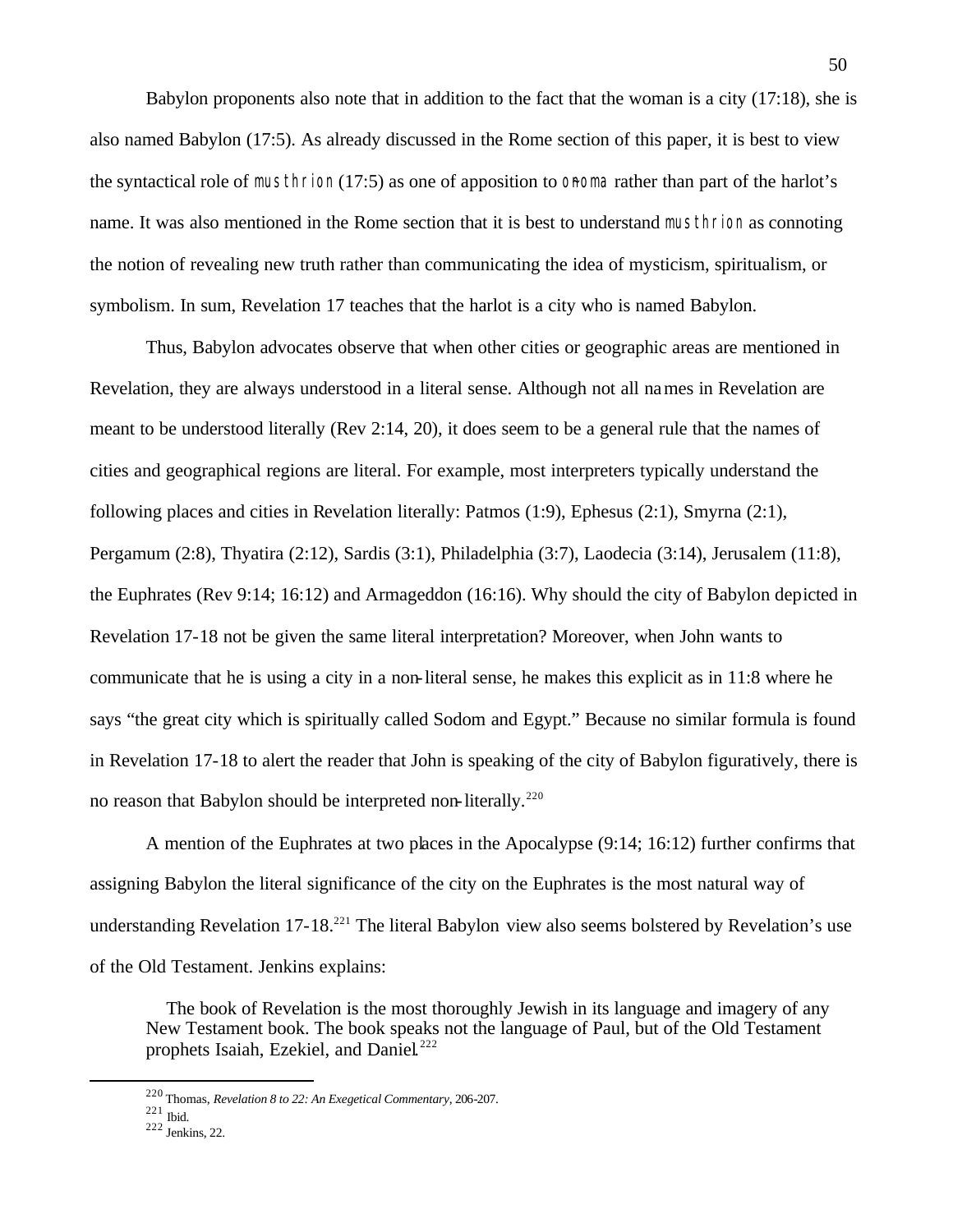Babylon proponents also note that in addition to the fact that the woman is a city (17:18), she is also named Babylon (17:5). As already discussed in the Rome section of this paper, it is best to view the syntactical role of musthrion  $(17:5)$  as one of apposition to onoma rather than part of the harlot's name. It was also mentioned in the Rome section that it is best to understand musthrion as connoting the notion of revealing new truth rather than communicating the idea of mysticism, spiritualism, or symbolism. In sum, Revelation 17 teaches that the harlot is a city who is named Babylon.

Thus, Babylon advocates observe that when other cities or geographic areas are mentioned in Revelation, they are always understood in a literal sense. Although not all names in Revelation are meant to be understood literally (Rev 2:14, 20), it does seem to be a general rule that the names of cities and geographical regions are literal. For example, most interpreters typically understand the following places and cities in Revelation literally: Patmos (1:9), Ephesus (2:1), Smyrna (2:1), Pergamum (2:8), Thyatira (2:12), Sardis (3:1), Philadelphia (3:7), Laodecia (3:14), Jerusalem (11:8), the Euphrates (Rev 9:14; 16:12) and Armageddon (16:16). Why should the city of Babylon depicted in Revelation 17-18 not be given the same literal interpretation? Moreover, when John wants to communicate that he is using a city in a non-literal sense, he makes this explicit as in 11:8 where he says "the great city which is spiritually called Sodom and Egypt." Because no similar formula is found in Revelation 17-18 to alert the reader that John is speaking of the city of Babylon figuratively, there is no reason that Babylon should be interpreted non-literally.<sup>220</sup>

A mention of the Euphrates at two places in the Apocalypse (9:14; 16:12) further confirms that assigning Babylon the literal significance of the city on the Euphrates is the most natural way of understanding Revelation 17-18<sup>221</sup> The literal Babylon view also seems bolstered by Revelation's use of the Old Testament. Jenkins explains:

 The book of Revelation is the most thoroughly Jewish in its language and imagery of any New Testament book. The book speaks not the language of Paul, but of the Old Testament prophets Isaiah, Ezekiel, and Daniel.<sup>222</sup>

<sup>220</sup> Thomas, *Revelation 8 to 22: An Exegetical Commentary*, 206-207.

 $221$  Ibid.

 $222$  Jenkins, 22.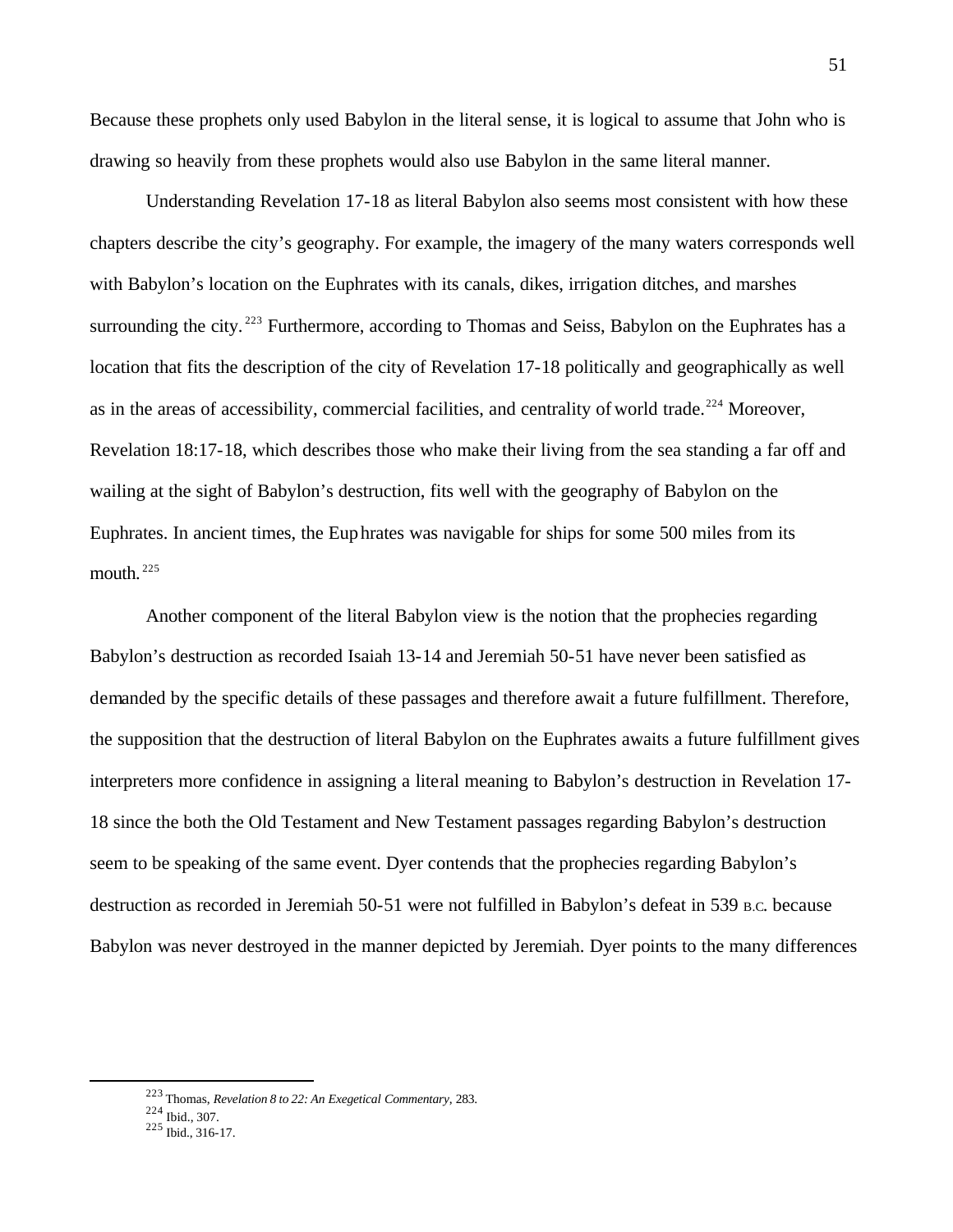Because these prophets only used Babylon in the literal sense, it is logical to assume that John who is drawing so heavily from these prophets would also use Babylon in the same literal manner.

Understanding Revelation 17-18 as literal Babylon also seems most consistent with how these chapters describe the city's geography. For example, the imagery of the many waters corresponds well with Babylon's location on the Euphrates with its canals, dikes, irrigation ditches, and marshes surrounding the city.<sup>223</sup> Furthermore, according to Thomas and Seiss, Babylon on the Euphrates has a location that fits the description of the city of Revelation 17-18 politically and geographically as well as in the areas of accessibility, commercial facilities, and centrality of world trade.<sup>224</sup> Moreover, Revelation 18:17-18, which describes those who make their living from the sea standing a far off and wailing at the sight of Babylon's destruction, fits well with the geography of Babylon on the Euphrates. In ancient times, the Euphrates was navigable for ships for some 500 miles from its mouth.  $225$ 

Another component of the literal Babylon view is the notion that the prophecies regarding Babylon's destruction as recorded Isaiah 13-14 and Jeremiah 50-51 have never been satisfied as demanded by the specific details of these passages and therefore await a future fulfillment. Therefore, the supposition that the destruction of literal Babylon on the Euphrates awaits a future fulfillment gives interpreters more confidence in assigning a literal meaning to Babylon's destruction in Revelation 17- 18 since the both the Old Testament and New Testament passages regarding Babylon's destruction seem to be speaking of the same event. Dyer contends that the prophecies regarding Babylon's destruction as recorded in Jeremiah 50-51 were not fulfilled in Babylon's defeat in 539 B.C. because Babylon was never destroyed in the manner depicted by Jeremiah. Dyer points to the many differences

<sup>223</sup> Thomas, *Revelation 8 to 22: An Exegetical Commentary*, 283.

 $224$  Ibid., 307.

 $225$  Ibid., 316-17.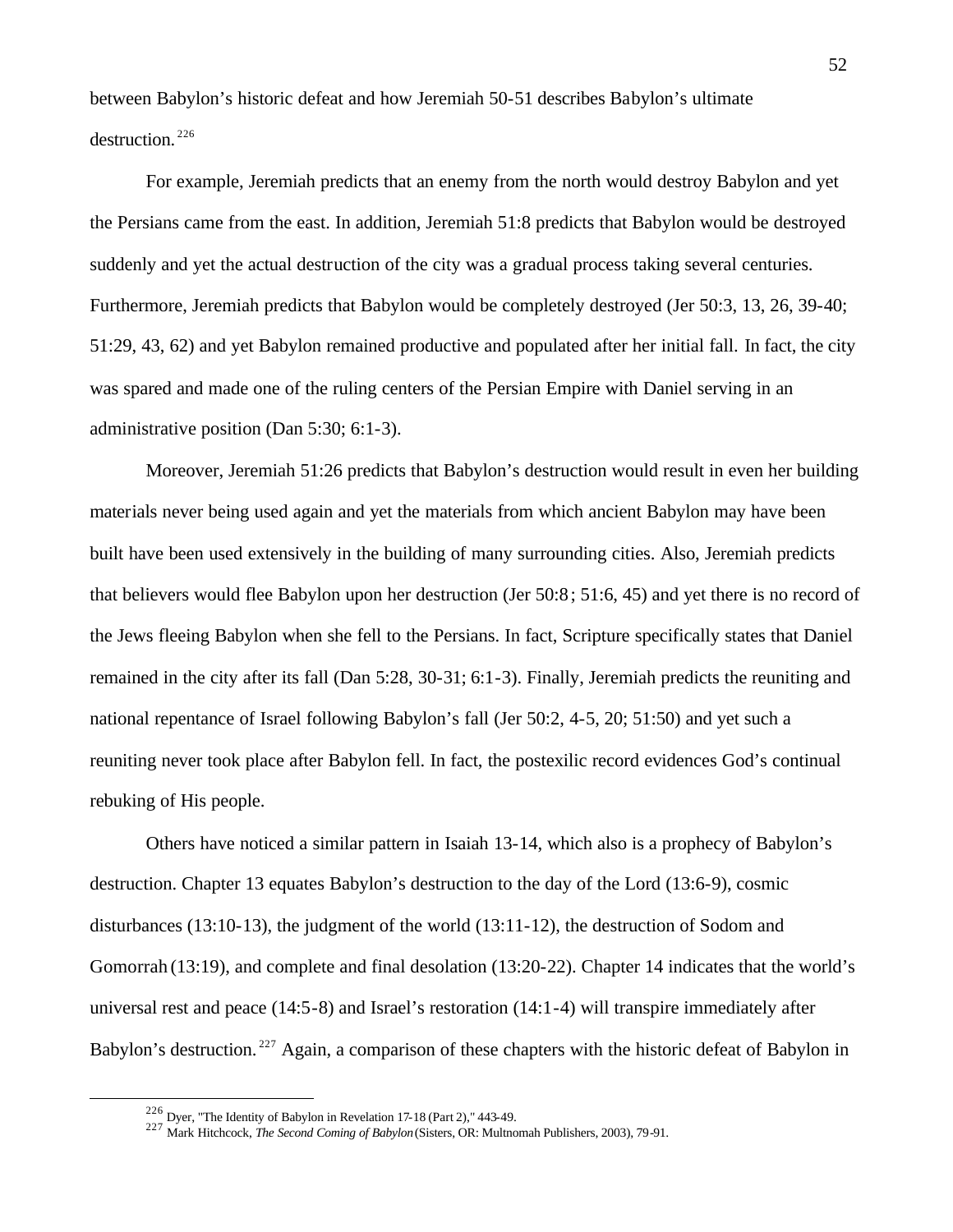between Babylon's historic defeat and how Jeremiah 50-51 describes Babylon's ultimate destruction. <sup>226</sup>

For example, Jeremiah predicts that an enemy from the north would destroy Babylon and yet the Persians came from the east. In addition, Jeremiah 51:8 predicts that Babylon would be destroyed suddenly and yet the actual destruction of the city was a gradual process taking several centuries. Furthermore, Jeremiah predicts that Babylon would be completely destroyed (Jer 50:3, 13, 26, 39-40; 51:29, 43, 62) and yet Babylon remained productive and populated after her initial fall. In fact, the city was spared and made one of the ruling centers of the Persian Empire with Daniel serving in an administrative position (Dan 5:30; 6:1-3).

Moreover, Jeremiah 51:26 predicts that Babylon's destruction would result in even her building materials never being used again and yet the materials from which ancient Babylon may have been built have been used extensively in the building of many surrounding cities. Also, Jeremiah predicts that believers would flee Babylon upon her destruction (Jer 50:8; 51:6, 45) and yet there is no record of the Jews fleeing Babylon when she fell to the Persians. In fact, Scripture specifically states that Daniel remained in the city after its fall (Dan 5:28, 30-31; 6:1-3). Finally, Jeremiah predicts the reuniting and national repentance of Israel following Babylon's fall (Jer 50:2, 4-5, 20; 51:50) and yet such a reuniting never took place after Babylon fell. In fact, the postexilic record evidences God's continual rebuking of His people.

Others have noticed a similar pattern in Isaiah 13-14, which also is a prophecy of Babylon's destruction. Chapter 13 equates Babylon's destruction to the day of the Lord (13:6-9), cosmic disturbances (13:10-13), the judgment of the world (13:11-12), the destruction of Sodom and Gomorrah (13:19), and complete and final desolation (13:20-22). Chapter 14 indicates that the world's universal rest and peace (14:5-8) and Israel's restoration (14:1-4) will transpire immediately after Babylon's destruction.<sup>227</sup> Again, a comparison of these chapters with the historic defeat of Babylon in

 $226$  Dyer, "The Identity of Babylon in Revelation 17-18 (Part 2)," 443-49.

<sup>227</sup> Mark Hitchcock, *The Second Coming of Babylon* (Sisters, OR: Multnomah Publishers, 2003), 79-91.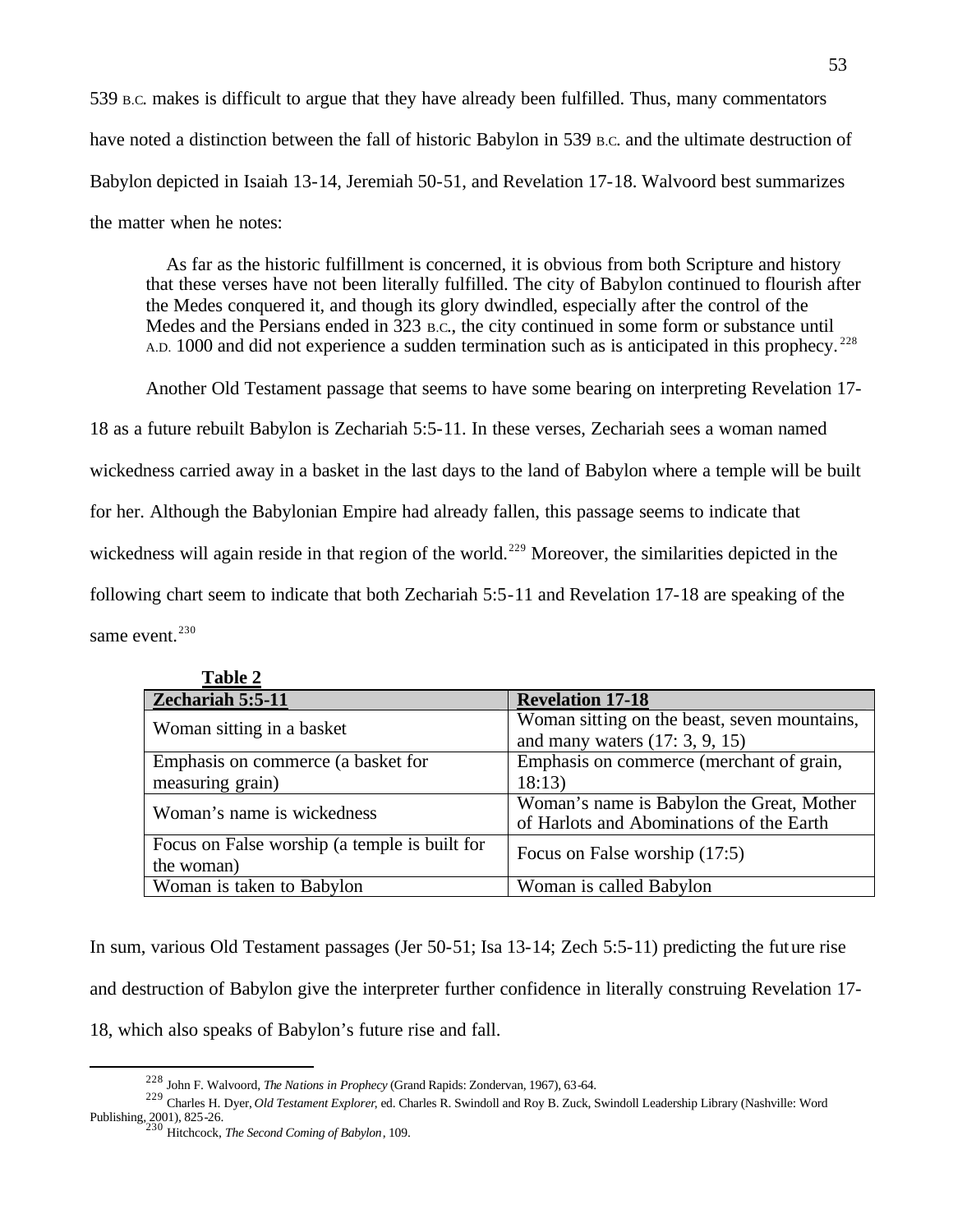539 B.C. makes is difficult to argue that they have already been fulfilled. Thus, many commentators have noted a distinction between the fall of historic Babylon in 539 B.c. and the ultimate destruction of Babylon depicted in Isaiah 13-14, Jeremiah 50-51, and Revelation 17-18. Walvoord best summarizes the matter when he notes:

 As far as the historic fulfillment is concerned, it is obvious from both Scripture and history that these verses have not been literally fulfilled. The city of Babylon continued to flourish after the Medes conquered it, and though its glory dwindled, especially after the control of the Medes and the Persians ended in 323 B.C., the city continued in some form or substance until A.D. 1000 and did not experience a sudden termination such as is anticipated in this prophecy.<sup>228</sup>

Another Old Testament passage that seems to have some bearing on interpreting Revelation 17-

18 as a future rebuilt Babylon is Zechariah 5:5-11. In these verses, Zechariah sees a woman named

wickedness carried away in a basket in the last days to the land of Babylon where a temple will be built

for her. Although the Babylonian Empire had already fallen, this passage seems to indicate that

wickedness will again reside in that region of the world.<sup>229</sup> Moreover, the similarities depicted in the

following chart seem to indicate that both Zechariah 5:5-11 and Revelation 17-18 are speaking of the

same event.<sup>230</sup>

 $\overline{a}$ 

| Table 2                                       |                                              |
|-----------------------------------------------|----------------------------------------------|
| Zechariah 5:5-11                              | <b>Revelation 17-18</b>                      |
| Woman sitting in a basket                     | Woman sitting on the beast, seven mountains, |
|                                               | and many waters $(17: 3, 9, 15)$             |
| Emphasis on commerce (a basket for            | Emphasis on commerce (merchant of grain,     |
| measuring grain)                              | 18:13)                                       |
| Woman's name is wickedness                    | Woman's name is Babylon the Great, Mother    |
|                                               | of Harlots and Abominations of the Earth     |
| Focus on False worship (a temple is built for | Focus on False worship (17:5)                |
| the woman)                                    |                                              |
| Woman is taken to Babylon                     | Woman is called Babylon                      |

**Table 2**

In sum, various Old Testament passages (Jer 50-51; Isa 13-14; Zech 5:5-11) predicting the future rise and destruction of Babylon give the interpreter further confidence in literally construing Revelation 17- 18, which also speaks of Babylon's future rise and fall.

<sup>228</sup> John F. Walvoord, *The Nations in Prophecy* (Grand Rapids: Zondervan, 1967), 63-64.

<sup>229</sup> Charles H. Dyer, *Old Testament Explorer*, ed. Charles R. Swindoll and Roy B. Zuck, Swindoll Leadership Library (Nashville: Word Publishing, 2001), 825-26. <sup>230</sup> Hitchcock, *The Second Coming of Babylon*, 109.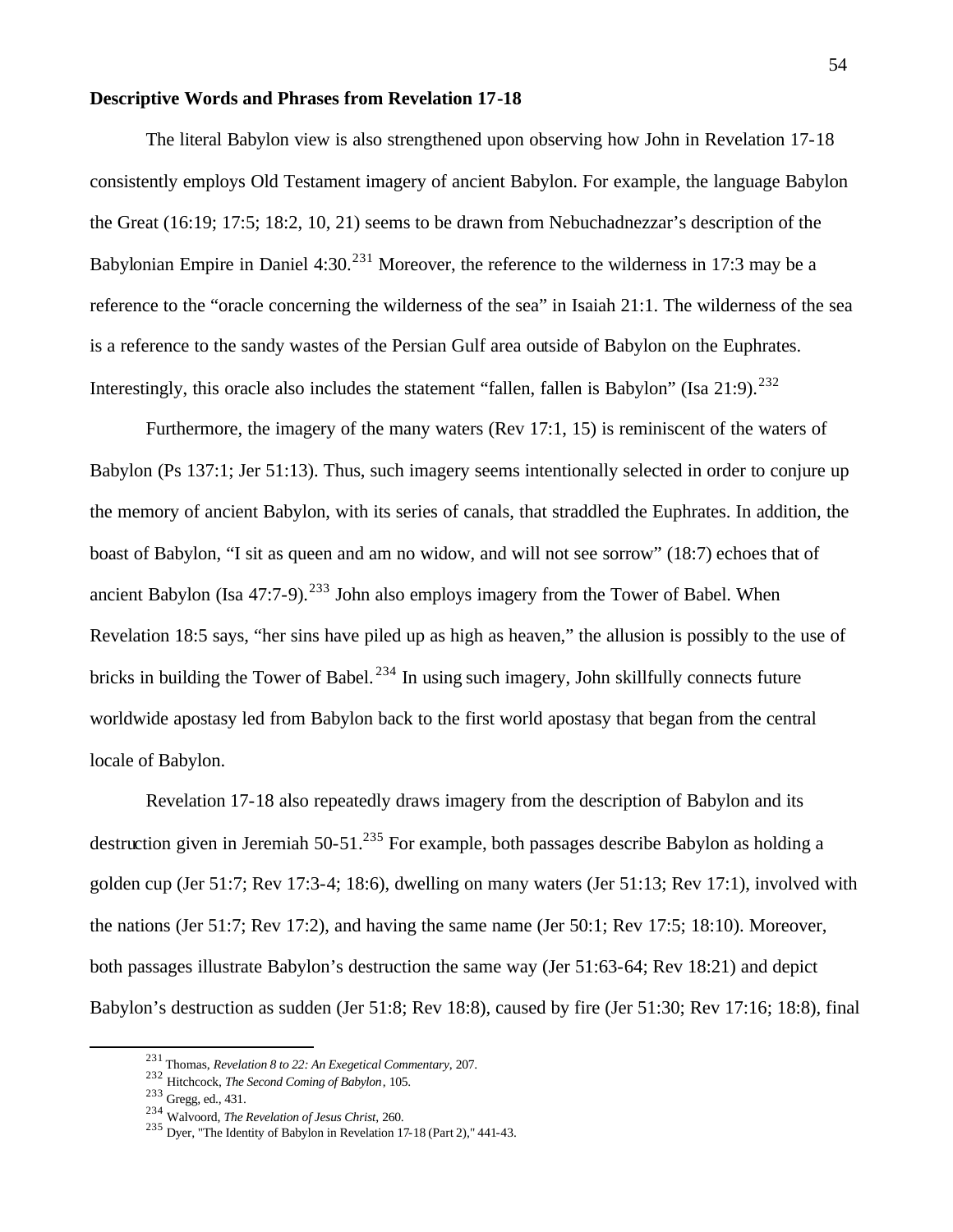#### **Descriptive Words and Phrases from Revelation 17-18**

The literal Babylon view is also strengthened upon observing how John in Revelation 17-18 consistently employs Old Testament imagery of ancient Babylon. For example, the language Babylon the Great (16:19; 17:5; 18:2, 10, 21) seems to be drawn from Nebuchadnezzar's description of the Babylonian Empire in Daniel  $4:30<sup>231</sup>$  Moreover, the reference to the wilderness in 17:3 may be a reference to the "oracle concerning the wilderness of the sea" in Isaiah 21:1. The wilderness of the sea is a reference to the sandy wastes of the Persian Gulf area outside of Babylon on the Euphrates. Interestingly, this oracle also includes the statement "fallen, fallen is Babylon" (Isa  $21:9$ ).<sup>232</sup>

Furthermore, the imagery of the many waters (Rev 17:1, 15) is reminiscent of the waters of Babylon (Ps 137:1; Jer 51:13). Thus, such imagery seems intentionally selected in order to conjure up the memory of ancient Babylon, with its series of canals, that straddled the Euphrates. In addition, the boast of Babylon, "I sit as queen and am no widow, and will not see sorrow" (18:7) echoes that of ancient Babylon (Isa  $47:7-9$ ).<sup>233</sup> John also employs imagery from the Tower of Babel. When Revelation 18:5 says, "her sins have piled up as high as heaven," the allusion is possibly to the use of bricks in building the Tower of Babel.<sup>234</sup> In using such imagery, John skillfully connects future worldwide apostasy led from Babylon back to the first world apostasy that began from the central locale of Babylon.

Revelation 17-18 also repeatedly draws imagery from the description of Babylon and its destruction given in Jeremiah 50-51.<sup>235</sup> For example, both passages describe Babylon as holding a golden cup (Jer 51:7; Rev 17:3-4; 18:6), dwelling on many waters (Jer 51:13; Rev 17:1), involved with the nations (Jer 51:7; Rev 17:2), and having the same name (Jer 50:1; Rev 17:5; 18:10). Moreover, both passages illustrate Babylon's destruction the same way (Jer 51:63-64; Rev 18:21) and depict Babylon's destruction as sudden (Jer 51:8; Rev 18:8), caused by fire (Jer 51:30; Rev 17:16; 18:8), final

<sup>231</sup> Thomas, *Revelation 8 to 22: An Exegetical Commentary*, 207.

<sup>232</sup> Hitchcock, *The Second Coming of Babylon*, 105.

<sup>233</sup> Gregg, ed., 431.

<sup>234</sup> Walvoord, *The Revelation of Jesus Christ*, 260.

<sup>235</sup> Dyer, "The Identity of Babylon in Revelation 17-18 (Part 2)," 441-43.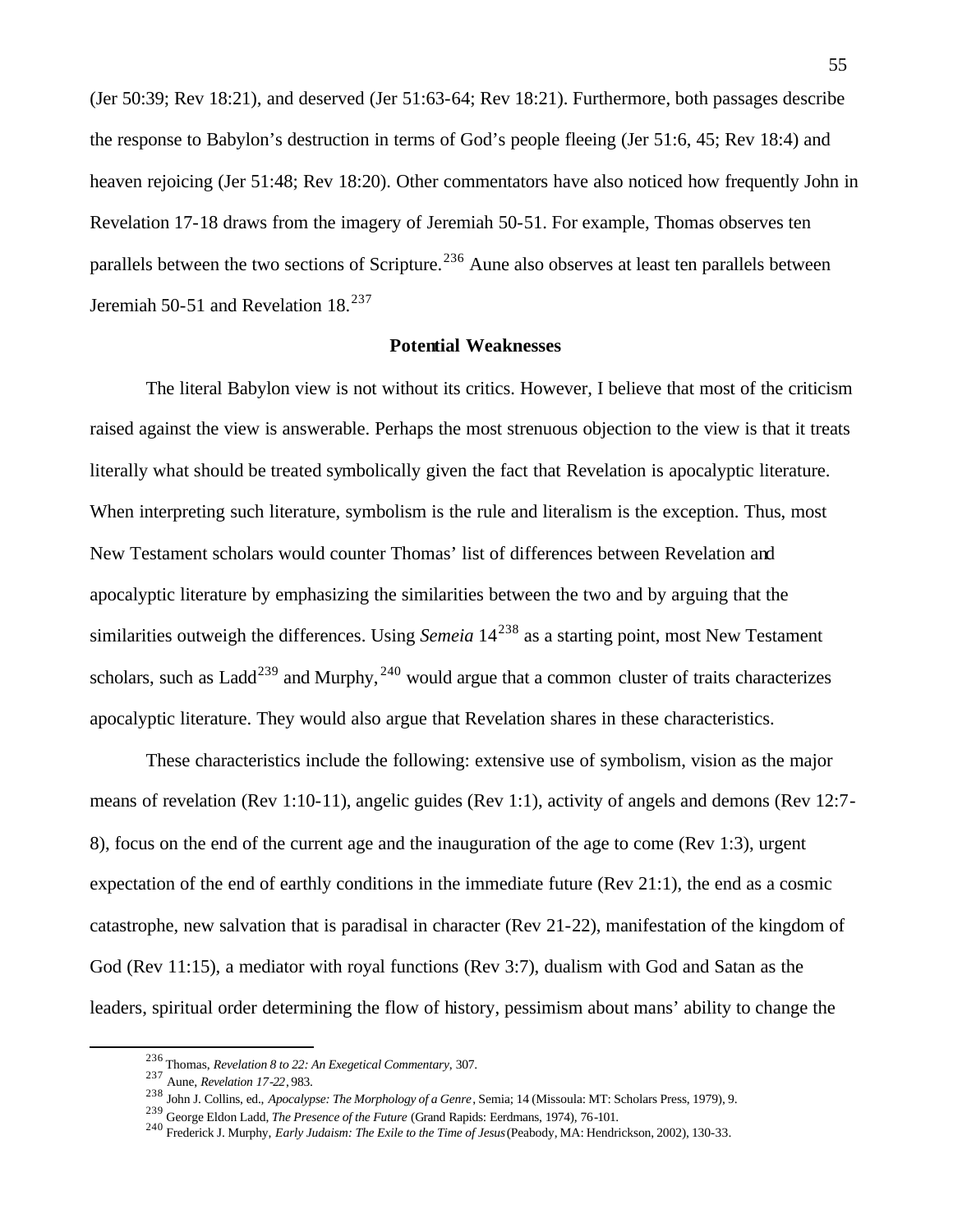(Jer 50:39; Rev 18:21), and deserved (Jer 51:63-64; Rev 18:21). Furthermore, both passages describe the response to Babylon's destruction in terms of God's people fleeing (Jer 51:6, 45; Rev 18:4) and heaven rejoicing (Jer 51:48; Rev 18:20). Other commentators have also noticed how frequently John in Revelation 17-18 draws from the imagery of Jeremiah 50-51. For example, Thomas observes ten parallels between the two sections of Scripture.<sup>236</sup> Aune also observes at least ten parallels between Jeremiah 50-51 and Revelation 18.<sup>237</sup>

### **Potential Weaknesses**

The literal Babylon view is not without its critics. However, I believe that most of the criticism raised against the view is answerable. Perhaps the most strenuous objection to the view is that it treats literally what should be treated symbolically given the fact that Revelation is apocalyptic literature. When interpreting such literature, symbolism is the rule and literalism is the exception. Thus, most New Testament scholars would counter Thomas' list of differences between Revelation and apocalyptic literature by emphasizing the similarities between the two and by arguing that the similarities outweigh the differences. Using *Semeia*  $14^{238}$  as a starting point, most New Testament scholars, such as Ladd<sup>239</sup> and Murphy,  $^{240}$  would argue that a common cluster of traits characterizes apocalyptic literature. They would also argue that Revelation shares in these characteristics.

These characteristics include the following: extensive use of symbolism, vision as the major means of revelation (Rev 1:10-11), angelic guides (Rev 1:1), activity of angels and demons (Rev 12:7- 8), focus on the end of the current age and the inauguration of the age to come (Rev 1:3), urgent expectation of the end of earthly conditions in the immediate future (Rev 21:1), the end as a cosmic catastrophe, new salvation that is paradisal in character (Rev 21-22), manifestation of the kingdom of God (Rev 11:15), a mediator with royal functions (Rev 3:7), dualism with God and Satan as the leaders, spiritual order determining the flow of history, pessimism about mans' ability to change the

<sup>236</sup> Thomas, *Revelation 8 to 22: An Exegetical Commentary*, 307.

<sup>237</sup> Aune, *Revelation 17-22*, 983.

<sup>238</sup> John J. Collins, ed., *Apocalypse: The Morphology of a Genre*, Semia; 14 (Missoula: MT: Scholars Press, 1979), 9.

<sup>239</sup> George Eldon Ladd, *The Presence of the Future* (Grand Rapids: Eerdmans, 1974), 76-101.

<sup>240</sup> Frederick J. Murphy, *Early Judaism: The Exile to the Time of Jesus* (Peabody, MA: Hendrickson, 2002), 130-33.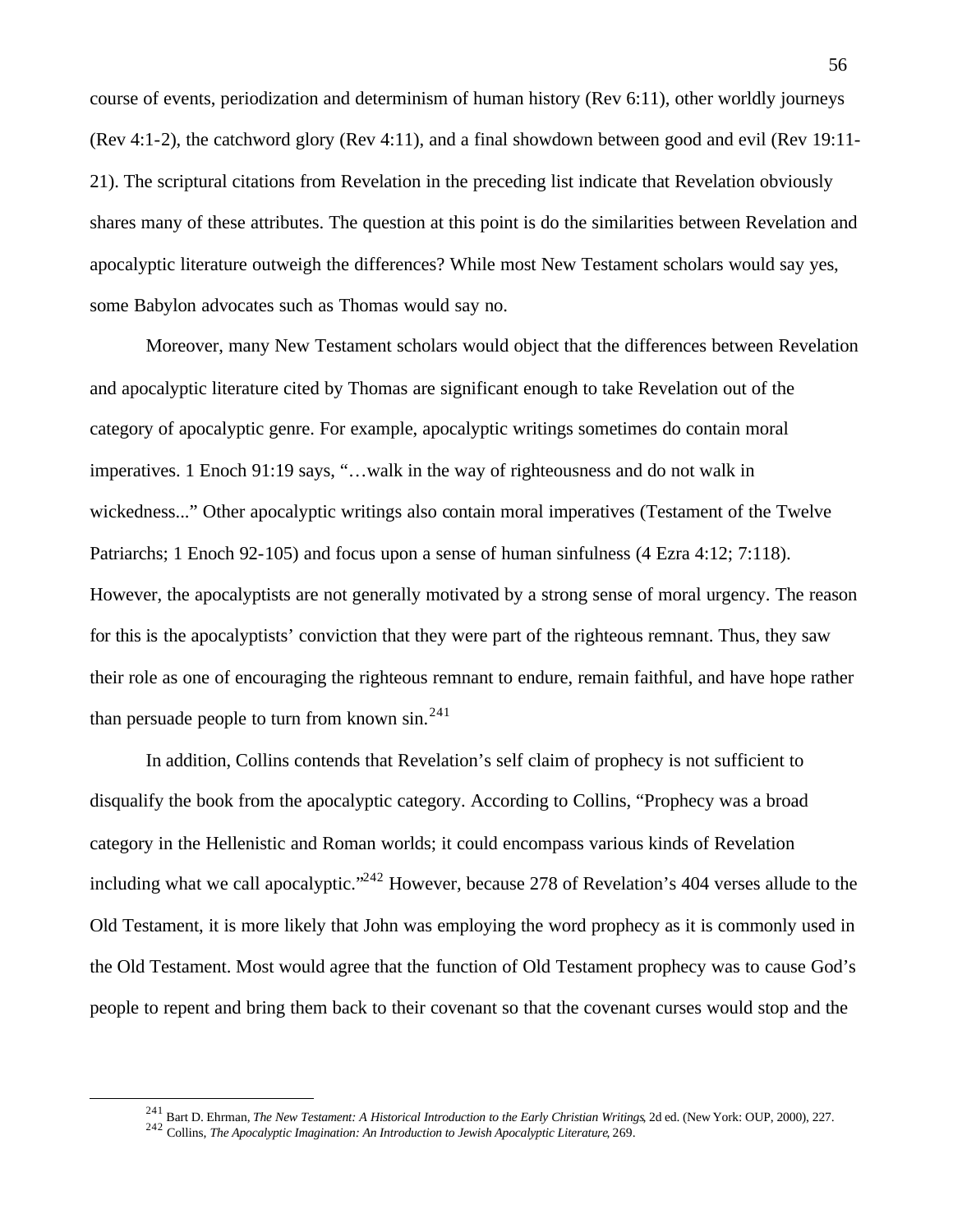course of events, periodization and determinism of human history (Rev 6:11), other worldly journeys (Rev 4:1-2), the catchword glory (Rev 4:11), and a final showdown between good and evil (Rev 19:11- 21). The scriptural citations from Revelation in the preceding list indicate that Revelation obviously shares many of these attributes. The question at this point is do the similarities between Revelation and apocalyptic literature outweigh the differences? While most New Testament scholars would say yes, some Babylon advocates such as Thomas would say no.

Moreover, many New Testament scholars would object that the differences between Revelation and apocalyptic literature cited by Thomas are significant enough to take Revelation out of the category of apocalyptic genre. For example, apocalyptic writings sometimes do contain moral imperatives. 1 Enoch 91:19 says, "…walk in the way of righteousness and do not walk in wickedness..." Other apocalyptic writings also contain moral imperatives (Testament of the Twelve Patriarchs; 1 Enoch 92-105) and focus upon a sense of human sinfulness (4 Ezra 4:12; 7:118). However, the apocalyptists are not generally motivated by a strong sense of moral urgency. The reason for this is the apocalyptists' conviction that they were part of the righteous remnant. Thus, they saw their role as one of encouraging the righteous remnant to endure, remain faithful, and have hope rather than persuade people to turn from known  $\sin^{24}$ 

In addition, Collins contends that Revelation's self claim of prophecy is not sufficient to disqualify the book from the apocalyptic category. According to Collins, "Prophecy was a broad category in the Hellenistic and Roman worlds; it could encompass various kinds of Revelation including what we call apocalyptic."<sup>242</sup> However, because 278 of Revelation's 404 verses allude to the Old Testament, it is more likely that John was employing the word prophecy as it is commonly used in the Old Testament. Most would agree that the function of Old Testament prophecy was to cause God's people to repent and bring them back to their covenant so that the covenant curses would stop and the

<sup>241</sup> Bart D. Ehrman, *The New Testament: A Historical Introduction to the Early Christian Writings*, 2d ed. (New York: OUP, 2000), 227.

<sup>242</sup> Collins, *The Apocalyptic Imagination: An Introduction to Jewish Apocalyptic Literature*, 269.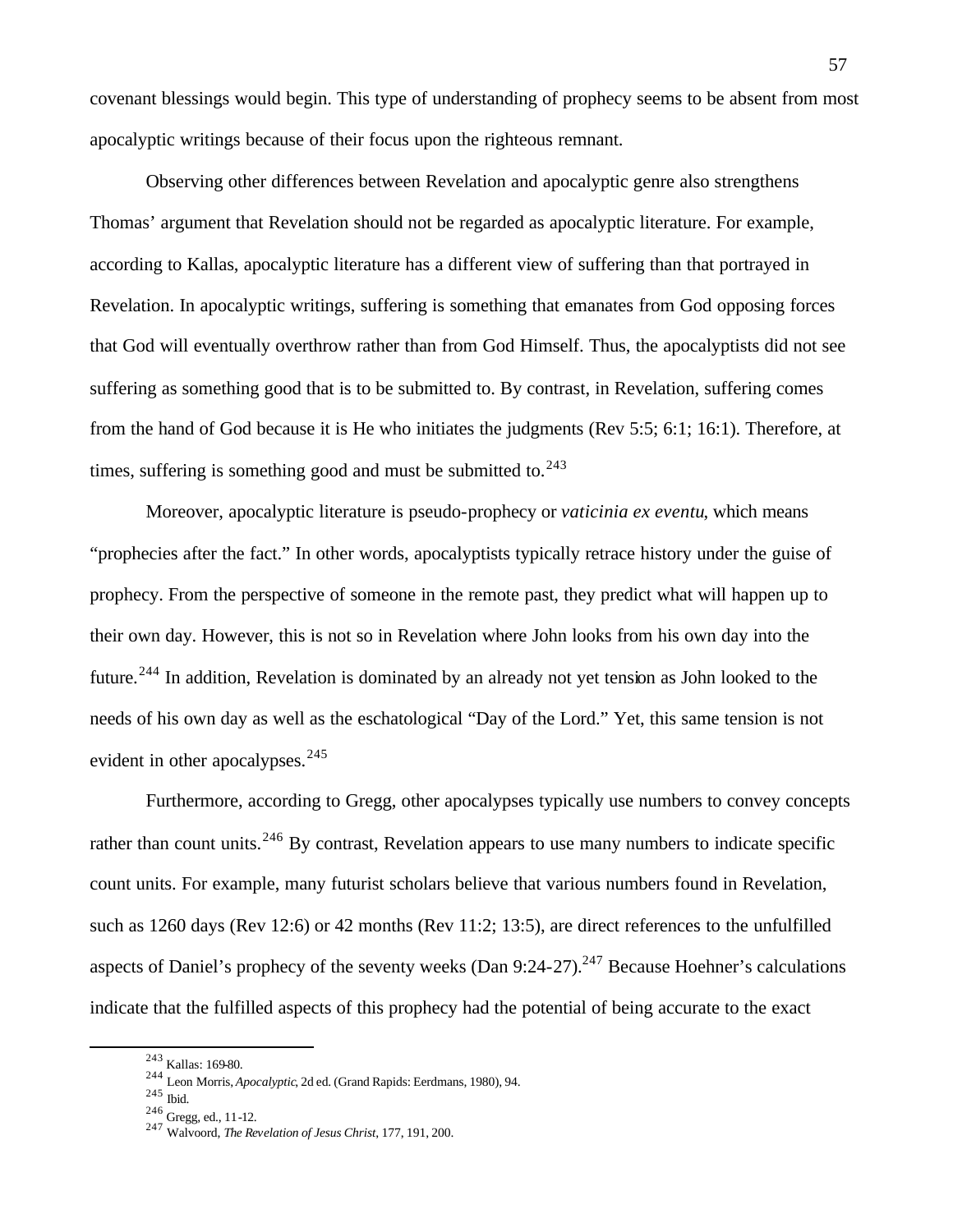covenant blessings would begin. This type of understanding of prophecy seems to be absent from most apocalyptic writings because of their focus upon the righteous remnant.

Observing other differences between Revelation and apocalyptic genre also strengthens Thomas' argument that Revelation should not be regarded as apocalyptic literature. For example, according to Kallas, apocalyptic literature has a different view of suffering than that portrayed in Revelation. In apocalyptic writings, suffering is something that emanates from God opposing forces that God will eventually overthrow rather than from God Himself. Thus, the apocalyptists did not see suffering as something good that is to be submitted to. By contrast, in Revelation, suffering comes from the hand of God because it is He who initiates the judgments (Rev 5:5; 6:1; 16:1). Therefore, at times, suffering is something good and must be submitted to. $243$ 

Moreover, apocalyptic literature is pseudo-prophecy or *vaticinia ex eventu*, which means "prophecies after the fact." In other words, apocalyptists typically retrace history under the guise of prophecy. From the perspective of someone in the remote past, they predict what will happen up to their own day. However, this is not so in Revelation where John looks from his own day into the future.<sup>244</sup> In addition, Revelation is dominated by an already not yet tension as John looked to the needs of his own day as well as the eschatological "Day of the Lord." Yet, this same tension is not evident in other apocalypses. $245$ 

Furthermore, according to Gregg, other apocalypses typically use numbers to convey concepts rather than count units.<sup>246</sup> By contrast, Revelation appears to use many numbers to indicate specific count units. For example, many futurist scholars believe that various numbers found in Revelation, such as 1260 days (Rev 12:6) or 42 months (Rev 11:2; 13:5), are direct references to the unfulfilled aspects of Daniel's prophecy of the seventy weeks (Dan  $9:24-27$ ).<sup>247</sup> Because Hoehner's calculations indicate that the fulfilled aspects of this prophecy had the potential of being accurate to the exact

<sup>243</sup> Kallas: 169-80.

<sup>244</sup> Leon Morris, *Apocalyptic*, 2d ed. (Grand Rapids: Eerdmans, 1980), 94.

<sup>245</sup> Ibid.

<sup>246</sup> Gregg, ed., 11-12.

<sup>247</sup> Walvoord, *The Revelation of Jesus Christ*, 177, 191, 200.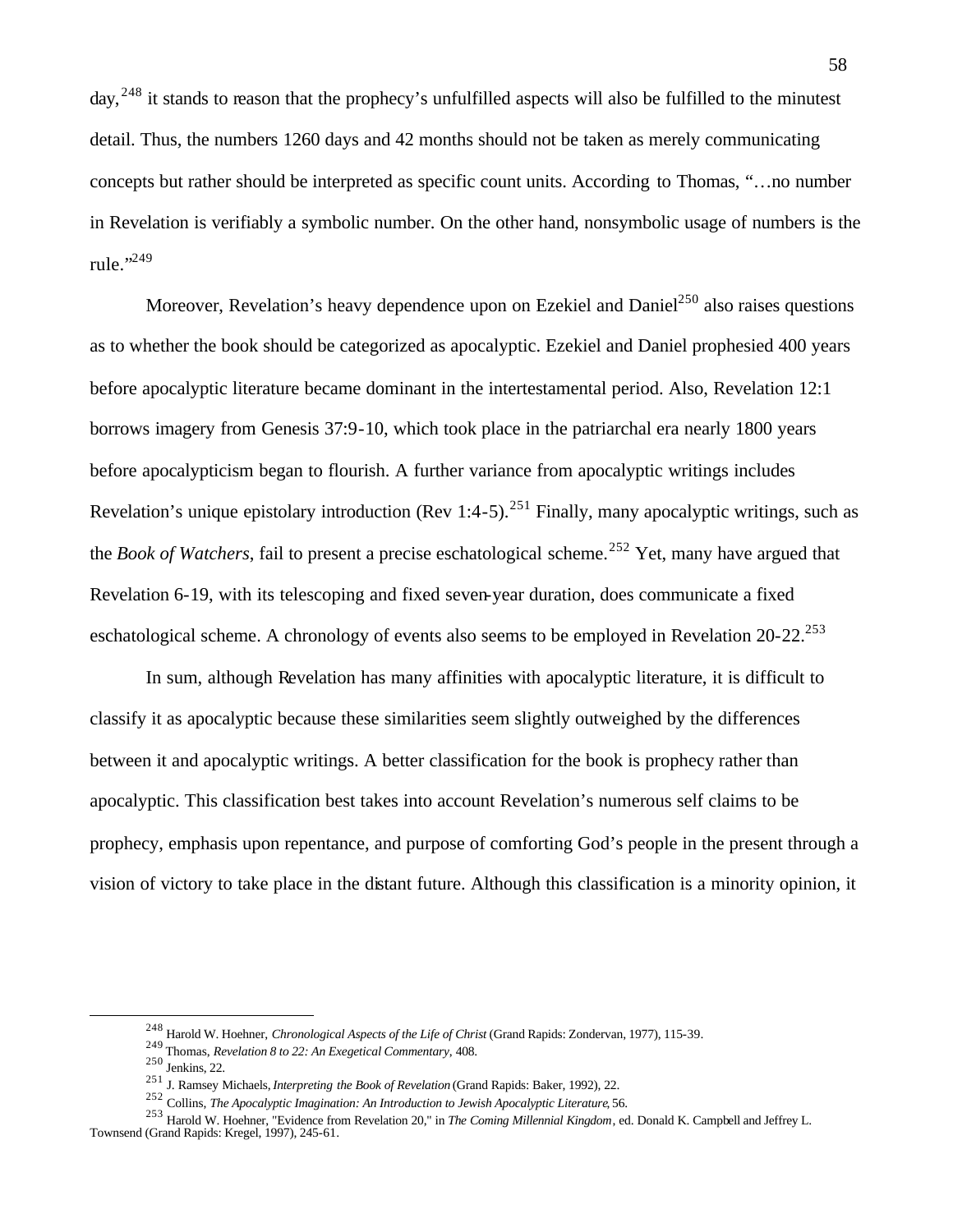day, <sup>248</sup> it stands to reason that the prophecy's unfulfilled aspects will also be fulfilled to the minutest detail. Thus, the numbers 1260 days and 42 months should not be taken as merely communicating concepts but rather should be interpreted as specific count units. According to Thomas, "…no number in Revelation is verifiably a symbolic number. On the other hand, nonsymbolic usage of numbers is the rule." $^{249}$ 

Moreover, Revelation's heavy dependence upon on Ezekiel and Daniel<sup>250</sup> also raises questions as to whether the book should be categorized as apocalyptic. Ezekiel and Daniel prophesied 400 years before apocalyptic literature became dominant in the intertestamental period. Also, Revelation 12:1 borrows imagery from Genesis 37:9-10, which took place in the patriarchal era nearly 1800 years before apocalypticism began to flourish. A further variance from apocalyptic writings includes Revelation's unique epistolary introduction (Rev 1:4-5).<sup>251</sup> Finally, many apocalyptic writings, such as the *Book of Watchers*, fail to present a precise eschatological scheme.<sup>252</sup> Yet, many have argued that Revelation 6-19, with its telescoping and fixed seven-year duration, does communicate a fixed eschatological scheme. A chronology of events also seems to be employed in Revelation  $20-22$ <sup>253</sup>

In sum, although Revelation has many affinities with apocalyptic literature, it is difficult to classify it as apocalyptic because these similarities seem slightly outweighed by the differences between it and apocalyptic writings. A better classification for the book is prophecy rather than apocalyptic. This classification best takes into account Revelation's numerous self claims to be prophecy, emphasis upon repentance, and purpose of comforting God's people in the present through a vision of victory to take place in the distant future. Although this classification is a minority opinion, it

<sup>248</sup> Harold W. Hoehner, *Chronological Aspects of the Life of Christ* (Grand Rapids: Zondervan, 1977), 115-39.

<sup>249</sup> Thomas, *Revelation 8 to 22: An Exegetical Commentary*, 408.

<sup>250</sup> Jenkins, 22.

<sup>251</sup> J. Ramsey Michaels, *Interpreting the Book of Revelation* (Grand Rapids: Baker, 1992), 22.

<sup>252</sup> Collins, *The Apocalyptic Imagination: An Introduction to Jewish Apocalyptic Literature*, 56.

<sup>253</sup> Harold W. Hoehner, "Evidence from Revelation 20," in *The Coming Millennial Kingdom*, ed. Donald K. Campbell and Jeffrey L. Townsend (Grand Rapids: Kregel, 1997), 245-61.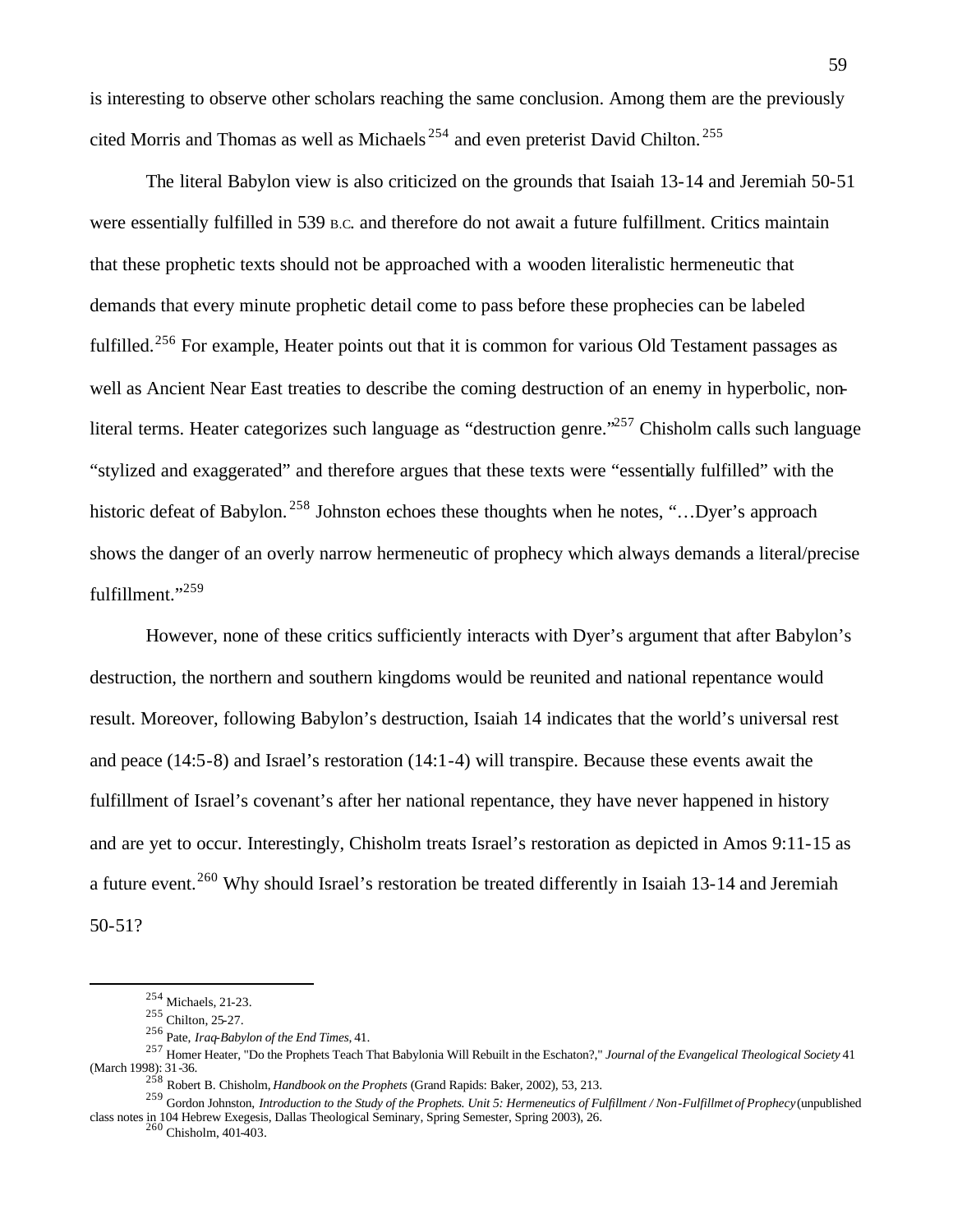is interesting to observe other scholars reaching the same conclusion. Among them are the previously cited Morris and Thomas as well as Michaels <sup>254</sup> and even preterist David Chilton. <sup>255</sup>

The literal Babylon view is also criticized on the grounds that Isaiah 13-14 and Jeremiah 50-51 were essentially fulfilled in 539 B.C. and therefore do not await a future fulfillment. Critics maintain that these prophetic texts should not be approached with a wooden literalistic hermeneutic that demands that every minute prophetic detail come to pass before these prophecies can be labeled fulfilled.<sup>256</sup> For example, Heater points out that it is common for various Old Testament passages as well as Ancient Near East treaties to describe the coming destruction of an enemy in hyperbolic, nonliteral terms. Heater categorizes such language as "destruction genre."<sup>257</sup> Chisholm calls such language "stylized and exaggerated" and therefore argues that these texts were "essentially fulfilled" with the historic defeat of Babylon.<sup>258</sup> Johnston echoes these thoughts when he notes, "...Dyer's approach shows the danger of an overly narrow hermeneutic of prophecy which always demands a literal/precise fulfillment."<sup>259</sup>

However, none of these critics sufficiently interacts with Dyer's argument that after Babylon's destruction, the northern and southern kingdoms would be reunited and national repentance would result. Moreover, following Babylon's destruction, Isaiah 14 indicates that the world's universal rest and peace (14:5-8) and Israel's restoration (14:1-4) will transpire. Because these events await the fulfillment of Israel's covenant's after her national repentance, they have never happened in history and are yet to occur. Interestingly, Chisholm treats Israel's restoration as depicted in Amos 9:11-15 as a future event.<sup>260</sup> Why should Israel's restoration be treated differently in Isaiah 13-14 and Jeremiah 50-51?

 $\overline{a}$ 

<sup>260</sup> Chisholm, 401-403.

<sup>254</sup> Michaels, 21-23.

<sup>255</sup> Chilton, 25-27.

<sup>256</sup> Pate, *Iraq-Babylon of the End Times*, 41.

<sup>257</sup> Homer Heater, "Do the Prophets Teach That Babylonia Will Rebuilt in the Eschaton?," *Journal of the Evangelical Theological Society* 41 (March 1998): 31-36.

<sup>258</sup> Robert B. Chisholm, *Handbook on the Prophets* (Grand Rapids: Baker, 2002), 53, 213.

<sup>259</sup> Gordon Johnston, *Introduction to the Study of the Prophets. Unit 5: Hermeneutics of Fulfillment / Non-Fulfillmet of Prophecy* (unpublished class notes in 104 Hebrew Exegesis, Dallas Theological Seminary, Spring Semester, Spring 2003), 26.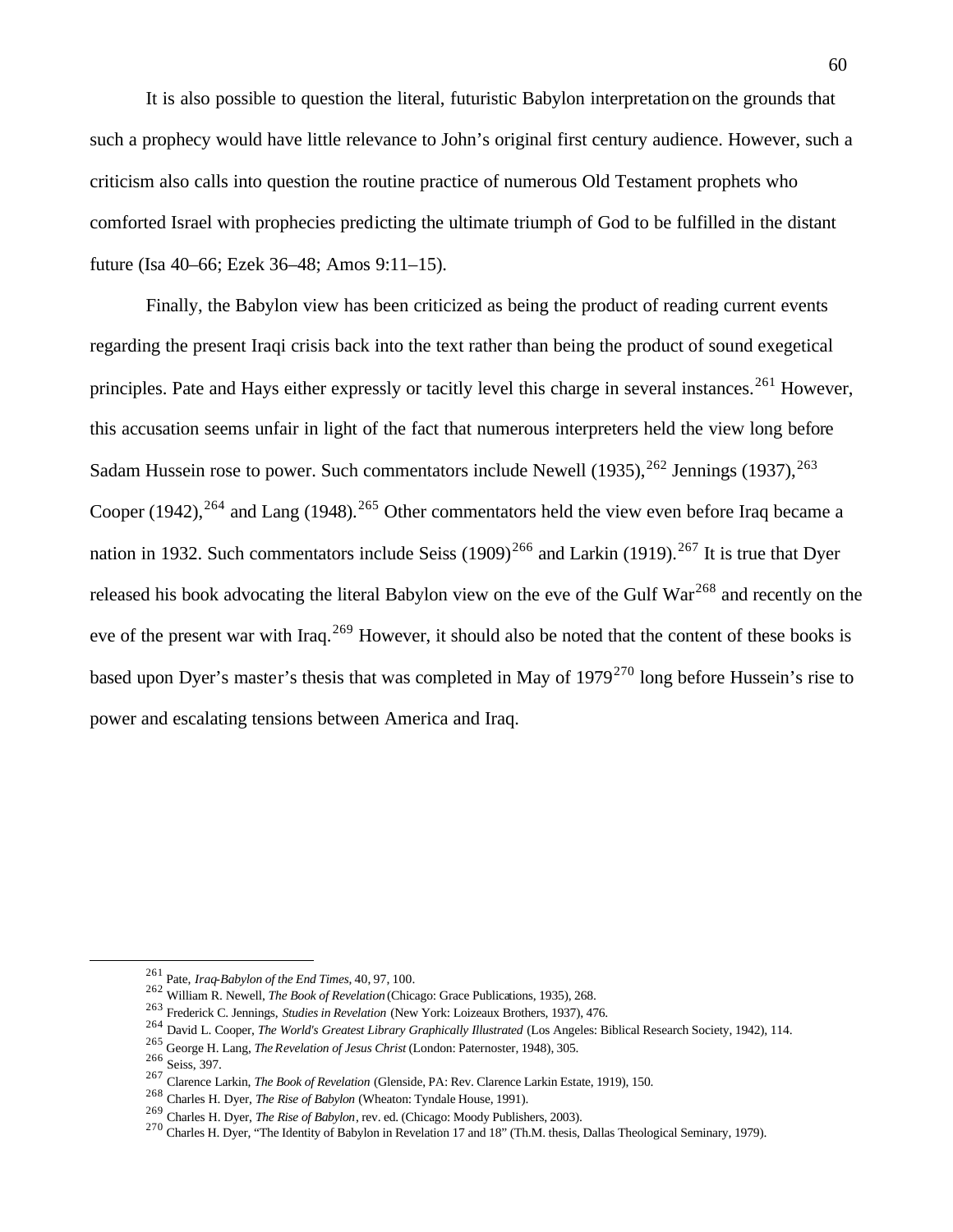It is also possible to question the literal, futuristic Babylon interpretation on the grounds that such a prophecy would have little relevance to John's original first century audience. However, such a criticism also calls into question the routine practice of numerous Old Testament prophets who comforted Israel with prophecies predicting the ultimate triumph of God to be fulfilled in the distant future (Isa 40–66; Ezek 36–48; Amos 9:11–15).

Finally, the Babylon view has been criticized as being the product of reading current events regarding the present Iraqi crisis back into the text rather than being the product of sound exegetical principles. Pate and Hays either expressly or tacitly level this charge in several instances.<sup>261</sup> However, this accusation seems unfair in light of the fact that numerous interpreters held the view long before Sadam Hussein rose to power. Such commentators include Newell  $(1935)$ ,  $^{262}$  Jennings  $(1937)$ ,  $^{263}$ Cooper (1942),<sup>264</sup> and Lang (1948).<sup>265</sup> Other commentators held the view even before Iraq became a nation in 1932. Such commentators include Seiss  $(1909)^{266}$  and Larkin  $(1919)^{267}$  It is true that Dyer released his book advocating the literal Babylon view on the eve of the Gulf War<sup>268</sup> and recently on the eve of the present war with Iraq.<sup>269</sup> However, it should also be noted that the content of these books is based upon Dyer's master's thesis that was completed in May of 1979<sup>270</sup> long before Hussein's rise to power and escalating tensions between America and Iraq.

<sup>261</sup> Pate, *Iraq-Babylon of the End Times*, 40, 97, 100.

<sup>262</sup> William R. Newell, *The Book of Revelation* (Chicago: Grace Publications, 1935), 268.

<sup>263</sup> Frederick C. Jennings, *Studies in Revelation* (New York: Loizeaux Brothers, 1937), 476.

<sup>264</sup> David L. Cooper, *The World's Greatest Library Graphically Illustrated* (Los Angeles: Biblical Research Society, 1942), 114.

<sup>265</sup> George H. Lang, *The Revelation of Jesus Christ* (London: Paternoster, 1948), 305.

<sup>266</sup> Seiss, 397.

<sup>267</sup> Clarence Larkin, *The Book of Revelation* (Glenside, PA: Rev. Clarence Larkin Estate, 1919), 150.

<sup>268</sup> Charles H. Dyer, *The Rise of Babylon* (Wheaton: Tyndale House, 1991).

<sup>269</sup> Charles H. Dyer, *The Rise of Babylon*, rev. ed. (Chicago: Moody Publishers, 2003).

<sup>270</sup> Charles H. Dyer, "The Identity of Babylon in Revelation 17 and 18" (Th.M. thesis, Dallas Theological Seminary, 1979).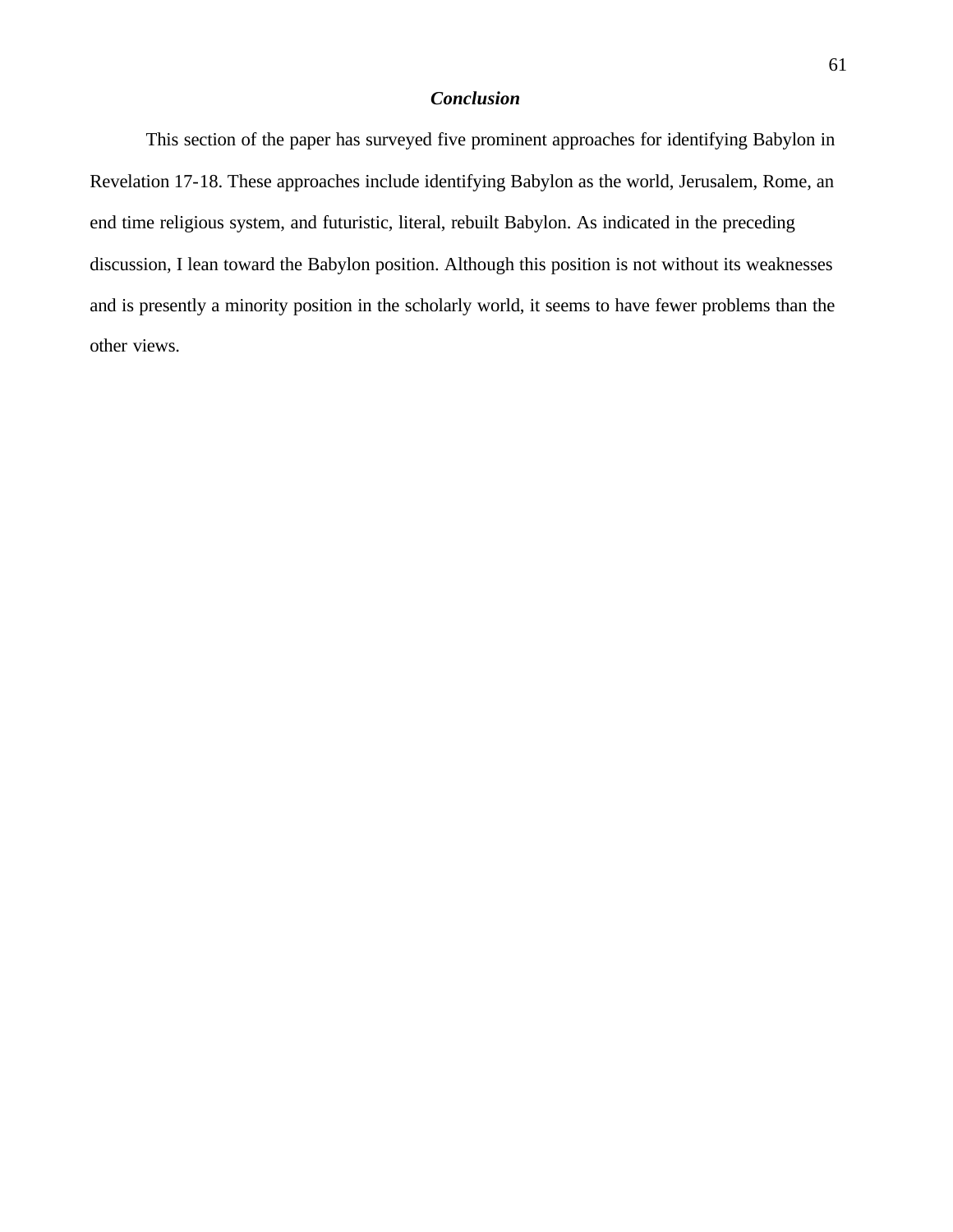# *Conclusion*

This section of the paper has surveyed five prominent approaches for identifying Babylon in Revelation 17-18. These approaches include identifying Babylon as the world, Jerusalem, Rome, an end time religious system, and futuristic, literal, rebuilt Babylon. As indicated in the preceding discussion, I lean toward the Babylon position. Although this position is not without its weaknesses and is presently a minority position in the scholarly world, it seems to have fewer problems than the other views.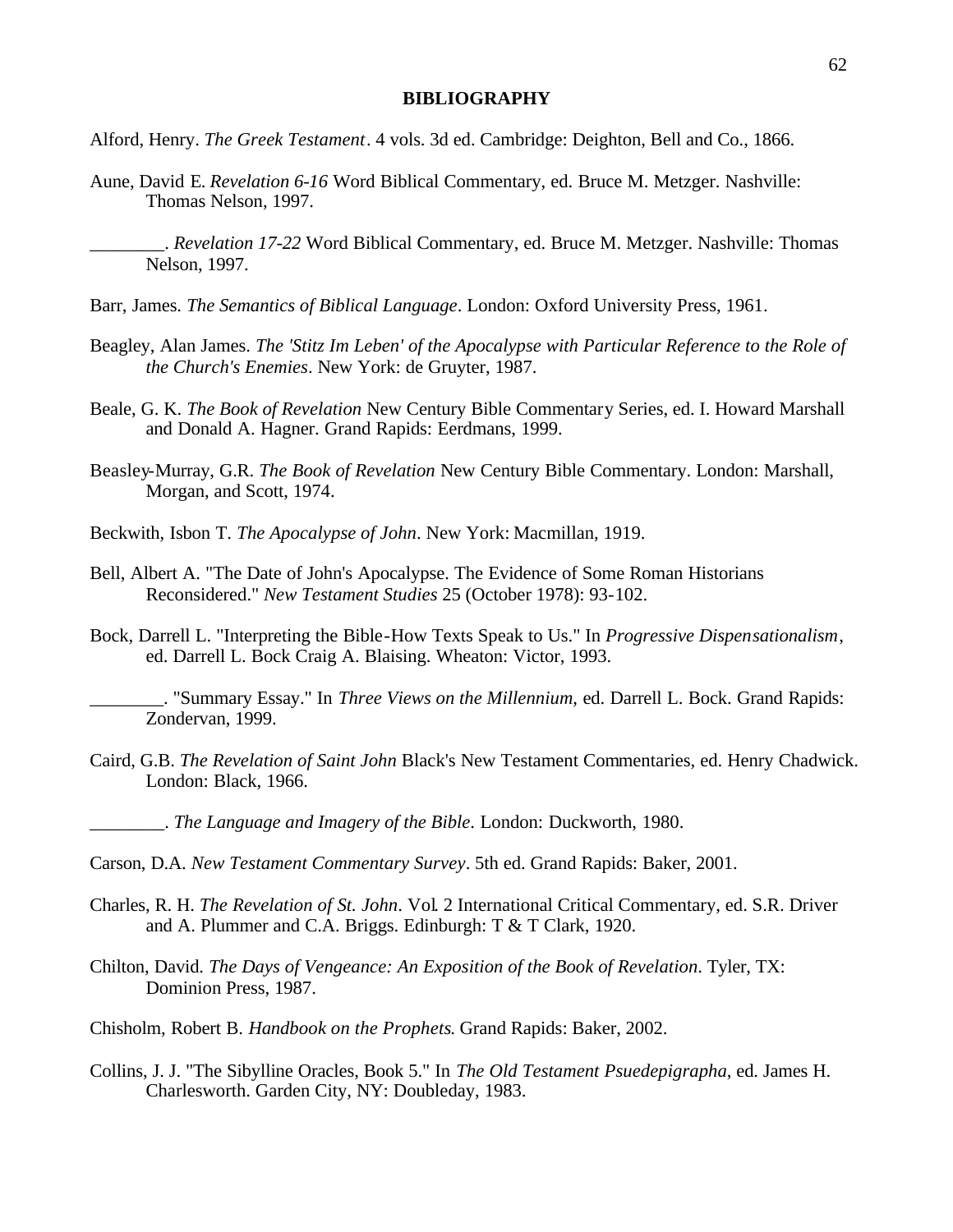#### **BIBLIOGRAPHY**

Alford, Henry. *The Greek Testament*. 4 vols. 3d ed. Cambridge: Deighton, Bell and Co., 1866.

- Aune, David E. *Revelation 6-16* Word Biblical Commentary, ed. Bruce M. Metzger. Nashville: Thomas Nelson, 1997.
	- \_\_\_\_\_\_\_\_. *Revelation 17-22* Word Biblical Commentary, ed. Bruce M. Metzger. Nashville: Thomas Nelson, 1997.
- Barr, James. *The Semantics of Biblical Language*. London: Oxford University Press, 1961.
- Beagley, Alan James. *The 'Stitz Im Leben' of the Apocalypse with Particular Reference to the Role of the Church's Enemies*. New York: de Gruyter, 1987.
- Beale, G. K. *The Book of Revelation* New Century Bible Commentary Series, ed. I. Howard Marshall and Donald A. Hagner. Grand Rapids: Eerdmans, 1999.
- Beasley-Murray, G.R. *The Book of Revelation* New Century Bible Commentary. London: Marshall, Morgan, and Scott, 1974.
- Beckwith, Isbon T. *The Apocalypse of John*. New York: Macmillan, 1919.
- Bell, Albert A. "The Date of John's Apocalypse. The Evidence of Some Roman Historians Reconsidered." *New Testament Studies* 25 (October 1978): 93-102.
- Bock, Darrell L. "Interpreting the Bible-How Texts Speak to Us." In *Progressive Dispensationalism*, ed. Darrell L. Bock Craig A. Blaising. Wheaton: Victor, 1993.

\_\_\_\_\_\_\_\_. "Summary Essay." In *Three Views on the Millennium*, ed. Darrell L. Bock. Grand Rapids: Zondervan, 1999.

Caird, G.B. *The Revelation of Saint John* Black's New Testament Commentaries, ed. Henry Chadwick. London: Black, 1966.

\_\_\_\_\_\_\_\_. *The Language and Imagery of the Bible*. London: Duckworth, 1980.

- Carson, D.A. *New Testament Commentary Survey*. 5th ed. Grand Rapids: Baker, 2001.
- Charles, R. H. *The Revelation of St. John*. Vol. 2 International Critical Commentary, ed. S.R. Driver and A. Plummer and C.A. Briggs. Edinburgh: T & T Clark, 1920.
- Chilton, David. *The Days of Vengeance: An Exposition of the Book of Revelation*. Tyler, TX: Dominion Press, 1987.
- Chisholm, Robert B. *Handbook on the Prophets*. Grand Rapids: Baker, 2002.
- Collins, J. J. "The Sibylline Oracles, Book 5." In *The Old Testament Psuedepigrapha*, ed. James H. Charlesworth. Garden City, NY: Doubleday, 1983.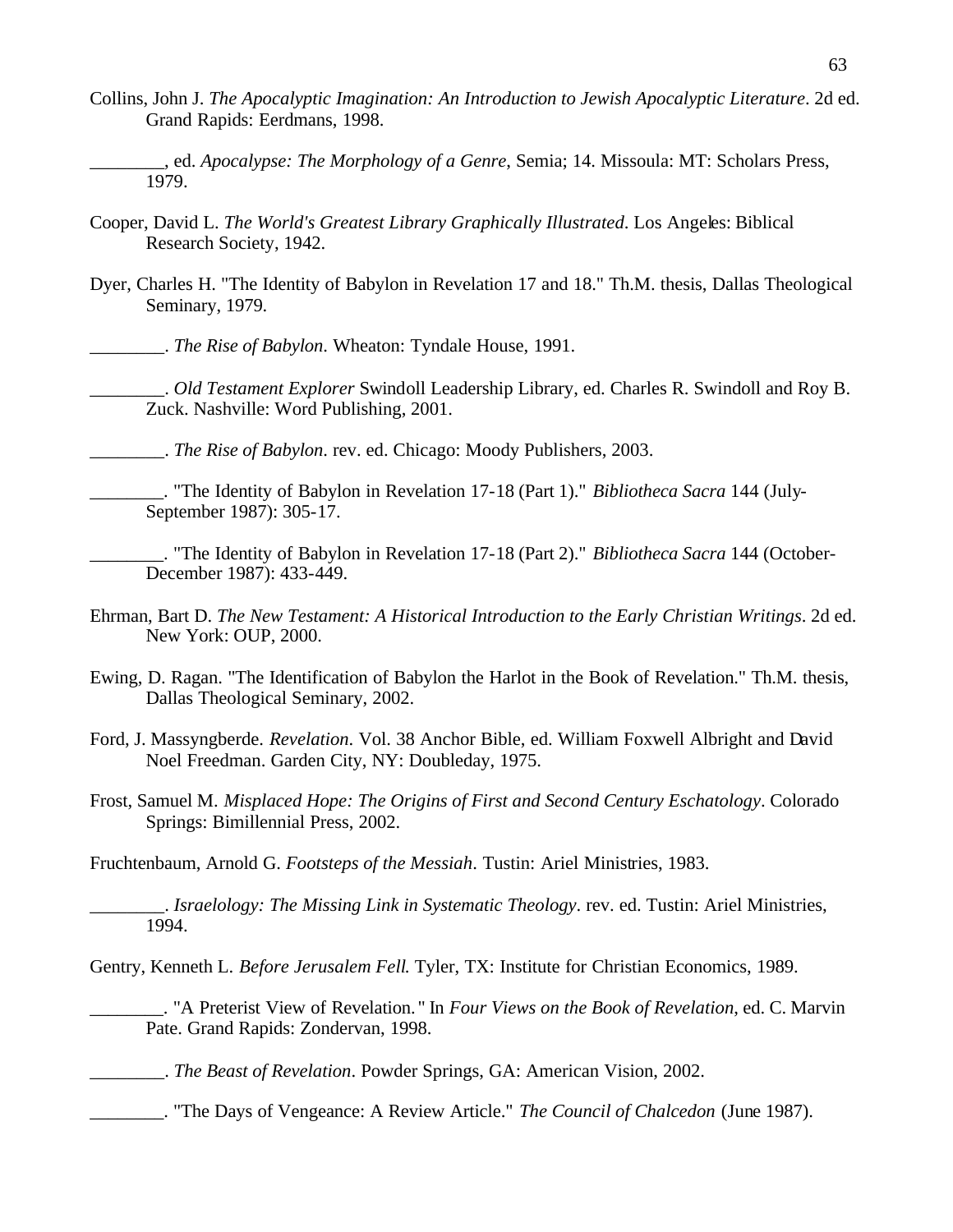- Collins, John J. *The Apocalyptic Imagination: An Introduction to Jewish Apocalyptic Literature*. 2d ed. Grand Rapids: Eerdmans, 1998.
- \_\_\_\_\_\_\_\_, ed. *Apocalypse: The Morphology of a Genre*, Semia; 14. Missoula: MT: Scholars Press, 1979.
- Cooper, David L. *The World's Greatest Library Graphically Illustrated*. Los Angeles: Biblical Research Society, 1942.
- Dyer, Charles H. "The Identity of Babylon in Revelation 17 and 18." Th.M. thesis, Dallas Theological Seminary, 1979.
	- \_\_\_\_\_\_\_\_. *The Rise of Babylon*. Wheaton: Tyndale House, 1991.
	- \_\_\_\_\_\_\_\_. *Old Testament Explorer* Swindoll Leadership Library, ed. Charles R. Swindoll and Roy B. Zuck. Nashville: Word Publishing, 2001.

\_\_\_\_\_\_\_\_. *The Rise of Babylon*. rev. ed. Chicago: Moody Publishers, 2003.

\_\_\_\_\_\_\_\_. "The Identity of Babylon in Revelation 17-18 (Part 1)." *Bibliotheca Sacra* 144 (July-September 1987): 305-17.

\_\_\_\_\_\_\_\_. "The Identity of Babylon in Revelation 17-18 (Part 2)." *Bibliotheca Sacra* 144 (October-December 1987): 433-449.

- Ehrman, Bart D. *The New Testament: A Historical Introduction to the Early Christian Writings*. 2d ed. New York: OUP, 2000.
- Ewing, D. Ragan. "The Identification of Babylon the Harlot in the Book of Revelation." Th.M. thesis, Dallas Theological Seminary, 2002.
- Ford, J. Massyngberde. *Revelation*. Vol. 38 Anchor Bible, ed. William Foxwell Albright and David Noel Freedman. Garden City, NY: Doubleday, 1975.
- Frost, Samuel M. *Misplaced Hope: The Origins of First and Second Century Eschatology*. Colorado Springs: Bimillennial Press, 2002.

Fruchtenbaum, Arnold G. *Footsteps of the Messiah*. Tustin: Ariel Ministries, 1983.

\_\_\_\_\_\_\_\_. *Israelology: The Missing Link in Systematic Theology*. rev. ed. Tustin: Ariel Ministries, 1994.

Gentry, Kenneth L. *Before Jerusalem Fell*. Tyler, TX: Institute for Christian Economics, 1989.

\_\_\_\_\_\_\_\_. "A Preterist View of Revelation. " In *Four Views on the Book of Revelation*, ed. C. Marvin Pate. Grand Rapids: Zondervan, 1998.

\_\_\_\_\_\_\_\_. *The Beast of Revelation*. Powder Springs, GA: American Vision, 2002.

\_\_\_\_\_\_\_\_. "The Days of Vengeance: A Review Article." *The Council of Chalcedon* (June 1987).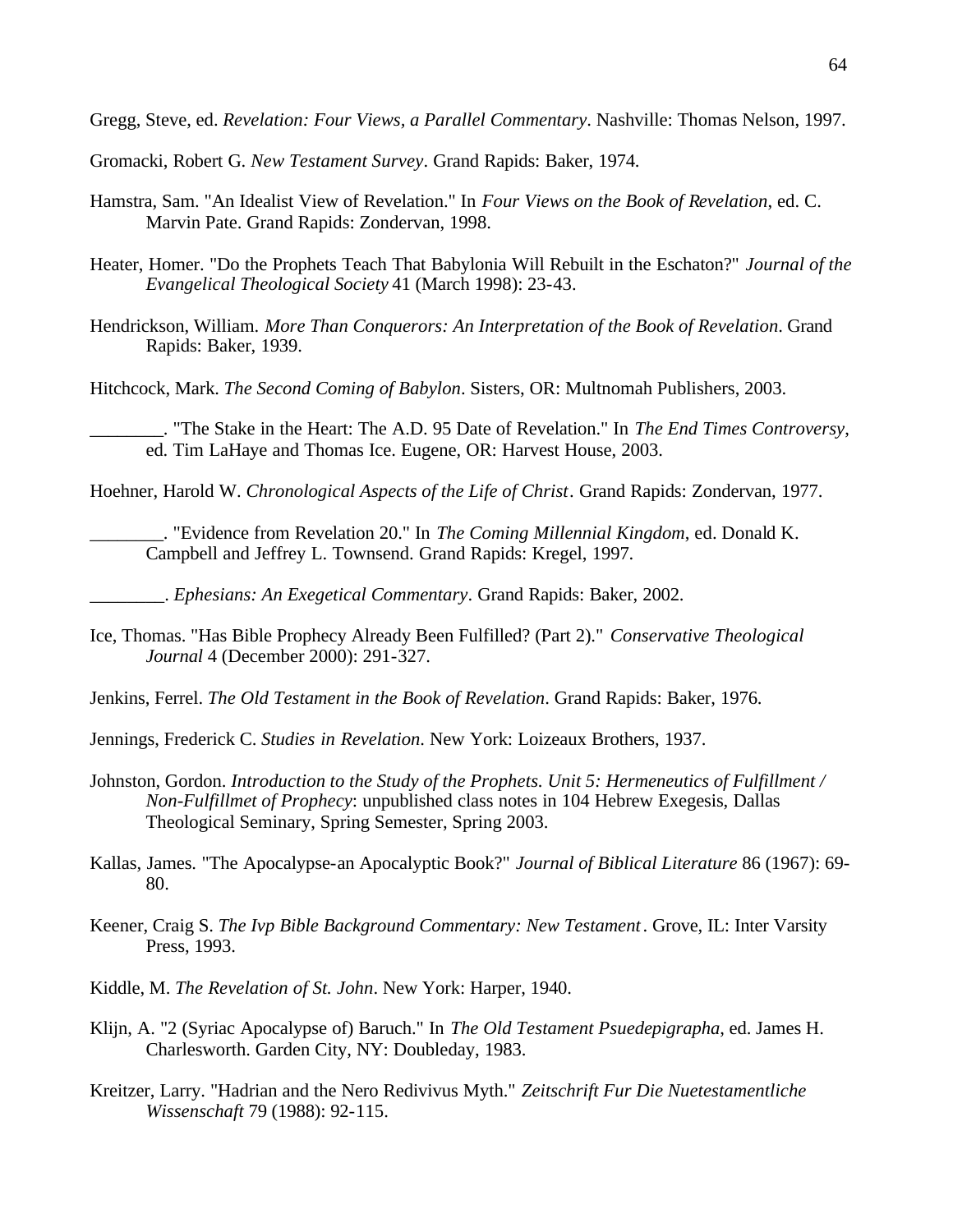Gregg, Steve, ed. *Revelation: Four Views, a Parallel Commentary*. Nashville: Thomas Nelson, 1997.

Gromacki, Robert G. *New Testament Survey*. Grand Rapids: Baker, 1974.

- Hamstra, Sam. "An Idealist View of Revelation." In *Four Views on the Book of Revelation*, ed. C. Marvin Pate. Grand Rapids: Zondervan, 1998.
- Heater, Homer. "Do the Prophets Teach That Babylonia Will Rebuilt in the Eschaton?" *Journal of the Evangelical Theological Society* 41 (March 1998): 23-43.
- Hendrickson, William. *More Than Conquerors: An Interpretation of the Book of Revelation*. Grand Rapids: Baker, 1939.

Hitchcock, Mark. *The Second Coming of Babylon*. Sisters, OR: Multnomah Publishers, 2003.

\_\_\_\_\_\_\_\_. "The Stake in the Heart: The A.D. 95 Date of Revelation." In *The End Times Controversy*, ed. Tim LaHaye and Thomas Ice. Eugene, OR: Harvest House, 2003.

Hoehner, Harold W. *Chronological Aspects of the Life of Christ*. Grand Rapids: Zondervan, 1977.

\_\_\_\_\_\_\_\_. "Evidence from Revelation 20." In *The Coming Millennial Kingdom*, ed. Donald K. Campbell and Jeffrey L. Townsend. Grand Rapids: Kregel, 1997.

\_\_\_\_\_\_\_\_. *Ephesians: An Exegetical Commentary*. Grand Rapids: Baker, 2002.

Ice, Thomas. "Has Bible Prophecy Already Been Fulfilled? (Part 2)." *Conservative Theological Journal* 4 (December 2000): 291-327.

Jenkins, Ferrel. *The Old Testament in the Book of Revelation*. Grand Rapids: Baker, 1976.

- Jennings, Frederick C. *Studies in Revelation*. New York: Loizeaux Brothers, 1937.
- Johnston, Gordon. *Introduction to the Study of the Prophets. Unit 5: Hermeneutics of Fulfillment / Non-Fulfillmet of Prophecy*: unpublished class notes in 104 Hebrew Exegesis, Dallas Theological Seminary, Spring Semester, Spring 2003.
- Kallas, James. "The Apocalypse-an Apocalyptic Book?" *Journal of Biblical Literature* 86 (1967): 69- 80.
- Keener, Craig S. *The Ivp Bible Background Commentary: New Testament*. Grove, IL: Inter Varsity Press, 1993.
- Kiddle, M. *The Revelation of St. John*. New York: Harper, 1940.
- Klijn, A. "2 (Syriac Apocalypse of) Baruch." In *The Old Testament Psuedepigrapha*, ed. James H. Charlesworth. Garden City, NY: Doubleday, 1983.
- Kreitzer, Larry. "Hadrian and the Nero Redivivus Myth." *Zeitschrift Fur Die Nuetestamentliche Wissenschaft* 79 (1988): 92-115.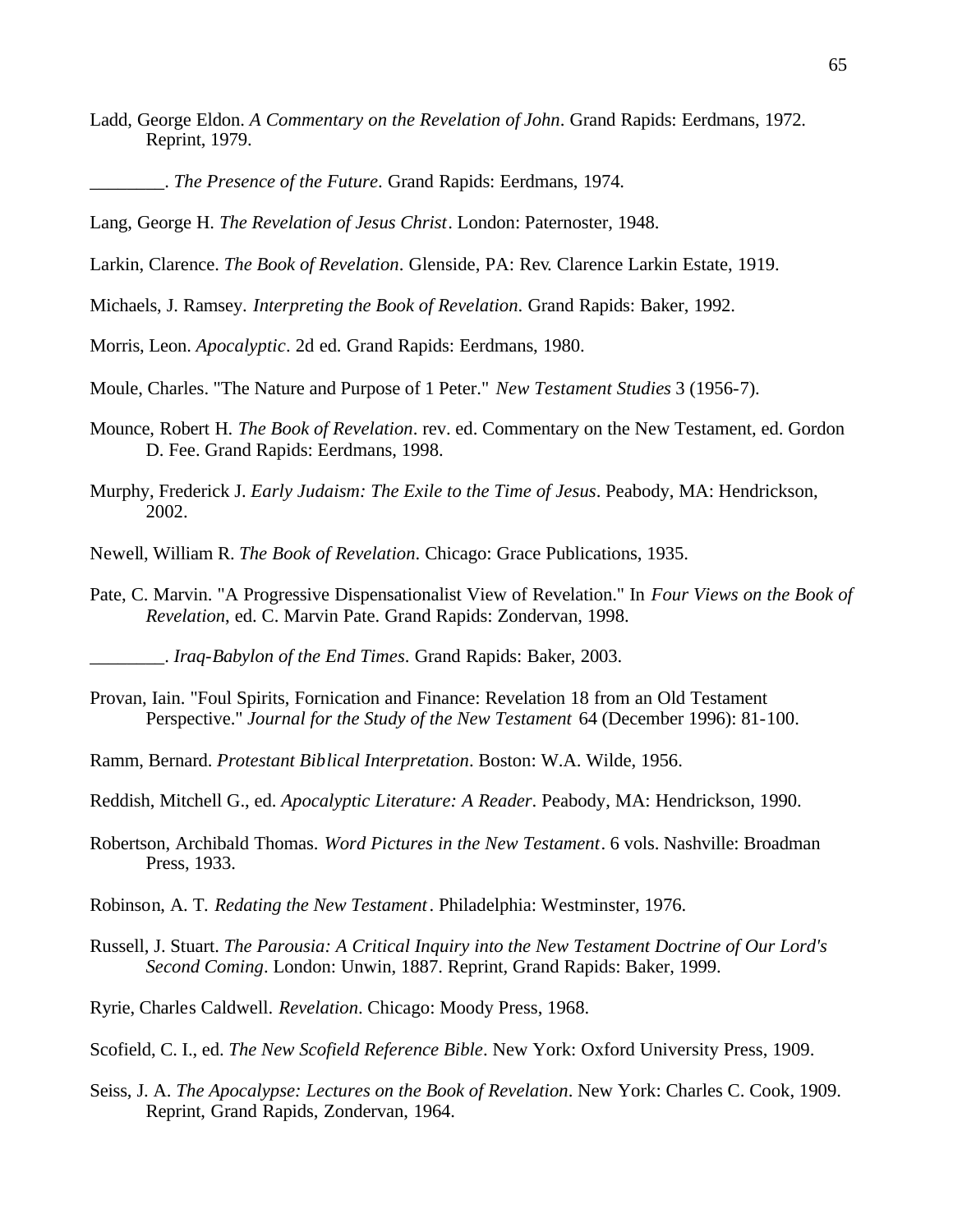- Ladd, George Eldon. *A Commentary on the Revelation of John*. Grand Rapids: Eerdmans, 1972. Reprint, 1979.
	- \_\_\_\_\_\_\_\_. *The Presence of the Future*. Grand Rapids: Eerdmans, 1974.
- Lang, George H. *The Revelation of Jesus Christ*. London: Paternoster, 1948.
- Larkin, Clarence. *The Book of Revelation*. Glenside, PA: Rev. Clarence Larkin Estate, 1919.
- Michaels, J. Ramsey. *Interpreting the Book of Revelation*. Grand Rapids: Baker, 1992.
- Morris, Leon. *Apocalyptic*. 2d ed. Grand Rapids: Eerdmans, 1980.
- Moule, Charles. "The Nature and Purpose of 1 Peter." *New Testament Studies* 3 (1956-7).
- Mounce, Robert H. *The Book of Revelation*. rev. ed. Commentary on the New Testament, ed. Gordon D. Fee. Grand Rapids: Eerdmans, 1998.
- Murphy, Frederick J. *Early Judaism: The Exile to the Time of Jesus*. Peabody, MA: Hendrickson, 2002.
- Newell, William R. *The Book of Revelation*. Chicago: Grace Publications, 1935.
- Pate, C. Marvin. "A Progressive Dispensationalist View of Revelation." In *Four Views on the Book of Revelation*, ed. C. Marvin Pate. Grand Rapids: Zondervan, 1998.

\_\_\_\_\_\_\_\_. *Iraq-Babylon of the End Times*. Grand Rapids: Baker, 2003.

- Provan, Iain. "Foul Spirits, Fornication and Finance: Revelation 18 from an Old Testament Perspective." *Journal for the Study of the New Testament* 64 (December 1996): 81-100.
- Ramm, Bernard. *Protestant Biblical Interpretation*. Boston: W.A. Wilde, 1956.
- Reddish, Mitchell G., ed. *Apocalyptic Literature: A Reader*. Peabody, MA: Hendrickson, 1990.
- Robertson, Archibald Thomas. *Word Pictures in the New Testament*. 6 vols. Nashville: Broadman Press, 1933.
- Robinson, A. T. *Redating the New Testament*. Philadelphia: Westminster, 1976.
- Russell, J. Stuart. *The Parousia: A Critical Inquiry into the New Testament Doctrine of Our Lord's Second Coming*. London: Unwin, 1887. Reprint, Grand Rapids: Baker, 1999.
- Ryrie, Charles Caldwell. *Revelation*. Chicago: Moody Press, 1968.
- Scofield, C. I., ed. *The New Scofield Reference Bible*. New York: Oxford University Press, 1909.
- Seiss, J. A. *The Apocalypse: Lectures on the Book of Revelation*. New York: Charles C. Cook, 1909. Reprint, Grand Rapids, Zondervan, 1964.